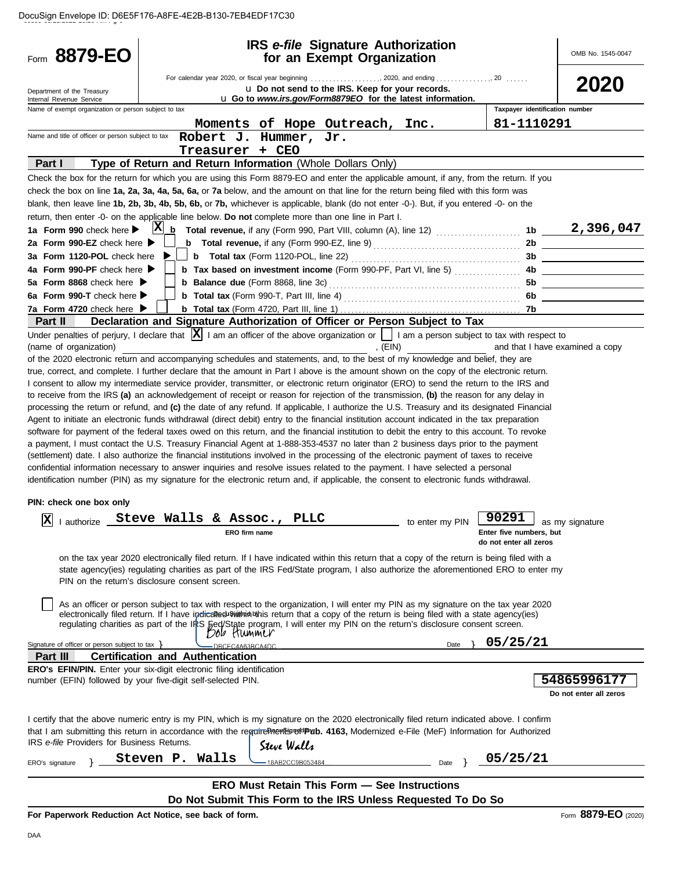| Form 8879-EO                                                                                                                                                                                                                                                                          |                                                                                                                                                                                                                                                                           |                                                                        | <b>IRS</b> e-file Signature Authorization<br>for an Exempt Organization |                 |                                | OMB No. 1545-0047               |
|---------------------------------------------------------------------------------------------------------------------------------------------------------------------------------------------------------------------------------------------------------------------------------------|---------------------------------------------------------------------------------------------------------------------------------------------------------------------------------------------------------------------------------------------------------------------------|------------------------------------------------------------------------|-------------------------------------------------------------------------|-----------------|--------------------------------|---------------------------------|
| Department of the Treasury<br>Internal Revenue Service                                                                                                                                                                                                                                |                                                                                                                                                                                                                                                                           | u Go to www.irs.gov/Form8879EO for the latest information.             | u Do not send to the IRS. Keep for your records.                        |                 |                                | 2020                            |
| Name of exempt organization or person subject to tax                                                                                                                                                                                                                                  |                                                                                                                                                                                                                                                                           |                                                                        |                                                                         |                 | Taxpayer identification number |                                 |
| Name and title of officer or person subject to tax                                                                                                                                                                                                                                    |                                                                                                                                                                                                                                                                           | Moments of Hope Outreach, Inc.                                         |                                                                         |                 | 81-1110291                     |                                 |
|                                                                                                                                                                                                                                                                                       |                                                                                                                                                                                                                                                                           | Robert J. Hummer, Jr.<br>Treasurer + CEO                               |                                                                         |                 |                                |                                 |
| Part I                                                                                                                                                                                                                                                                                | Type of Return and Return Information (Whole Dollars Only)                                                                                                                                                                                                                |                                                                        |                                                                         |                 |                                |                                 |
| Check the box for the return for which you are using this Form 8879-EO and enter the applicable amount, if any, from the return. If you                                                                                                                                               |                                                                                                                                                                                                                                                                           |                                                                        |                                                                         |                 |                                |                                 |
| check the box on line 1a, 2a, 3a, 4a, 5a, 6a, or 7a below, and the amount on that line for the return being filed with this form was                                                                                                                                                  |                                                                                                                                                                                                                                                                           |                                                                        |                                                                         |                 |                                |                                 |
| blank, then leave line 1b, 2b, 3b, 4b, 5b, 6b, or 7b, whichever is applicable, blank (do not enter -0-). But, if you entered -0- on the                                                                                                                                               |                                                                                                                                                                                                                                                                           |                                                                        |                                                                         |                 |                                |                                 |
| return, then enter -0- on the applicable line below. Do not complete more than one line in Part I.                                                                                                                                                                                    |                                                                                                                                                                                                                                                                           |                                                                        |                                                                         |                 |                                |                                 |
| 1a Form 990 check here                                                                                                                                                                                                                                                                | $\mathbf{x}$<br>b                                                                                                                                                                                                                                                         |                                                                        |                                                                         |                 | 1b                             | 2,396,047                       |
| 2a Form 990-EZ check here $\blacktriangleright$<br>3a Form 1120-POL check here                                                                                                                                                                                                        |                                                                                                                                                                                                                                                                           |                                                                        |                                                                         |                 | 2b                             |                                 |
| 4a Form 990-PF check here $\blacktriangleright$                                                                                                                                                                                                                                       |                                                                                                                                                                                                                                                                           | <b>b</b> Tax based on investment income (Form 990-PF, Part VI, line 5) |                                                                         |                 | 3b.<br>4b.                     |                                 |
| 5a Form 8868 check here $\blacktriangleright$                                                                                                                                                                                                                                         |                                                                                                                                                                                                                                                                           |                                                                        |                                                                         |                 | 5b                             |                                 |
| 6a Form 990-T check here $\blacktriangleright$                                                                                                                                                                                                                                        |                                                                                                                                                                                                                                                                           |                                                                        |                                                                         |                 |                                |                                 |
| 7a Form 4720 check here $\blacktriangleright$                                                                                                                                                                                                                                         |                                                                                                                                                                                                                                                                           |                                                                        |                                                                         |                 | 7b                             |                                 |
| Part II                                                                                                                                                                                                                                                                               | Declaration and Signature Authorization of Officer or Person Subject to Tax                                                                                                                                                                                               |                                                                        |                                                                         |                 |                                |                                 |
| Under penalties of perjury, I declare that $ \mathbf{X} $ I am an officer of the above organization or $\ \cdot\ $ I am a person subject to tax with respect to                                                                                                                       |                                                                                                                                                                                                                                                                           |                                                                        |                                                                         |                 |                                |                                 |
| (name of organization)                                                                                                                                                                                                                                                                |                                                                                                                                                                                                                                                                           |                                                                        | , $(EIN)$                                                               |                 |                                | and that I have examined a copy |
| of the 2020 electronic return and accompanying schedules and statements, and, to the best of my knowledge and belief, they are                                                                                                                                                        |                                                                                                                                                                                                                                                                           |                                                                        |                                                                         |                 |                                |                                 |
| true, correct, and complete. I further declare that the amount in Part I above is the amount shown on the copy of the electronic return.<br>I consent to allow my intermediate service provider, transmitter, or electronic return originator (ERO) to send the return to the IRS and |                                                                                                                                                                                                                                                                           |                                                                        |                                                                         |                 |                                |                                 |
| to receive from the IRS (a) an acknowledgement of receipt or reason for rejection of the transmission, (b) the reason for any delay in                                                                                                                                                |                                                                                                                                                                                                                                                                           |                                                                        |                                                                         |                 |                                |                                 |
| processing the return or refund, and (c) the date of any refund. If applicable, I authorize the U.S. Treasury and its designated Financial                                                                                                                                            |                                                                                                                                                                                                                                                                           |                                                                        |                                                                         |                 |                                |                                 |
| Agent to initiate an electronic funds withdrawal (direct debit) entry to the financial institution account indicated in the tax preparation                                                                                                                                           |                                                                                                                                                                                                                                                                           |                                                                        |                                                                         |                 |                                |                                 |
| software for payment of the federal taxes owed on this return, and the financial institution to debit the entry to this account. To revoke                                                                                                                                            |                                                                                                                                                                                                                                                                           |                                                                        |                                                                         |                 |                                |                                 |
| a payment, I must contact the U.S. Treasury Financial Agent at 1-888-353-4537 no later than 2 business days prior to the payment                                                                                                                                                      |                                                                                                                                                                                                                                                                           |                                                                        |                                                                         |                 |                                |                                 |
| (settlement) date. I also authorize the financial institutions involved in the processing of the electronic payment of taxes to receive                                                                                                                                               |                                                                                                                                                                                                                                                                           |                                                                        |                                                                         |                 |                                |                                 |
| confidential information necessary to answer inquiries and resolve issues related to the payment. I have selected a personal<br>identification number (PIN) as my signature for the electronic return and, if applicable, the consent to electronic funds withdrawal.                 |                                                                                                                                                                                                                                                                           |                                                                        |                                                                         |                 |                                |                                 |
|                                                                                                                                                                                                                                                                                       |                                                                                                                                                                                                                                                                           |                                                                        |                                                                         |                 |                                |                                 |
| PIN: check one box only                                                                                                                                                                                                                                                               |                                                                                                                                                                                                                                                                           |                                                                        |                                                                         |                 |                                |                                 |
| $\mathbf{x}$<br>I authorize _                                                                                                                                                                                                                                                         | Steve Walls & Assoc.,                                                                                                                                                                                                                                                     | PLLC                                                                   |                                                                         | to enter my PIN | 90291                          |                                 |
|                                                                                                                                                                                                                                                                                       |                                                                                                                                                                                                                                                                           | ERO firm name                                                          |                                                                         |                 | Enter five numbers, but        | as my signature                 |
|                                                                                                                                                                                                                                                                                       |                                                                                                                                                                                                                                                                           |                                                                        |                                                                         |                 | do not enter all zeros         |                                 |
|                                                                                                                                                                                                                                                                                       | on the tax year 2020 electronically filed return. If I have indicated within this return that a copy of the return is being filed with a                                                                                                                                  |                                                                        |                                                                         |                 |                                |                                 |
|                                                                                                                                                                                                                                                                                       | state agency(ies) regulating charities as part of the IRS Fed/State program, I also authorize the aforementioned ERO to enter my                                                                                                                                          |                                                                        |                                                                         |                 |                                |                                 |
|                                                                                                                                                                                                                                                                                       | PIN on the return's disclosure consent screen.                                                                                                                                                                                                                            |                                                                        |                                                                         |                 |                                |                                 |
|                                                                                                                                                                                                                                                                                       |                                                                                                                                                                                                                                                                           |                                                                        |                                                                         |                 |                                |                                 |
|                                                                                                                                                                                                                                                                                       | As an officer or person subject to tax with respect to the organization, I will enter my PIN as my signature on the tax year 2020<br>electronically filed return. If I have indicaled sight whis return that a copy of the return is being filed with a state agency(ies) |                                                                        |                                                                         |                 |                                |                                 |
|                                                                                                                                                                                                                                                                                       | regulating charities as part of the IRS Fed/State program, I will enter my PIN on the return's disclosure consent screen.                                                                                                                                                 |                                                                        |                                                                         |                 |                                |                                 |
|                                                                                                                                                                                                                                                                                       |                                                                                                                                                                                                                                                                           |                                                                        |                                                                         |                 | 05/25/21                       |                                 |
| Signature of officer or person subject to tax ><br>Part III                                                                                                                                                                                                                           | <b>Certification and Authentication</b>                                                                                                                                                                                                                                   | -DBCEC4A63BCA4DC.                                                      |                                                                         | Date            |                                |                                 |
| <b>ERO's EFIN/PIN.</b> Enter your six-digit electronic filing identification                                                                                                                                                                                                          |                                                                                                                                                                                                                                                                           |                                                                        |                                                                         |                 |                                |                                 |
| number (EFIN) followed by your five-digit self-selected PIN.                                                                                                                                                                                                                          |                                                                                                                                                                                                                                                                           |                                                                        |                                                                         |                 |                                | 54865996177                     |
|                                                                                                                                                                                                                                                                                       |                                                                                                                                                                                                                                                                           |                                                                        |                                                                         |                 |                                | Do not enter all zeros          |
|                                                                                                                                                                                                                                                                                       |                                                                                                                                                                                                                                                                           |                                                                        |                                                                         |                 |                                |                                 |
| I certify that the above numeric entry is my PIN, which is my signature on the 2020 electronically filed return indicated above. I confirm                                                                                                                                            |                                                                                                                                                                                                                                                                           |                                                                        |                                                                         |                 |                                |                                 |
| that I am submitting this return in accordance with the regrine here with the term of the subset and the subset as Authorized e-File (MeF) Information for Authorized                                                                                                                 |                                                                                                                                                                                                                                                                           |                                                                        |                                                                         |                 |                                |                                 |
| IRS e-file Providers for Business Returns.                                                                                                                                                                                                                                            |                                                                                                                                                                                                                                                                           | Steve Walls                                                            |                                                                         |                 |                                |                                 |
| ERO's signature                                                                                                                                                                                                                                                                       | Steven P. Walls                                                                                                                                                                                                                                                           | 18AB2CC9B053484                                                        |                                                                         | Date            | 05/25/21                       |                                 |
|                                                                                                                                                                                                                                                                                       |                                                                                                                                                                                                                                                                           |                                                                        |                                                                         |                 |                                |                                 |
|                                                                                                                                                                                                                                                                                       |                                                                                                                                                                                                                                                                           | <b>ERO Must Retain This Form - See Instructions</b>                    |                                                                         |                 |                                |                                 |
|                                                                                                                                                                                                                                                                                       |                                                                                                                                                                                                                                                                           | Do Not Submit This Form to the IRS Unless Requested To Do So           |                                                                         |                 |                                |                                 |
| For Paperwork Reduction Act Notice, see back of form.                                                                                                                                                                                                                                 |                                                                                                                                                                                                                                                                           |                                                                        |                                                                         |                 |                                | Form 8879-EO (2020)             |

**For Paperwork Reduction Act Notice, see back of form.**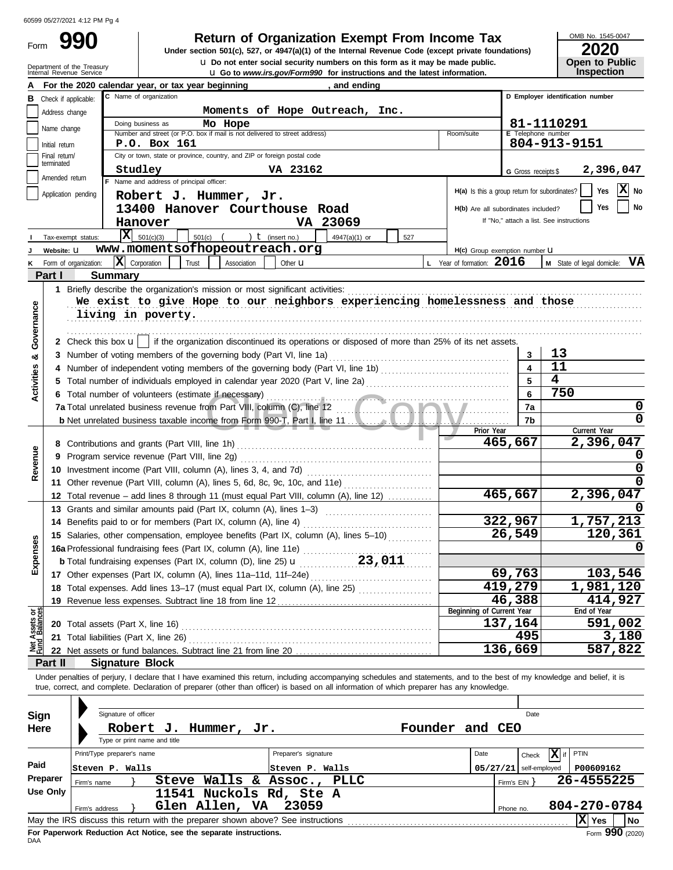Department of the Treasury

Form

Internal Revenue Service u **Go to** *www.irs.gov/Form990* **for instructions and the latest information. u** Do not enter social security numbers on this form as it may be made public. **990 200 2010 2020 2020 2020 Dependent Organization Exempt From Income Tax 2020 2020** 

OMB No. 1545-0047

**Open to Public<br>Inspection** 

|                                                                                                                                                                                                                                                                                                                                                                                                                                                                                                                                                                                                                                                                                                                                                                                                                                                                                                                                                                                                                                                                                                                                                                                                                                                                                                                                                                                                                                                                                                                                                                                                                                                                                                                                                                                                                                                                                                                                                                                                                                                                                                                                                                                                                                                                                                                                                                                                                                                                                                                                                                                                                                                                                                                                                                                                                                                                                                                                                                                                                                                                                                                                                                                                                                                                                                                                                                                                                                                                                                                                                                                                                                                                                                                                                                                                                                                                                                                                                                                                                                                                                                                       |                 | Doing business as<br>Mo Hope              |            |           |                               |
|-----------------------------------------------------------------------------------------------------------------------------------------------------------------------------------------------------------------------------------------------------------------------------------------------------------------------------------------------------------------------------------------------------------------------------------------------------------------------------------------------------------------------------------------------------------------------------------------------------------------------------------------------------------------------------------------------------------------------------------------------------------------------------------------------------------------------------------------------------------------------------------------------------------------------------------------------------------------------------------------------------------------------------------------------------------------------------------------------------------------------------------------------------------------------------------------------------------------------------------------------------------------------------------------------------------------------------------------------------------------------------------------------------------------------------------------------------------------------------------------------------------------------------------------------------------------------------------------------------------------------------------------------------------------------------------------------------------------------------------------------------------------------------------------------------------------------------------------------------------------------------------------------------------------------------------------------------------------------------------------------------------------------------------------------------------------------------------------------------------------------------------------------------------------------------------------------------------------------------------------------------------------------------------------------------------------------------------------------------------------------------------------------------------------------------------------------------------------------------------------------------------------------------------------------------------------------------------------------------------------------------------------------------------------------------------------------------------------------------------------------------------------------------------------------------------------------------------------------------------------------------------------------------------------------------------------------------------------------------------------------------------------------------------------------------------------------------------------------------------------------------------------------------------------------------------------------------------------------------------------------------------------------------------------------------------------------------------------------------------------------------------------------------------------------------------------------------------------------------------------------------------------------------------------------------------------------------------------------------------------------------------------------------------------------------------------------------------------------------------------------------------------------------------------------------------------------------------------------------------------------------------------------------------------------------------------------------------------------------------------------------------------------------------------------------------------------------------------------------------------------|-----------------|-------------------------------------------|------------|-----------|-------------------------------|
|                                                                                                                                                                                                                                                                                                                                                                                                                                                                                                                                                                                                                                                                                                                                                                                                                                                                                                                                                                                                                                                                                                                                                                                                                                                                                                                                                                                                                                                                                                                                                                                                                                                                                                                                                                                                                                                                                                                                                                                                                                                                                                                                                                                                                                                                                                                                                                                                                                                                                                                                                                                                                                                                                                                                                                                                                                                                                                                                                                                                                                                                                                                                                                                                                                                                                                                                                                                                                                                                                                                                                                                                                                                                                                                                                                                                                                                                                                                                                                                                                                                                                                                       |                 |                                           | Room/suite |           |                               |
|                                                                                                                                                                                                                                                                                                                                                                                                                                                                                                                                                                                                                                                                                                                                                                                                                                                                                                                                                                                                                                                                                                                                                                                                                                                                                                                                                                                                                                                                                                                                                                                                                                                                                                                                                                                                                                                                                                                                                                                                                                                                                                                                                                                                                                                                                                                                                                                                                                                                                                                                                                                                                                                                                                                                                                                                                                                                                                                                                                                                                                                                                                                                                                                                                                                                                                                                                                                                                                                                                                                                                                                                                                                                                                                                                                                                                                                                                                                                                                                                                                                                                                                       |                 |                                           |            |           |                               |
|                                                                                                                                                                                                                                                                                                                                                                                                                                                                                                                                                                                                                                                                                                                                                                                                                                                                                                                                                                                                                                                                                                                                                                                                                                                                                                                                                                                                                                                                                                                                                                                                                                                                                                                                                                                                                                                                                                                                                                                                                                                                                                                                                                                                                                                                                                                                                                                                                                                                                                                                                                                                                                                                                                                                                                                                                                                                                                                                                                                                                                                                                                                                                                                                                                                                                                                                                                                                                                                                                                                                                                                                                                                                                                                                                                                                                                                                                                                                                                                                                                                                                                                       |                 |                                           |            |           |                               |
| and to <i>www.irs.gov/rominzzo</i> for maddedness and the latest imormation<br>For the 2020 calendar year, or tax year beginning<br>, and ending<br>C Name of organization<br>D Employer identification number<br>в<br>Check if applicable:<br>Moments of Hope Outreach, Inc.<br>Address change<br>81-1110291<br>Name change<br>Number and street (or P.O. box if mail is not delivered to street address)<br>E Telephone number<br>804-913-9151<br>P.O. Box 161<br>Initial return<br>City or town, state or province, country, and ZIP or foreign postal code<br>Final return/<br>terminated<br>VA 23162<br>Studley<br>G Gross receipts \$<br>Amended return<br>F Name and address of principal officer:<br>Yes<br>H(a) Is this a group return for subordinates?<br>Application pending<br>Robert J. Hummer, Jr.<br>Yes<br>13400 Hanover Courthouse Road<br>H(b) Are all subordinates included?<br>VA 23069<br>If "No," attach a list. See instructions<br>Hanover<br>$\overline{\mathbf{X}}$ 501(c)(3)<br>501(c)<br>) $t$ (insert no.)<br>4947(a)(1) or<br>527<br>Tax-exempt status:<br>www.momentsofhopeoutreach.org<br>Website: U<br>H(c) Group exemption number U<br>$ \mathbf{X} $ Corporation<br>L Year of formation: $2016$<br>Form of organization:<br>Trust<br>Association<br>Other <b>u</b><br>Part I<br><b>Summary</b><br>1 Briefly describe the organization's mission or most significant activities:<br>We exist to give Hope to our neighbors experiencing homelessness and those<br>Governance<br>living in poverty.<br>2 Check this box $\mathbf{u}$   if the organization discontinued its operations or disposed of more than 25% of its net assets.<br>13<br>3 Number of voting members of the governing body (Part VI, line 1a)<br>3<br>ಯ<br>11<br>Activities<br>4<br>750<br>6<br>6 Total number of volunteers (estimate if necessary)<br>7a<br>7b<br>Current Year<br>Prior Year<br>465,667<br>Revenue<br>9 Program service revenue (Part VIII, line 2g)<br>10 Investment income (Part VIII, column (A), lines 3, 4, and 7d)<br>11 Other revenue (Part VIII, column (A), lines 5, 6d, 8c, 9c, 10c, and 11e)<br>465,667<br>12 Total revenue – add lines 8 through 11 (must equal Part VIII, column (A), line 12)<br>13 Grants and similar amounts paid (Part IX, column (A), lines 1-3)<br>322,967<br>14 Benefits paid to or for members (Part IX, column (A), line 4)<br>26,549<br>15 Salaries, other compensation, employee benefits (Part IX, column (A), lines 5-10)<br>cosuad<br>16a Professional fundraising fees (Part IX, column (A), line 11e)<br>23,011<br><b>b</b> Total fundraising expenses (Part IX, column (D), line 25) <b>u</b><br>69,763<br>103,546<br>шì<br>17 Other expenses (Part IX, column (A), lines 11a-11d, 11f-24e)<br>419,279<br>1,981,120<br>18 Total expenses. Add lines 13-17 (must equal Part IX, column (A), line 25) [<br>46,388<br>19 Revenue less expenses. Subtract line 18 from line 12<br>Net Assets or<br>Fund Balances<br>End of Year<br>Beginning of Current Year<br>137,164<br>20 Total assets (Part X, line 16) <b>CONVERTED ASSETS</b><br>495<br>21 Total liabilities (Part X, line 26) Mathematic Contract Contract Contract Contract Contract Contract Contract Contract Contract Contract Contract Contract Contract Contract Contract Contract Contract Contract Contract C<br>136,669<br><b>Signature Block</b><br>Part II<br>Under penalties of perjury, I declare that I have examined this return, including accompanying schedules and statements, and to the best of my knowledge and belief, it is<br>true, correct, and complete. Declaration of preparer (other than officer) is based on all information of which preparer has any knowledge.<br>Signature of officer<br>Date<br>Sign<br>Founder and CEO<br>Here<br>Robert J.<br>Hummer, Jr.<br>Type or print name and title<br>Print/Type preparer's name<br>Preparer's signature<br>$ \mathbf{X} $ if<br>PTIN<br>Date<br>Check<br>Paid<br>Steven P. Walls<br>Steven P. Walls<br>$05/27/21$ self-employed<br>Preparer<br>Steve Walls & Assoc., PLLC<br>Firm's $EIN$ }<br>Firm's name |                 | 2,396,047                                 |            |           |                               |
|                                                                                                                                                                                                                                                                                                                                                                                                                                                                                                                                                                                                                                                                                                                                                                                                                                                                                                                                                                                                                                                                                                                                                                                                                                                                                                                                                                                                                                                                                                                                                                                                                                                                                                                                                                                                                                                                                                                                                                                                                                                                                                                                                                                                                                                                                                                                                                                                                                                                                                                                                                                                                                                                                                                                                                                                                                                                                                                                                                                                                                                                                                                                                                                                                                                                                                                                                                                                                                                                                                                                                                                                                                                                                                                                                                                                                                                                                                                                                                                                                                                                                                                       |                 |                                           |            |           |                               |
|                                                                                                                                                                                                                                                                                                                                                                                                                                                                                                                                                                                                                                                                                                                                                                                                                                                                                                                                                                                                                                                                                                                                                                                                                                                                                                                                                                                                                                                                                                                                                                                                                                                                                                                                                                                                                                                                                                                                                                                                                                                                                                                                                                                                                                                                                                                                                                                                                                                                                                                                                                                                                                                                                                                                                                                                                                                                                                                                                                                                                                                                                                                                                                                                                                                                                                                                                                                                                                                                                                                                                                                                                                                                                                                                                                                                                                                                                                                                                                                                                                                                                                                       |                 |                                           |            |           | X No                          |
|                                                                                                                                                                                                                                                                                                                                                                                                                                                                                                                                                                                                                                                                                                                                                                                                                                                                                                                                                                                                                                                                                                                                                                                                                                                                                                                                                                                                                                                                                                                                                                                                                                                                                                                                                                                                                                                                                                                                                                                                                                                                                                                                                                                                                                                                                                                                                                                                                                                                                                                                                                                                                                                                                                                                                                                                                                                                                                                                                                                                                                                                                                                                                                                                                                                                                                                                                                                                                                                                                                                                                                                                                                                                                                                                                                                                                                                                                                                                                                                                                                                                                                                       |                 |                                           |            |           | No                            |
|                                                                                                                                                                                                                                                                                                                                                                                                                                                                                                                                                                                                                                                                                                                                                                                                                                                                                                                                                                                                                                                                                                                                                                                                                                                                                                                                                                                                                                                                                                                                                                                                                                                                                                                                                                                                                                                                                                                                                                                                                                                                                                                                                                                                                                                                                                                                                                                                                                                                                                                                                                                                                                                                                                                                                                                                                                                                                                                                                                                                                                                                                                                                                                                                                                                                                                                                                                                                                                                                                                                                                                                                                                                                                                                                                                                                                                                                                                                                                                                                                                                                                                                       |                 |                                           |            |           |                               |
|                                                                                                                                                                                                                                                                                                                                                                                                                                                                                                                                                                                                                                                                                                                                                                                                                                                                                                                                                                                                                                                                                                                                                                                                                                                                                                                                                                                                                                                                                                                                                                                                                                                                                                                                                                                                                                                                                                                                                                                                                                                                                                                                                                                                                                                                                                                                                                                                                                                                                                                                                                                                                                                                                                                                                                                                                                                                                                                                                                                                                                                                                                                                                                                                                                                                                                                                                                                                                                                                                                                                                                                                                                                                                                                                                                                                                                                                                                                                                                                                                                                                                                                       |                 |                                           |            |           |                               |
|                                                                                                                                                                                                                                                                                                                                                                                                                                                                                                                                                                                                                                                                                                                                                                                                                                                                                                                                                                                                                                                                                                                                                                                                                                                                                                                                                                                                                                                                                                                                                                                                                                                                                                                                                                                                                                                                                                                                                                                                                                                                                                                                                                                                                                                                                                                                                                                                                                                                                                                                                                                                                                                                                                                                                                                                                                                                                                                                                                                                                                                                                                                                                                                                                                                                                                                                                                                                                                                                                                                                                                                                                                                                                                                                                                                                                                                                                                                                                                                                                                                                                                                       |                 |                                           |            |           |                               |
|                                                                                                                                                                                                                                                                                                                                                                                                                                                                                                                                                                                                                                                                                                                                                                                                                                                                                                                                                                                                                                                                                                                                                                                                                                                                                                                                                                                                                                                                                                                                                                                                                                                                                                                                                                                                                                                                                                                                                                                                                                                                                                                                                                                                                                                                                                                                                                                                                                                                                                                                                                                                                                                                                                                                                                                                                                                                                                                                                                                                                                                                                                                                                                                                                                                                                                                                                                                                                                                                                                                                                                                                                                                                                                                                                                                                                                                                                                                                                                                                                                                                                                                       |                 |                                           |            |           |                               |
|                                                                                                                                                                                                                                                                                                                                                                                                                                                                                                                                                                                                                                                                                                                                                                                                                                                                                                                                                                                                                                                                                                                                                                                                                                                                                                                                                                                                                                                                                                                                                                                                                                                                                                                                                                                                                                                                                                                                                                                                                                                                                                                                                                                                                                                                                                                                                                                                                                                                                                                                                                                                                                                                                                                                                                                                                                                                                                                                                                                                                                                                                                                                                                                                                                                                                                                                                                                                                                                                                                                                                                                                                                                                                                                                                                                                                                                                                                                                                                                                                                                                                                                       |                 |                                           |            |           | M State of legal domicile: VA |
|                                                                                                                                                                                                                                                                                                                                                                                                                                                                                                                                                                                                                                                                                                                                                                                                                                                                                                                                                                                                                                                                                                                                                                                                                                                                                                                                                                                                                                                                                                                                                                                                                                                                                                                                                                                                                                                                                                                                                                                                                                                                                                                                                                                                                                                                                                                                                                                                                                                                                                                                                                                                                                                                                                                                                                                                                                                                                                                                                                                                                                                                                                                                                                                                                                                                                                                                                                                                                                                                                                                                                                                                                                                                                                                                                                                                                                                                                                                                                                                                                                                                                                                       |                 |                                           |            |           |                               |
|                                                                                                                                                                                                                                                                                                                                                                                                                                                                                                                                                                                                                                                                                                                                                                                                                                                                                                                                                                                                                                                                                                                                                                                                                                                                                                                                                                                                                                                                                                                                                                                                                                                                                                                                                                                                                                                                                                                                                                                                                                                                                                                                                                                                                                                                                                                                                                                                                                                                                                                                                                                                                                                                                                                                                                                                                                                                                                                                                                                                                                                                                                                                                                                                                                                                                                                                                                                                                                                                                                                                                                                                                                                                                                                                                                                                                                                                                                                                                                                                                                                                                                                       |                 |                                           |            |           |                               |
|                                                                                                                                                                                                                                                                                                                                                                                                                                                                                                                                                                                                                                                                                                                                                                                                                                                                                                                                                                                                                                                                                                                                                                                                                                                                                                                                                                                                                                                                                                                                                                                                                                                                                                                                                                                                                                                                                                                                                                                                                                                                                                                                                                                                                                                                                                                                                                                                                                                                                                                                                                                                                                                                                                                                                                                                                                                                                                                                                                                                                                                                                                                                                                                                                                                                                                                                                                                                                                                                                                                                                                                                                                                                                                                                                                                                                                                                                                                                                                                                                                                                                                                       |                 |                                           |            |           |                               |
|                                                                                                                                                                                                                                                                                                                                                                                                                                                                                                                                                                                                                                                                                                                                                                                                                                                                                                                                                                                                                                                                                                                                                                                                                                                                                                                                                                                                                                                                                                                                                                                                                                                                                                                                                                                                                                                                                                                                                                                                                                                                                                                                                                                                                                                                                                                                                                                                                                                                                                                                                                                                                                                                                                                                                                                                                                                                                                                                                                                                                                                                                                                                                                                                                                                                                                                                                                                                                                                                                                                                                                                                                                                                                                                                                                                                                                                                                                                                                                                                                                                                                                                       |                 |                                           |            |           |                               |
|                                                                                                                                                                                                                                                                                                                                                                                                                                                                                                                                                                                                                                                                                                                                                                                                                                                                                                                                                                                                                                                                                                                                                                                                                                                                                                                                                                                                                                                                                                                                                                                                                                                                                                                                                                                                                                                                                                                                                                                                                                                                                                                                                                                                                                                                                                                                                                                                                                                                                                                                                                                                                                                                                                                                                                                                                                                                                                                                                                                                                                                                                                                                                                                                                                                                                                                                                                                                                                                                                                                                                                                                                                                                                                                                                                                                                                                                                                                                                                                                                                                                                                                       |                 |                                           |            |           |                               |
|                                                                                                                                                                                                                                                                                                                                                                                                                                                                                                                                                                                                                                                                                                                                                                                                                                                                                                                                                                                                                                                                                                                                                                                                                                                                                                                                                                                                                                                                                                                                                                                                                                                                                                                                                                                                                                                                                                                                                                                                                                                                                                                                                                                                                                                                                                                                                                                                                                                                                                                                                                                                                                                                                                                                                                                                                                                                                                                                                                                                                                                                                                                                                                                                                                                                                                                                                                                                                                                                                                                                                                                                                                                                                                                                                                                                                                                                                                                                                                                                                                                                                                                       |                 |                                           |            |           |                               |
|                                                                                                                                                                                                                                                                                                                                                                                                                                                                                                                                                                                                                                                                                                                                                                                                                                                                                                                                                                                                                                                                                                                                                                                                                                                                                                                                                                                                                                                                                                                                                                                                                                                                                                                                                                                                                                                                                                                                                                                                                                                                                                                                                                                                                                                                                                                                                                                                                                                                                                                                                                                                                                                                                                                                                                                                                                                                                                                                                                                                                                                                                                                                                                                                                                                                                                                                                                                                                                                                                                                                                                                                                                                                                                                                                                                                                                                                                                                                                                                                                                                                                                                       |                 |                                           |            |           |                               |
|                                                                                                                                                                                                                                                                                                                                                                                                                                                                                                                                                                                                                                                                                                                                                                                                                                                                                                                                                                                                                                                                                                                                                                                                                                                                                                                                                                                                                                                                                                                                                                                                                                                                                                                                                                                                                                                                                                                                                                                                                                                                                                                                                                                                                                                                                                                                                                                                                                                                                                                                                                                                                                                                                                                                                                                                                                                                                                                                                                                                                                                                                                                                                                                                                                                                                                                                                                                                                                                                                                                                                                                                                                                                                                                                                                                                                                                                                                                                                                                                                                                                                                                       |                 |                                           |            |           |                               |
|                                                                                                                                                                                                                                                                                                                                                                                                                                                                                                                                                                                                                                                                                                                                                                                                                                                                                                                                                                                                                                                                                                                                                                                                                                                                                                                                                                                                                                                                                                                                                                                                                                                                                                                                                                                                                                                                                                                                                                                                                                                                                                                                                                                                                                                                                                                                                                                                                                                                                                                                                                                                                                                                                                                                                                                                                                                                                                                                                                                                                                                                                                                                                                                                                                                                                                                                                                                                                                                                                                                                                                                                                                                                                                                                                                                                                                                                                                                                                                                                                                                                                                                       |                 |                                           |            |           |                               |
|                                                                                                                                                                                                                                                                                                                                                                                                                                                                                                                                                                                                                                                                                                                                                                                                                                                                                                                                                                                                                                                                                                                                                                                                                                                                                                                                                                                                                                                                                                                                                                                                                                                                                                                                                                                                                                                                                                                                                                                                                                                                                                                                                                                                                                                                                                                                                                                                                                                                                                                                                                                                                                                                                                                                                                                                                                                                                                                                                                                                                                                                                                                                                                                                                                                                                                                                                                                                                                                                                                                                                                                                                                                                                                                                                                                                                                                                                                                                                                                                                                                                                                                       |                 |                                           |            |           |                               |
|                                                                                                                                                                                                                                                                                                                                                                                                                                                                                                                                                                                                                                                                                                                                                                                                                                                                                                                                                                                                                                                                                                                                                                                                                                                                                                                                                                                                                                                                                                                                                                                                                                                                                                                                                                                                                                                                                                                                                                                                                                                                                                                                                                                                                                                                                                                                                                                                                                                                                                                                                                                                                                                                                                                                                                                                                                                                                                                                                                                                                                                                                                                                                                                                                                                                                                                                                                                                                                                                                                                                                                                                                                                                                                                                                                                                                                                                                                                                                                                                                                                                                                                       |                 |                                           |            |           |                               |
|                                                                                                                                                                                                                                                                                                                                                                                                                                                                                                                                                                                                                                                                                                                                                                                                                                                                                                                                                                                                                                                                                                                                                                                                                                                                                                                                                                                                                                                                                                                                                                                                                                                                                                                                                                                                                                                                                                                                                                                                                                                                                                                                                                                                                                                                                                                                                                                                                                                                                                                                                                                                                                                                                                                                                                                                                                                                                                                                                                                                                                                                                                                                                                                                                                                                                                                                                                                                                                                                                                                                                                                                                                                                                                                                                                                                                                                                                                                                                                                                                                                                                                                       |                 |                                           |            |           | 0                             |
|                                                                                                                                                                                                                                                                                                                                                                                                                                                                                                                                                                                                                                                                                                                                                                                                                                                                                                                                                                                                                                                                                                                                                                                                                                                                                                                                                                                                                                                                                                                                                                                                                                                                                                                                                                                                                                                                                                                                                                                                                                                                                                                                                                                                                                                                                                                                                                                                                                                                                                                                                                                                                                                                                                                                                                                                                                                                                                                                                                                                                                                                                                                                                                                                                                                                                                                                                                                                                                                                                                                                                                                                                                                                                                                                                                                                                                                                                                                                                                                                                                                                                                                       |                 |                                           |            |           | 0                             |
|                                                                                                                                                                                                                                                                                                                                                                                                                                                                                                                                                                                                                                                                                                                                                                                                                                                                                                                                                                                                                                                                                                                                                                                                                                                                                                                                                                                                                                                                                                                                                                                                                                                                                                                                                                                                                                                                                                                                                                                                                                                                                                                                                                                                                                                                                                                                                                                                                                                                                                                                                                                                                                                                                                                                                                                                                                                                                                                                                                                                                                                                                                                                                                                                                                                                                                                                                                                                                                                                                                                                                                                                                                                                                                                                                                                                                                                                                                                                                                                                                                                                                                                       |                 |                                           |            |           |                               |
|                                                                                                                                                                                                                                                                                                                                                                                                                                                                                                                                                                                                                                                                                                                                                                                                                                                                                                                                                                                                                                                                                                                                                                                                                                                                                                                                                                                                                                                                                                                                                                                                                                                                                                                                                                                                                                                                                                                                                                                                                                                                                                                                                                                                                                                                                                                                                                                                                                                                                                                                                                                                                                                                                                                                                                                                                                                                                                                                                                                                                                                                                                                                                                                                                                                                                                                                                                                                                                                                                                                                                                                                                                                                                                                                                                                                                                                                                                                                                                                                                                                                                                                       |                 |                                           |            |           | 2,396,047                     |
|                                                                                                                                                                                                                                                                                                                                                                                                                                                                                                                                                                                                                                                                                                                                                                                                                                                                                                                                                                                                                                                                                                                                                                                                                                                                                                                                                                                                                                                                                                                                                                                                                                                                                                                                                                                                                                                                                                                                                                                                                                                                                                                                                                                                                                                                                                                                                                                                                                                                                                                                                                                                                                                                                                                                                                                                                                                                                                                                                                                                                                                                                                                                                                                                                                                                                                                                                                                                                                                                                                                                                                                                                                                                                                                                                                                                                                                                                                                                                                                                                                                                                                                       |                 |                                           |            |           | O                             |
|                                                                                                                                                                                                                                                                                                                                                                                                                                                                                                                                                                                                                                                                                                                                                                                                                                                                                                                                                                                                                                                                                                                                                                                                                                                                                                                                                                                                                                                                                                                                                                                                                                                                                                                                                                                                                                                                                                                                                                                                                                                                                                                                                                                                                                                                                                                                                                                                                                                                                                                                                                                                                                                                                                                                                                                                                                                                                                                                                                                                                                                                                                                                                                                                                                                                                                                                                                                                                                                                                                                                                                                                                                                                                                                                                                                                                                                                                                                                                                                                                                                                                                                       |                 |                                           |            |           |                               |
|                                                                                                                                                                                                                                                                                                                                                                                                                                                                                                                                                                                                                                                                                                                                                                                                                                                                                                                                                                                                                                                                                                                                                                                                                                                                                                                                                                                                                                                                                                                                                                                                                                                                                                                                                                                                                                                                                                                                                                                                                                                                                                                                                                                                                                                                                                                                                                                                                                                                                                                                                                                                                                                                                                                                                                                                                                                                                                                                                                                                                                                                                                                                                                                                                                                                                                                                                                                                                                                                                                                                                                                                                                                                                                                                                                                                                                                                                                                                                                                                                                                                                                                       |                 |                                           |            |           | O                             |
|                                                                                                                                                                                                                                                                                                                                                                                                                                                                                                                                                                                                                                                                                                                                                                                                                                                                                                                                                                                                                                                                                                                                                                                                                                                                                                                                                                                                                                                                                                                                                                                                                                                                                                                                                                                                                                                                                                                                                                                                                                                                                                                                                                                                                                                                                                                                                                                                                                                                                                                                                                                                                                                                                                                                                                                                                                                                                                                                                                                                                                                                                                                                                                                                                                                                                                                                                                                                                                                                                                                                                                                                                                                                                                                                                                                                                                                                                                                                                                                                                                                                                                                       |                 |                                           |            |           |                               |
|                                                                                                                                                                                                                                                                                                                                                                                                                                                                                                                                                                                                                                                                                                                                                                                                                                                                                                                                                                                                                                                                                                                                                                                                                                                                                                                                                                                                                                                                                                                                                                                                                                                                                                                                                                                                                                                                                                                                                                                                                                                                                                                                                                                                                                                                                                                                                                                                                                                                                                                                                                                                                                                                                                                                                                                                                                                                                                                                                                                                                                                                                                                                                                                                                                                                                                                                                                                                                                                                                                                                                                                                                                                                                                                                                                                                                                                                                                                                                                                                                                                                                                                       |                 |                                           |            |           | 2,396,047                     |
|                                                                                                                                                                                                                                                                                                                                                                                                                                                                                                                                                                                                                                                                                                                                                                                                                                                                                                                                                                                                                                                                                                                                                                                                                                                                                                                                                                                                                                                                                                                                                                                                                                                                                                                                                                                                                                                                                                                                                                                                                                                                                                                                                                                                                                                                                                                                                                                                                                                                                                                                                                                                                                                                                                                                                                                                                                                                                                                                                                                                                                                                                                                                                                                                                                                                                                                                                                                                                                                                                                                                                                                                                                                                                                                                                                                                                                                                                                                                                                                                                                                                                                                       |                 |                                           |            |           |                               |
|                                                                                                                                                                                                                                                                                                                                                                                                                                                                                                                                                                                                                                                                                                                                                                                                                                                                                                                                                                                                                                                                                                                                                                                                                                                                                                                                                                                                                                                                                                                                                                                                                                                                                                                                                                                                                                                                                                                                                                                                                                                                                                                                                                                                                                                                                                                                                                                                                                                                                                                                                                                                                                                                                                                                                                                                                                                                                                                                                                                                                                                                                                                                                                                                                                                                                                                                                                                                                                                                                                                                                                                                                                                                                                                                                                                                                                                                                                                                                                                                                                                                                                                       |                 |                                           |            |           | 1,757,213                     |
|                                                                                                                                                                                                                                                                                                                                                                                                                                                                                                                                                                                                                                                                                                                                                                                                                                                                                                                                                                                                                                                                                                                                                                                                                                                                                                                                                                                                                                                                                                                                                                                                                                                                                                                                                                                                                                                                                                                                                                                                                                                                                                                                                                                                                                                                                                                                                                                                                                                                                                                                                                                                                                                                                                                                                                                                                                                                                                                                                                                                                                                                                                                                                                                                                                                                                                                                                                                                                                                                                                                                                                                                                                                                                                                                                                                                                                                                                                                                                                                                                                                                                                                       |                 |                                           |            |           | 120, 361                      |
|                                                                                                                                                                                                                                                                                                                                                                                                                                                                                                                                                                                                                                                                                                                                                                                                                                                                                                                                                                                                                                                                                                                                                                                                                                                                                                                                                                                                                                                                                                                                                                                                                                                                                                                                                                                                                                                                                                                                                                                                                                                                                                                                                                                                                                                                                                                                                                                                                                                                                                                                                                                                                                                                                                                                                                                                                                                                                                                                                                                                                                                                                                                                                                                                                                                                                                                                                                                                                                                                                                                                                                                                                                                                                                                                                                                                                                                                                                                                                                                                                                                                                                                       |                 |                                           |            |           |                               |
|                                                                                                                                                                                                                                                                                                                                                                                                                                                                                                                                                                                                                                                                                                                                                                                                                                                                                                                                                                                                                                                                                                                                                                                                                                                                                                                                                                                                                                                                                                                                                                                                                                                                                                                                                                                                                                                                                                                                                                                                                                                                                                                                                                                                                                                                                                                                                                                                                                                                                                                                                                                                                                                                                                                                                                                                                                                                                                                                                                                                                                                                                                                                                                                                                                                                                                                                                                                                                                                                                                                                                                                                                                                                                                                                                                                                                                                                                                                                                                                                                                                                                                                       |                 |                                           |            |           |                               |
|                                                                                                                                                                                                                                                                                                                                                                                                                                                                                                                                                                                                                                                                                                                                                                                                                                                                                                                                                                                                                                                                                                                                                                                                                                                                                                                                                                                                                                                                                                                                                                                                                                                                                                                                                                                                                                                                                                                                                                                                                                                                                                                                                                                                                                                                                                                                                                                                                                                                                                                                                                                                                                                                                                                                                                                                                                                                                                                                                                                                                                                                                                                                                                                                                                                                                                                                                                                                                                                                                                                                                                                                                                                                                                                                                                                                                                                                                                                                                                                                                                                                                                                       |                 |                                           |            |           |                               |
|                                                                                                                                                                                                                                                                                                                                                                                                                                                                                                                                                                                                                                                                                                                                                                                                                                                                                                                                                                                                                                                                                                                                                                                                                                                                                                                                                                                                                                                                                                                                                                                                                                                                                                                                                                                                                                                                                                                                                                                                                                                                                                                                                                                                                                                                                                                                                                                                                                                                                                                                                                                                                                                                                                                                                                                                                                                                                                                                                                                                                                                                                                                                                                                                                                                                                                                                                                                                                                                                                                                                                                                                                                                                                                                                                                                                                                                                                                                                                                                                                                                                                                                       |                 |                                           |            |           |                               |
|                                                                                                                                                                                                                                                                                                                                                                                                                                                                                                                                                                                                                                                                                                                                                                                                                                                                                                                                                                                                                                                                                                                                                                                                                                                                                                                                                                                                                                                                                                                                                                                                                                                                                                                                                                                                                                                                                                                                                                                                                                                                                                                                                                                                                                                                                                                                                                                                                                                                                                                                                                                                                                                                                                                                                                                                                                                                                                                                                                                                                                                                                                                                                                                                                                                                                                                                                                                                                                                                                                                                                                                                                                                                                                                                                                                                                                                                                                                                                                                                                                                                                                                       |                 |                                           |            |           |                               |
|                                                                                                                                                                                                                                                                                                                                                                                                                                                                                                                                                                                                                                                                                                                                                                                                                                                                                                                                                                                                                                                                                                                                                                                                                                                                                                                                                                                                                                                                                                                                                                                                                                                                                                                                                                                                                                                                                                                                                                                                                                                                                                                                                                                                                                                                                                                                                                                                                                                                                                                                                                                                                                                                                                                                                                                                                                                                                                                                                                                                                                                                                                                                                                                                                                                                                                                                                                                                                                                                                                                                                                                                                                                                                                                                                                                                                                                                                                                                                                                                                                                                                                                       |                 |                                           |            |           | 414,927                       |
|                                                                                                                                                                                                                                                                                                                                                                                                                                                                                                                                                                                                                                                                                                                                                                                                                                                                                                                                                                                                                                                                                                                                                                                                                                                                                                                                                                                                                                                                                                                                                                                                                                                                                                                                                                                                                                                                                                                                                                                                                                                                                                                                                                                                                                                                                                                                                                                                                                                                                                                                                                                                                                                                                                                                                                                                                                                                                                                                                                                                                                                                                                                                                                                                                                                                                                                                                                                                                                                                                                                                                                                                                                                                                                                                                                                                                                                                                                                                                                                                                                                                                                                       |                 |                                           |            |           |                               |
|                                                                                                                                                                                                                                                                                                                                                                                                                                                                                                                                                                                                                                                                                                                                                                                                                                                                                                                                                                                                                                                                                                                                                                                                                                                                                                                                                                                                                                                                                                                                                                                                                                                                                                                                                                                                                                                                                                                                                                                                                                                                                                                                                                                                                                                                                                                                                                                                                                                                                                                                                                                                                                                                                                                                                                                                                                                                                                                                                                                                                                                                                                                                                                                                                                                                                                                                                                                                                                                                                                                                                                                                                                                                                                                                                                                                                                                                                                                                                                                                                                                                                                                       |                 |                                           |            |           | 591,002                       |
|                                                                                                                                                                                                                                                                                                                                                                                                                                                                                                                                                                                                                                                                                                                                                                                                                                                                                                                                                                                                                                                                                                                                                                                                                                                                                                                                                                                                                                                                                                                                                                                                                                                                                                                                                                                                                                                                                                                                                                                                                                                                                                                                                                                                                                                                                                                                                                                                                                                                                                                                                                                                                                                                                                                                                                                                                                                                                                                                                                                                                                                                                                                                                                                                                                                                                                                                                                                                                                                                                                                                                                                                                                                                                                                                                                                                                                                                                                                                                                                                                                                                                                                       |                 |                                           |            |           | 3,180                         |
|                                                                                                                                                                                                                                                                                                                                                                                                                                                                                                                                                                                                                                                                                                                                                                                                                                                                                                                                                                                                                                                                                                                                                                                                                                                                                                                                                                                                                                                                                                                                                                                                                                                                                                                                                                                                                                                                                                                                                                                                                                                                                                                                                                                                                                                                                                                                                                                                                                                                                                                                                                                                                                                                                                                                                                                                                                                                                                                                                                                                                                                                                                                                                                                                                                                                                                                                                                                                                                                                                                                                                                                                                                                                                                                                                                                                                                                                                                                                                                                                                                                                                                                       |                 |                                           |            |           | 587,822                       |
|                                                                                                                                                                                                                                                                                                                                                                                                                                                                                                                                                                                                                                                                                                                                                                                                                                                                                                                                                                                                                                                                                                                                                                                                                                                                                                                                                                                                                                                                                                                                                                                                                                                                                                                                                                                                                                                                                                                                                                                                                                                                                                                                                                                                                                                                                                                                                                                                                                                                                                                                                                                                                                                                                                                                                                                                                                                                                                                                                                                                                                                                                                                                                                                                                                                                                                                                                                                                                                                                                                                                                                                                                                                                                                                                                                                                                                                                                                                                                                                                                                                                                                                       |                 |                                           |            |           |                               |
|                                                                                                                                                                                                                                                                                                                                                                                                                                                                                                                                                                                                                                                                                                                                                                                                                                                                                                                                                                                                                                                                                                                                                                                                                                                                                                                                                                                                                                                                                                                                                                                                                                                                                                                                                                                                                                                                                                                                                                                                                                                                                                                                                                                                                                                                                                                                                                                                                                                                                                                                                                                                                                                                                                                                                                                                                                                                                                                                                                                                                                                                                                                                                                                                                                                                                                                                                                                                                                                                                                                                                                                                                                                                                                                                                                                                                                                                                                                                                                                                                                                                                                                       |                 |                                           |            |           |                               |
|                                                                                                                                                                                                                                                                                                                                                                                                                                                                                                                                                                                                                                                                                                                                                                                                                                                                                                                                                                                                                                                                                                                                                                                                                                                                                                                                                                                                                                                                                                                                                                                                                                                                                                                                                                                                                                                                                                                                                                                                                                                                                                                                                                                                                                                                                                                                                                                                                                                                                                                                                                                                                                                                                                                                                                                                                                                                                                                                                                                                                                                                                                                                                                                                                                                                                                                                                                                                                                                                                                                                                                                                                                                                                                                                                                                                                                                                                                                                                                                                                                                                                                                       |                 |                                           |            |           |                               |
|                                                                                                                                                                                                                                                                                                                                                                                                                                                                                                                                                                                                                                                                                                                                                                                                                                                                                                                                                                                                                                                                                                                                                                                                                                                                                                                                                                                                                                                                                                                                                                                                                                                                                                                                                                                                                                                                                                                                                                                                                                                                                                                                                                                                                                                                                                                                                                                                                                                                                                                                                                                                                                                                                                                                                                                                                                                                                                                                                                                                                                                                                                                                                                                                                                                                                                                                                                                                                                                                                                                                                                                                                                                                                                                                                                                                                                                                                                                                                                                                                                                                                                                       |                 |                                           |            |           |                               |
|                                                                                                                                                                                                                                                                                                                                                                                                                                                                                                                                                                                                                                                                                                                                                                                                                                                                                                                                                                                                                                                                                                                                                                                                                                                                                                                                                                                                                                                                                                                                                                                                                                                                                                                                                                                                                                                                                                                                                                                                                                                                                                                                                                                                                                                                                                                                                                                                                                                                                                                                                                                                                                                                                                                                                                                                                                                                                                                                                                                                                                                                                                                                                                                                                                                                                                                                                                                                                                                                                                                                                                                                                                                                                                                                                                                                                                                                                                                                                                                                                                                                                                                       |                 |                                           |            |           |                               |
|                                                                                                                                                                                                                                                                                                                                                                                                                                                                                                                                                                                                                                                                                                                                                                                                                                                                                                                                                                                                                                                                                                                                                                                                                                                                                                                                                                                                                                                                                                                                                                                                                                                                                                                                                                                                                                                                                                                                                                                                                                                                                                                                                                                                                                                                                                                                                                                                                                                                                                                                                                                                                                                                                                                                                                                                                                                                                                                                                                                                                                                                                                                                                                                                                                                                                                                                                                                                                                                                                                                                                                                                                                                                                                                                                                                                                                                                                                                                                                                                                                                                                                                       |                 |                                           |            |           |                               |
|                                                                                                                                                                                                                                                                                                                                                                                                                                                                                                                                                                                                                                                                                                                                                                                                                                                                                                                                                                                                                                                                                                                                                                                                                                                                                                                                                                                                                                                                                                                                                                                                                                                                                                                                                                                                                                                                                                                                                                                                                                                                                                                                                                                                                                                                                                                                                                                                                                                                                                                                                                                                                                                                                                                                                                                                                                                                                                                                                                                                                                                                                                                                                                                                                                                                                                                                                                                                                                                                                                                                                                                                                                                                                                                                                                                                                                                                                                                                                                                                                                                                                                                       |                 |                                           |            |           |                               |
|                                                                                                                                                                                                                                                                                                                                                                                                                                                                                                                                                                                                                                                                                                                                                                                                                                                                                                                                                                                                                                                                                                                                                                                                                                                                                                                                                                                                                                                                                                                                                                                                                                                                                                                                                                                                                                                                                                                                                                                                                                                                                                                                                                                                                                                                                                                                                                                                                                                                                                                                                                                                                                                                                                                                                                                                                                                                                                                                                                                                                                                                                                                                                                                                                                                                                                                                                                                                                                                                                                                                                                                                                                                                                                                                                                                                                                                                                                                                                                                                                                                                                                                       |                 |                                           |            |           |                               |
|                                                                                                                                                                                                                                                                                                                                                                                                                                                                                                                                                                                                                                                                                                                                                                                                                                                                                                                                                                                                                                                                                                                                                                                                                                                                                                                                                                                                                                                                                                                                                                                                                                                                                                                                                                                                                                                                                                                                                                                                                                                                                                                                                                                                                                                                                                                                                                                                                                                                                                                                                                                                                                                                                                                                                                                                                                                                                                                                                                                                                                                                                                                                                                                                                                                                                                                                                                                                                                                                                                                                                                                                                                                                                                                                                                                                                                                                                                                                                                                                                                                                                                                       |                 |                                           |            |           |                               |
|                                                                                                                                                                                                                                                                                                                                                                                                                                                                                                                                                                                                                                                                                                                                                                                                                                                                                                                                                                                                                                                                                                                                                                                                                                                                                                                                                                                                                                                                                                                                                                                                                                                                                                                                                                                                                                                                                                                                                                                                                                                                                                                                                                                                                                                                                                                                                                                                                                                                                                                                                                                                                                                                                                                                                                                                                                                                                                                                                                                                                                                                                                                                                                                                                                                                                                                                                                                                                                                                                                                                                                                                                                                                                                                                                                                                                                                                                                                                                                                                                                                                                                                       |                 |                                           |            |           | P00609162                     |
|                                                                                                                                                                                                                                                                                                                                                                                                                                                                                                                                                                                                                                                                                                                                                                                                                                                                                                                                                                                                                                                                                                                                                                                                                                                                                                                                                                                                                                                                                                                                                                                                                                                                                                                                                                                                                                                                                                                                                                                                                                                                                                                                                                                                                                                                                                                                                                                                                                                                                                                                                                                                                                                                                                                                                                                                                                                                                                                                                                                                                                                                                                                                                                                                                                                                                                                                                                                                                                                                                                                                                                                                                                                                                                                                                                                                                                                                                                                                                                                                                                                                                                                       |                 |                                           |            |           | 26-4555225                    |
|                                                                                                                                                                                                                                                                                                                                                                                                                                                                                                                                                                                                                                                                                                                                                                                                                                                                                                                                                                                                                                                                                                                                                                                                                                                                                                                                                                                                                                                                                                                                                                                                                                                                                                                                                                                                                                                                                                                                                                                                                                                                                                                                                                                                                                                                                                                                                                                                                                                                                                                                                                                                                                                                                                                                                                                                                                                                                                                                                                                                                                                                                                                                                                                                                                                                                                                                                                                                                                                                                                                                                                                                                                                                                                                                                                                                                                                                                                                                                                                                                                                                                                                       | <b>Use Only</b> | 11541 Nuckols Rd, Ste A                   |            |           |                               |
|                                                                                                                                                                                                                                                                                                                                                                                                                                                                                                                                                                                                                                                                                                                                                                                                                                                                                                                                                                                                                                                                                                                                                                                                                                                                                                                                                                                                                                                                                                                                                                                                                                                                                                                                                                                                                                                                                                                                                                                                                                                                                                                                                                                                                                                                                                                                                                                                                                                                                                                                                                                                                                                                                                                                                                                                                                                                                                                                                                                                                                                                                                                                                                                                                                                                                                                                                                                                                                                                                                                                                                                                                                                                                                                                                                                                                                                                                                                                                                                                                                                                                                                       |                 | Glen Allen, VA<br>23059<br>Firm's address |            | Phone no. | 804-270-0784                  |
|                                                                                                                                                                                                                                                                                                                                                                                                                                                                                                                                                                                                                                                                                                                                                                                                                                                                                                                                                                                                                                                                                                                                                                                                                                                                                                                                                                                                                                                                                                                                                                                                                                                                                                                                                                                                                                                                                                                                                                                                                                                                                                                                                                                                                                                                                                                                                                                                                                                                                                                                                                                                                                                                                                                                                                                                                                                                                                                                                                                                                                                                                                                                                                                                                                                                                                                                                                                                                                                                                                                                                                                                                                                                                                                                                                                                                                                                                                                                                                                                                                                                                                                       |                 |                                           |            |           | $ \mathbf{X} $ Yes<br>No      |
|                                                                                                                                                                                                                                                                                                                                                                                                                                                                                                                                                                                                                                                                                                                                                                                                                                                                                                                                                                                                                                                                                                                                                                                                                                                                                                                                                                                                                                                                                                                                                                                                                                                                                                                                                                                                                                                                                                                                                                                                                                                                                                                                                                                                                                                                                                                                                                                                                                                                                                                                                                                                                                                                                                                                                                                                                                                                                                                                                                                                                                                                                                                                                                                                                                                                                                                                                                                                                                                                                                                                                                                                                                                                                                                                                                                                                                                                                                                                                                                                                                                                                                                       |                 |                                           |            |           |                               |

| יישי<br>Here | Robert J.                    | Hummer, Jr.                                                                     | Founder<br>and CEO |                                           |
|--------------|------------------------------|---------------------------------------------------------------------------------|--------------------|-------------------------------------------|
|              | Type or print name and title |                                                                                 |                    |                                           |
|              | Print/Type preparer's name   | Preparer's signature                                                            | Date               | <b>PTIN</b><br>$ \mathbf{X} $ if<br>Check |
| Paid         | Steven P. Walls              | Steven P. Walls                                                                 |                    | $05/27/21$ self-employed<br>P00609162     |
| Preparer     | Firm's name                  | Steve Walls & Assoc., PLLC                                                      |                    | 26-4555225<br>Firm's $EIN$                |
| Use Only     |                              | 11541 Nuckols Rd, Ste A                                                         |                    |                                           |
|              | Firm's address               | Glen Allen, VA<br>23059                                                         |                    | 804-270-0784<br>Phone no.                 |
|              |                              | May the IRS discuss this return with the preparer shown above? See instructions |                    | $ X $ Yes<br>l No                         |
|              |                              |                                                                                 |                    |                                           |

**For Paperwork Reduction Act Notice, see the separate instructions.**<br>DAA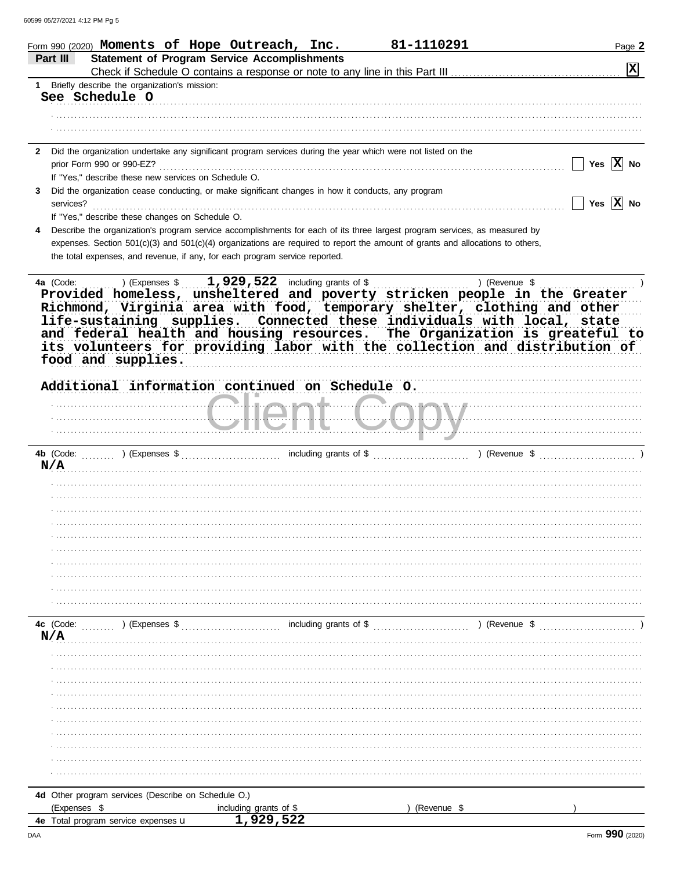| Form 990 (2020) Moments of Hope Outreach, Inc.                                                                                                                  |                                                                                                                                | 81-1110291    | Page 2         |
|-----------------------------------------------------------------------------------------------------------------------------------------------------------------|--------------------------------------------------------------------------------------------------------------------------------|---------------|----------------|
| Part III                                                                                                                                                        | <b>Statement of Program Service Accomplishments</b>                                                                            |               | $ \mathbf{x} $ |
| 1 Briefly describe the organization's mission:                                                                                                                  |                                                                                                                                |               |                |
| See Schedule O                                                                                                                                                  |                                                                                                                                |               |                |
|                                                                                                                                                                 |                                                                                                                                |               |                |
|                                                                                                                                                                 |                                                                                                                                |               |                |
| 2 Did the organization undertake any significant program services during the year which were not listed on the                                                  |                                                                                                                                |               |                |
| prior Form 990 or 990-EZ?                                                                                                                                       |                                                                                                                                |               | Yes $ X $ No   |
| If "Yes," describe these new services on Schedule O.<br>Did the organization cease conducting, or make significant changes in how it conducts, any program<br>3 |                                                                                                                                |               |                |
| services?                                                                                                                                                       |                                                                                                                                |               | Yes $ X $ No   |
| If "Yes," describe these changes on Schedule O.                                                                                                                 |                                                                                                                                |               |                |
| Describe the organization's program service accomplishments for each of its three largest program services, as measured by                                      |                                                                                                                                |               |                |
| the total expenses, and revenue, if any, for each program service reported.                                                                                     | expenses. Section 501(c)(3) and 501(c)(4) organizations are required to report the amount of grants and allocations to others, |               |                |
|                                                                                                                                                                 |                                                                                                                                |               |                |
| ) (Expenses $\$\ldots$<br>4a (Code:                                                                                                                             | 1,929,522 including grants of \$                                                                                               | ) (Revenue \$ |                |
| Provided homeless, unsheltered and poverty stricken people in the Greater                                                                                       |                                                                                                                                |               |                |
| Richmond, Virginia area with food, temporary shelter, clothing and other                                                                                        |                                                                                                                                |               |                |
| life-sustaining supplies. Connected these individuals with local, state<br>and federal health and housing resources. The Organization is greateful to           |                                                                                                                                |               |                |
| its volunteers for providing labor with the collection and distribution of                                                                                      |                                                                                                                                |               |                |
| food and supplies.                                                                                                                                              |                                                                                                                                |               |                |
|                                                                                                                                                                 |                                                                                                                                |               |                |
| Additional information continued on Schedule 0.                                                                                                                 |                                                                                                                                |               |                |
|                                                                                                                                                                 |                                                                                                                                |               |                |
|                                                                                                                                                                 |                                                                                                                                |               |                |
|                                                                                                                                                                 |                                                                                                                                |               |                |
| 4b (Code:<br>) (Expenses \$                                                                                                                                     | including grants of \$                                                                                                         | ) (Revenue \$ |                |
| N/A                                                                                                                                                             |                                                                                                                                |               |                |
|                                                                                                                                                                 |                                                                                                                                |               |                |
|                                                                                                                                                                 |                                                                                                                                |               |                |
|                                                                                                                                                                 |                                                                                                                                |               |                |
|                                                                                                                                                                 |                                                                                                                                |               |                |
|                                                                                                                                                                 |                                                                                                                                |               |                |
|                                                                                                                                                                 |                                                                                                                                |               |                |
|                                                                                                                                                                 |                                                                                                                                |               |                |
|                                                                                                                                                                 |                                                                                                                                |               |                |
|                                                                                                                                                                 |                                                                                                                                |               |                |
| 4c (Code:<br>) (Expenses \$                                                                                                                                     | including grants of \$                                                                                                         | ) (Revenue \$ |                |
| N/A                                                                                                                                                             |                                                                                                                                |               |                |
|                                                                                                                                                                 |                                                                                                                                |               |                |
|                                                                                                                                                                 |                                                                                                                                |               |                |
|                                                                                                                                                                 |                                                                                                                                |               |                |
|                                                                                                                                                                 |                                                                                                                                |               |                |
|                                                                                                                                                                 |                                                                                                                                |               |                |
|                                                                                                                                                                 |                                                                                                                                |               |                |
|                                                                                                                                                                 |                                                                                                                                |               |                |
|                                                                                                                                                                 |                                                                                                                                |               |                |
|                                                                                                                                                                 |                                                                                                                                |               |                |
| 4d Other program services (Describe on Schedule O.)                                                                                                             |                                                                                                                                |               |                |
| (Expenses \$                                                                                                                                                    | including grants of \$                                                                                                         | (Revenue \$   |                |
| 4e Total program service expenses u                                                                                                                             | 1,929,522                                                                                                                      |               |                |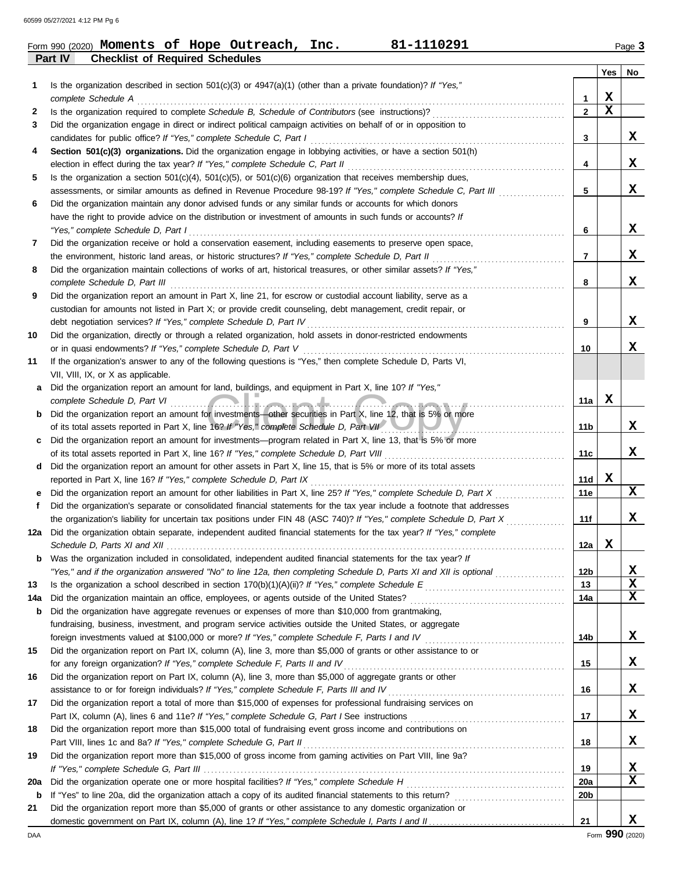|     | 81-1110291<br>Form 990 (2020) Moments of Hope Outreach, Inc.<br>Part IV                                                                                                                                |                |                         | Page 3      |
|-----|--------------------------------------------------------------------------------------------------------------------------------------------------------------------------------------------------------|----------------|-------------------------|-------------|
|     | <b>Checklist of Required Schedules</b>                                                                                                                                                                 |                | Yes                     | No          |
| 1   | Is the organization described in section $501(c)(3)$ or $4947(a)(1)$ (other than a private foundation)? If "Yes,"                                                                                      |                |                         |             |
|     | complete Schedule A                                                                                                                                                                                    | 1              | X                       |             |
| 2   | Is the organization required to complete Schedule B, Schedule of Contributors (see instructions)?                                                                                                      | $\overline{2}$ | $\overline{\mathbf{x}}$ |             |
| 3   | Did the organization engage in direct or indirect political campaign activities on behalf of or in opposition to                                                                                       | $\mathbf{3}$   |                         | X           |
|     | candidates for public office? If "Yes," complete Schedule C, Part I                                                                                                                                    |                |                         |             |
| 4   | Section 501(c)(3) organizations. Did the organization engage in lobbying activities, or have a section 501(h)                                                                                          | 4              |                         | х           |
| 5   | election in effect during the tax year? If "Yes," complete Schedule C, Part II<br>Is the organization a section $501(c)(4)$ , $501(c)(5)$ , or $501(c)(6)$ organization that receives membership dues, |                |                         |             |
|     | assessments, or similar amounts as defined in Revenue Procedure 98-19? If "Yes," complete Schedule C, Part III                                                                                         | 5              |                         | х           |
| 6   | Did the organization maintain any donor advised funds or any similar funds or accounts for which donors                                                                                                |                |                         |             |
|     | have the right to provide advice on the distribution or investment of amounts in such funds or accounts? If                                                                                            |                |                         |             |
|     | "Yes," complete Schedule D, Part I                                                                                                                                                                     | 6              |                         | X           |
|     | Did the organization receive or hold a conservation easement, including easements to preserve open space,                                                                                              |                |                         |             |
| 7   | the environment, historic land areas, or historic structures? If "Yes," complete Schedule D, Part II                                                                                                   | $\overline{7}$ |                         | x           |
|     |                                                                                                                                                                                                        |                |                         |             |
| 8   | Did the organization maintain collections of works of art, historical treasures, or other similar assets? If "Yes,"                                                                                    | 8              |                         | x           |
|     | complete Schedule D, Part III                                                                                                                                                                          |                |                         |             |
| 9   | Did the organization report an amount in Part X, line 21, for escrow or custodial account liability, serve as a                                                                                        |                |                         |             |
|     | custodian for amounts not listed in Part X; or provide credit counseling, debt management, credit repair, or                                                                                           | 9              |                         | x           |
|     | debt negotiation services? If "Yes," complete Schedule D, Part IV<br>Did the organization, directly or through a related organization, hold assets in donor-restricted endowments                      |                |                         |             |
| 10  |                                                                                                                                                                                                        | 10             |                         | x           |
| 11  | or in quasi endowments? If "Yes," complete Schedule D, Part V                                                                                                                                          |                |                         |             |
|     | If the organization's answer to any of the following questions is "Yes," then complete Schedule D, Parts VI,<br>VII, VIII, IX, or X as applicable.                                                     |                |                         |             |
|     | Did the organization report an amount for land, buildings, and equipment in Part X, line 10? If "Yes,"                                                                                                 |                |                         |             |
| а   | complete Schedule D, Part VI                                                                                                                                                                           | 11a            | х                       |             |
|     | <u>and the companishment and companishment</u><br>Did the organization report an amount for investments—other securities in Part X, line 12, that is 5% or more                                        |                |                         |             |
| b   | of its total assets reported in Part X, line 16? If "Yes," complete Schedule D, Part VII                                                                                                               | 11b            |                         | x           |
|     | Did the organization report an amount for investments—program related in Part X, line 13, that is 5% or more                                                                                           |                |                         |             |
| c   | of its total assets reported in Part X, line 16? If "Yes," complete Schedule D, Part VIII                                                                                                              | 11c            |                         | х           |
| d   | Did the organization report an amount for other assets in Part X, line 15, that is 5% or more of its total assets                                                                                      |                |                         |             |
|     | reported in Part X, line 16? If "Yes," complete Schedule D, Part IX                                                                                                                                    | 11d            | х                       |             |
|     | Did the organization report an amount for other liabilities in Part X, line 25? If "Yes," complete Schedule D, Part X                                                                                  | 11e            |                         | X           |
| f   | Did the organization's separate or consolidated financial statements for the tax year include a footnote that addresses                                                                                |                |                         |             |
|     | the organization's liability for uncertain tax positions under FIN 48 (ASC 740)? If "Yes," complete Schedule D, Part X [[[[[[[[[[[[[[[[[[[[[[[[[[[]]]]]]]]]                                            | 11f            |                         | X           |
|     | 12a Did the organization obtain separate, independent audited financial statements for the tax year? If "Yes," complete                                                                                |                |                         |             |
|     |                                                                                                                                                                                                        | 12a            | X                       |             |
| b   | Was the organization included in consolidated, independent audited financial statements for the tax year? If                                                                                           |                |                         |             |
|     | "Yes," and if the organization answered "No" to line 12a, then completing Schedule D, Parts XI and XII is optional                                                                                     | 12b            |                         | х           |
| 13  |                                                                                                                                                                                                        | 13             |                         | $\mathbf x$ |
| 14a | Did the organization maintain an office, employees, or agents outside of the United States?                                                                                                            | 14a            |                         | $\mathbf x$ |
| b   | Did the organization have aggregate revenues or expenses of more than \$10,000 from grantmaking,                                                                                                       |                |                         |             |
|     | fundraising, business, investment, and program service activities outside the United States, or aggregate                                                                                              |                |                         |             |
|     |                                                                                                                                                                                                        | 14b            |                         | X           |
| 15  | Did the organization report on Part IX, column (A), line 3, more than \$5,000 of grants or other assistance to or                                                                                      |                |                         |             |
|     | for any foreign organization? If "Yes," complete Schedule F, Parts II and IV                                                                                                                           | 15             |                         | X           |
| 16  | Did the organization report on Part IX, column (A), line 3, more than \$5,000 of aggregate grants or other                                                                                             |                |                         |             |
|     | assistance to or for foreign individuals? If "Yes," complete Schedule F, Parts III and IV                                                                                                              | 16             |                         | X           |
|     | Did the organization report a total of more than \$15,000 of expenses for professional fundraising services on                                                                                         |                |                         |             |

**18 19** Did the organization report more than \$15,000 total of fundraising event gross income and contributions on Did the organization report more than \$15,000 of gross income from gaming activities on Part VIII, line 9a? **19 18 17 16** Part IX, column (A), lines 6 and 11e? *If "Yes," complete Schedule G, Part I* See instructions . . . . . . . . . . . . . . . . . . . . . . . . . . . . . . . . . . . . . . . . . . Part VIII, lines 1c and 8a? *If "Yes," complete Schedule G, Part II* . . . . . . . . . . . . . . . . . . . . . . . . . . . . . . . . . . . . . . . . . . . . . . . . . . . . . . . . . . . . . . . . . . . . . . . *If "Yes," complete Schedule G, Part III* . . . . . . . . . . . . . . . . . . . . . . . . . . . . . . . . . . . . . . . . . . . . . . . . . . . . . . . . . . . . . . . . . . . . . . . . . . . . . . . . . . . . . . . . . . . . . . . . . . **20a** Did the organization operate one or more hospital facilities? *If "Yes," complete Schedule H* . . . . . . . . . . . . . . . . . . . . . . . . . . . . . . . . . . . . . . . . . . . **b** If "Yes" to line 20a, did the organization attach a copy of its audited financial statements to this return? . . . . . . . . . . . . . . . . . . . . . . . . . . . . . . **20a 20b** domestic government on Part IX, column (A), line 1? If "Yes," complete Schedule I, Parts I and II **21** Did the organization report more than \$5,000 of grants or other assistance to any domestic organization or **21 X X X X X X**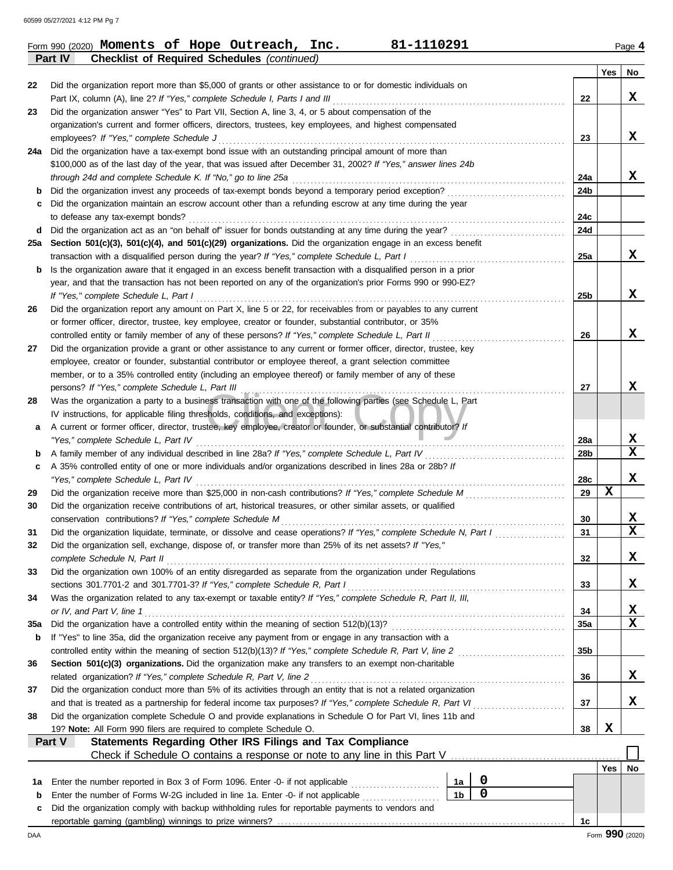**Part IV Checklist of Required Schedules** *(continued)*

|            |                                                                                                                                                                                                     |                 | Yes | No                      |
|------------|-----------------------------------------------------------------------------------------------------------------------------------------------------------------------------------------------------|-----------------|-----|-------------------------|
| 22         | Did the organization report more than \$5,000 of grants or other assistance to or for domestic individuals on                                                                                       |                 |     |                         |
|            | Part IX, column (A), line 2? If "Yes," complete Schedule I, Parts I and III                                                                                                                         | 22              |     | x                       |
| 23         | Did the organization answer "Yes" to Part VII, Section A, line 3, 4, or 5 about compensation of the                                                                                                 |                 |     |                         |
|            | organization's current and former officers, directors, trustees, key employees, and highest compensated                                                                                             |                 |     |                         |
|            | employees? If "Yes," complete Schedule J                                                                                                                                                            | 23              |     | x                       |
| 24a        | Did the organization have a tax-exempt bond issue with an outstanding principal amount of more than                                                                                                 |                 |     |                         |
|            | \$100,000 as of the last day of the year, that was issued after December 31, 2002? If "Yes," answer lines 24b                                                                                       |                 |     |                         |
|            | through 24d and complete Schedule K. If "No," go to line 25a                                                                                                                                        | 24a             |     | x                       |
| b          | Did the organization invest any proceeds of tax-exempt bonds beyond a temporary period exception?                                                                                                   | 24b             |     |                         |
| с          | Did the organization maintain an escrow account other than a refunding escrow at any time during the year                                                                                           |                 |     |                         |
|            | to defease any tax-exempt bonds?                                                                                                                                                                    | 24c             |     |                         |
| d          | Did the organization act as an "on behalf of" issuer for bonds outstanding at any time during the year?                                                                                             | 24d             |     |                         |
| 25а        | Section 501(c)(3), 501(c)(4), and 501(c)(29) organizations. Did the organization engage in an excess benefit                                                                                        |                 |     |                         |
|            | transaction with a disqualified person during the year? If "Yes," complete Schedule L, Part I                                                                                                       | 25a             |     | x                       |
| b          | Is the organization aware that it engaged in an excess benefit transaction with a disqualified person in a prior                                                                                    |                 |     |                         |
|            | year, and that the transaction has not been reported on any of the organization's prior Forms 990 or 990-EZ?                                                                                        |                 |     |                         |
|            | If "Yes," complete Schedule L, Part I                                                                                                                                                               | 25 <sub>b</sub> |     | X                       |
| 26         | Did the organization report any amount on Part X, line 5 or 22, for receivables from or payables to any current                                                                                     |                 |     |                         |
|            | or former officer, director, trustee, key employee, creator or founder, substantial contributor, or 35%                                                                                             |                 |     |                         |
|            | controlled entity or family member of any of these persons? If "Yes," complete Schedule L, Part II                                                                                                  | 26              |     | x                       |
| 27         | Did the organization provide a grant or other assistance to any current or former officer, director, trustee, key                                                                                   |                 |     |                         |
|            | employee, creator or founder, substantial contributor or employee thereof, a grant selection committee                                                                                              |                 |     |                         |
|            | member, or to a 35% controlled entity (including an employee thereof) or family member of any of these                                                                                              |                 |     | x                       |
|            | persons? If "Yes," complete Schedule L, Part III                                                                                                                                                    | 27              |     |                         |
| 28         | Was the organization a party to a business transaction with one of the following parties (see Schedule L, Part                                                                                      |                 |     |                         |
|            | IV instructions, for applicable filing thresholds, conditions, and exceptions):<br>A current or former officer, director, trustee, key employee, creator or founder, or substantial contributor? If |                 |     |                         |
| а          | "Yes," complete Schedule L, Part IV                                                                                                                                                                 | 28a             |     | X.                      |
| b          | A family member of any individual described in line 28a? If "Yes," complete Schedule L, Part IV                                                                                                     | 28b             |     | $\overline{\mathbf{x}}$ |
| c          | A 35% controlled entity of one or more individuals and/or organizations described in lines 28a or 28b? If                                                                                           |                 |     |                         |
|            | "Yes," complete Schedule L, Part IV                                                                                                                                                                 | 28c             |     | x                       |
| 29         |                                                                                                                                                                                                     | 29              | X   |                         |
| 30         | Did the organization receive contributions of art, historical treasures, or other similar assets, or qualified                                                                                      |                 |     |                         |
|            | conservation contributions? If "Yes," complete Schedule M                                                                                                                                           | 30              |     | X                       |
| 31         | Did the organization liquidate, terminate, or dissolve and cease operations? If "Yes," complete Schedule N, Part I                                                                                  | 31              |     | $\overline{\mathbf{x}}$ |
| 32         | Did the organization sell, exchange, dispose of, or transfer more than 25% of its net assets? If "Yes,"                                                                                             |                 |     |                         |
|            | complete Schedule N, Part II                                                                                                                                                                        | 32              |     | X                       |
| 33         | Did the organization own 100% of an entity disregarded as separate from the organization under Regulations                                                                                          |                 |     |                         |
|            | sections 301.7701-2 and 301.7701-3? If "Yes," complete Schedule R, Part I                                                                                                                           | 33              |     | X.                      |
| 34         | Was the organization related to any tax-exempt or taxable entity? If "Yes," complete Schedule R, Part II, III,                                                                                      |                 |     |                         |
|            | or IV, and Part V, line 1                                                                                                                                                                           | 34              |     | x                       |
| <b>35a</b> |                                                                                                                                                                                                     | 35a             |     | x                       |
| b          | If "Yes" to line 35a, did the organization receive any payment from or engage in any transaction with a                                                                                             |                 |     |                         |
|            | controlled entity within the meaning of section 512(b)(13)? If "Yes," complete Schedule R, Part V, line 2                                                                                           | 35 <sub>b</sub> |     |                         |
| 36         | Section 501(c)(3) organizations. Did the organization make any transfers to an exempt non-charitable                                                                                                |                 |     |                         |
|            | related organization? If "Yes," complete Schedule R, Part V, line 2                                                                                                                                 | 36              |     | X.                      |
| 37         | Did the organization conduct more than 5% of its activities through an entity that is not a related organization                                                                                    |                 |     |                         |
|            | and that is treated as a partnership for federal income tax purposes? If "Yes," complete Schedule R, Part VI.                                                                                       | 37              |     | x                       |
| 38         | Did the organization complete Schedule O and provide explanations in Schedule O for Part VI, lines 11b and                                                                                          |                 |     |                         |
|            | 19? Note: All Form 990 filers are required to complete Schedule O.                                                                                                                                  | 38              | X   |                         |
|            | Statements Regarding Other IRS Filings and Tax Compliance<br>Part V                                                                                                                                 |                 |     |                         |
|            |                                                                                                                                                                                                     |                 |     |                         |
|            |                                                                                                                                                                                                     |                 | Yes | No.                     |
| 1a         | 0<br>Enter the number reported in Box 3 of Form 1096. Enter -0- if not applicable [<br>1a                                                                                                           |                 |     |                         |
| b          | $\mathbf 0$<br>1 <sub>b</sub><br>Enter the number of Forms W-2G included in line 1a. Enter -0- if not applicable                                                                                    |                 |     |                         |
| с          | Did the organization comply with backup withholding rules for reportable payments to vendors and                                                                                                    |                 |     |                         |
|            |                                                                                                                                                                                                     | 1c              |     |                         |
| DAA        |                                                                                                                                                                                                     |                 |     | Form 990 (2020)         |

Form 990 (2020) **Moments of Hope Outreach, Inc.** 81-1110291 Page 4 **Moments of Hope Outreach, Inc. 81-1110291**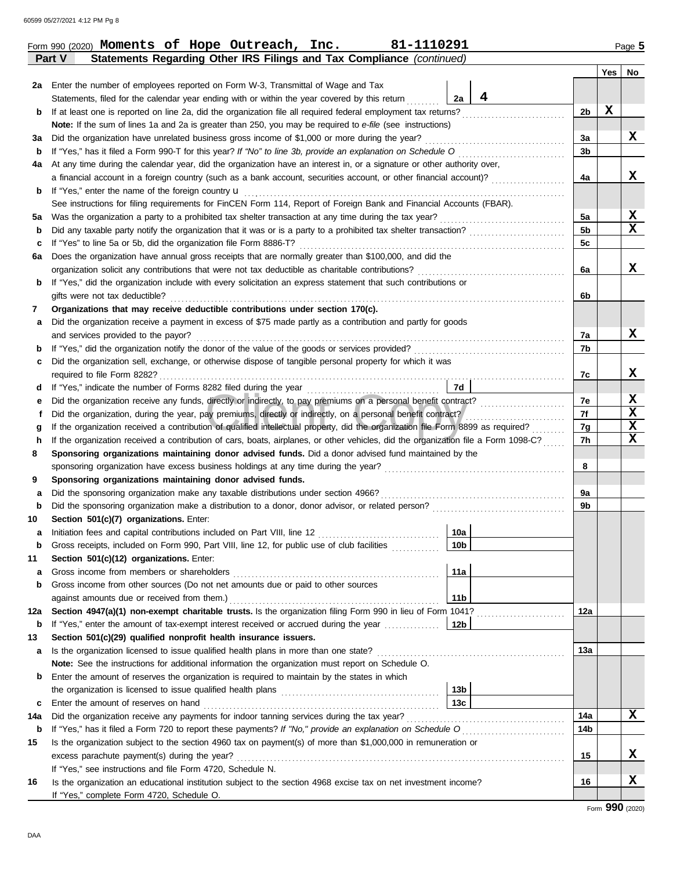|                  |                                                                                                                                                 |                 |   |     | Yes | No               |
|------------------|-------------------------------------------------------------------------------------------------------------------------------------------------|-----------------|---|-----|-----|------------------|
| 2a               | Enter the number of employees reported on Form W-3, Transmittal of Wage and Tax                                                                 |                 |   |     |     |                  |
|                  | Statements, filed for the calendar year ending with or within the year covered by this return                                                   | 2a              | 4 |     |     |                  |
| b                | If at least one is reported on line 2a, did the organization file all required federal employment tax returns?                                  |                 |   | 2b  | X   |                  |
|                  | Note: If the sum of lines 1a and 2a is greater than 250, you may be required to e-file (see instructions)                                       |                 |   |     |     |                  |
| за               | Did the organization have unrelated business gross income of \$1,000 or more during the year?                                                   |                 |   | 3a  |     | x                |
| b                |                                                                                                                                                 |                 |   | 3b  |     |                  |
| 4a               | At any time during the calendar year, did the organization have an interest in, or a signature or other authority over,                         |                 |   |     |     |                  |
|                  | a financial account in a foreign country (such as a bank account, securities account, or other financial account)?                              |                 |   | 4a  |     | X                |
| b                | If "Yes," enter the name of the foreign country u                                                                                               |                 |   |     |     |                  |
|                  | See instructions for filing requirements for FinCEN Form 114, Report of Foreign Bank and Financial Accounts (FBAR).                             |                 |   |     |     |                  |
| 5а               | Was the organization a party to a prohibited tax shelter transaction at any time during the tax year?                                           |                 |   | 5a  |     | x                |
| b                |                                                                                                                                                 |                 |   | 5b  |     | x                |
| c                | If "Yes" to line 5a or 5b, did the organization file Form 8886-T?                                                                               |                 |   | 5c  |     |                  |
| 6а               | Does the organization have annual gross receipts that are normally greater than \$100,000, and did the                                          |                 |   |     |     |                  |
|                  | organization solicit any contributions that were not tax deductible as charitable contributions?                                                |                 |   | 6a  |     | x                |
| b                | If "Yes," did the organization include with every solicitation an express statement that such contributions or                                  |                 |   |     |     |                  |
|                  | gifts were not tax deductible?                                                                                                                  |                 |   | 6b  |     |                  |
| 7                | Organizations that may receive deductible contributions under section 170(c).                                                                   |                 |   |     |     |                  |
| а                | Did the organization receive a payment in excess of \$75 made partly as a contribution and partly for goods                                     |                 |   |     |     |                  |
|                  | and services provided to the payor?                                                                                                             |                 |   | 7a  |     | X                |
| b                |                                                                                                                                                 |                 |   | 7b  |     |                  |
| c                | Did the organization sell, exchange, or otherwise dispose of tangible personal property for which it was                                        |                 |   |     |     |                  |
|                  |                                                                                                                                                 |                 |   | 7c  |     | x                |
| d                |                                                                                                                                                 | 7d              |   |     |     |                  |
| е                | Did the organization receive any funds, directly or indirectly, to pay premiums on a personal benefit contract?                                 |                 |   | 7e  |     | X                |
| f                | Did the organization, during the year, pay premiums, directly or indirectly, on a personal benefit contract?                                    |                 |   | 7f  |     | $\mathbf x$      |
| g                | If the organization received a contribution of qualified intellectual property, did the organization file Form 8899 as required?                |                 |   | 7g  |     | $\mathbf x$<br>X |
| h                | If the organization received a contribution of cars, boats, airplanes, or other vehicles, did the organization file a Form 1098-C?              |                 |   | 7h  |     |                  |
| 8                | Sponsoring organizations maintaining donor advised funds. Did a donor advised fund maintained by the                                            |                 |   | 8   |     |                  |
|                  |                                                                                                                                                 |                 |   |     |     |                  |
| 9                | Sponsoring organizations maintaining donor advised funds.<br>Did the sponsoring organization make any taxable distributions under section 4966? |                 |   | 9a  |     |                  |
| а<br>$\mathbf b$ |                                                                                                                                                 |                 |   | 9b  |     |                  |
| 10               | Section 501(c)(7) organizations. Enter:                                                                                                         |                 |   |     |     |                  |
| а                | Initiation fees and capital contributions included on Part VIII, line 12                                                                        | 10a             |   |     |     |                  |
| b                | Gross receipts, included on Form 990, Part VIII, line 12, for public use of club facilities                                                     | 10 <sub>b</sub> |   |     |     |                  |
| 11               | Section 501(c)(12) organizations. Enter:                                                                                                        |                 |   |     |     |                  |
| a                | Gross income from members or shareholders                                                                                                       | 11a             |   |     |     |                  |
| $\mathbf b$      | Gross income from other sources (Do not net amounts due or paid to other sources                                                                |                 |   |     |     |                  |
|                  |                                                                                                                                                 | 11 <sub>b</sub> |   |     |     |                  |
| 12a              | Section 4947(a)(1) non-exempt charitable trusts. Is the organization filing Form 990 in lieu of Form 1041?                                      |                 |   | 12a |     |                  |
| b                | If "Yes," enter the amount of tax-exempt interest received or accrued during the year <i>minimizion</i> .                                       | 12b             |   |     |     |                  |
| 13               | Section 501(c)(29) qualified nonprofit health insurance issuers.                                                                                |                 |   |     |     |                  |
| а                | Is the organization licensed to issue qualified health plans in more than one state?                                                            |                 |   | 13а |     |                  |
|                  | Note: See the instructions for additional information the organization must report on Schedule O.                                               |                 |   |     |     |                  |
| b                | Enter the amount of reserves the organization is required to maintain by the states in which                                                    |                 |   |     |     |                  |
|                  |                                                                                                                                                 | 13 <sub>b</sub> |   |     |     |                  |
| c                | Enter the amount of reserves on hand                                                                                                            | 13с             |   |     |     |                  |
| 14a              |                                                                                                                                                 |                 |   | 14a |     | x                |
| b                | If "Yes," has it filed a Form 720 to report these payments? If "No," provide an explanation on Schedule O                                       |                 |   | 14b |     |                  |
| 15               | Is the organization subject to the section 4960 tax on payment(s) of more than \$1,000,000 in remuneration or                                   |                 |   |     |     |                  |
|                  | excess parachute payment(s) during the year?                                                                                                    |                 |   | 15  |     | x                |
|                  | If "Yes," see instructions and file Form 4720, Schedule N.                                                                                      |                 |   |     |     |                  |
| 16               | Is the organization an educational institution subject to the section 4968 excise tax on net investment income?                                 |                 |   | 16  |     | x                |
|                  | If "Yes," complete Form 4720, Schedule O.                                                                                                       |                 |   |     |     |                  |
|                  |                                                                                                                                                 |                 |   |     |     | Form 990 (2020)  |

**Part V Statements Regarding Other IRS Filings and Tax Compliance** *(continued)*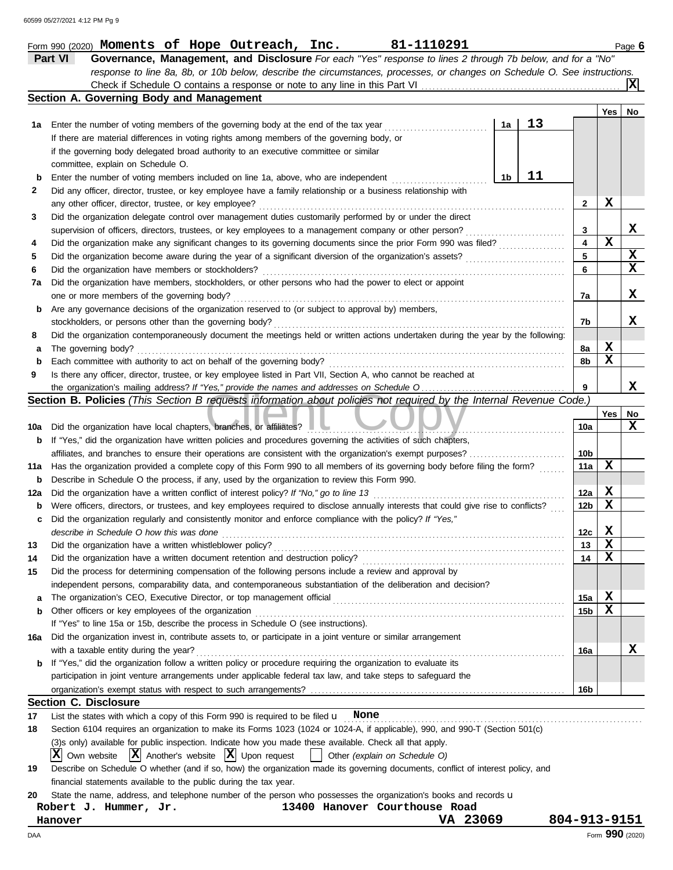|     | Part VI<br>Governance, Management, and Disclosure For each "Yes" response to lines 2 through 7b below, and for a "No"               |                 |                 |    |
|-----|-------------------------------------------------------------------------------------------------------------------------------------|-----------------|-----------------|----|
|     | response to line 8a, 8b, or 10b below, describe the circumstances, processes, or changes on Schedule O. See instructions.           |                 |                 |    |
|     |                                                                                                                                     |                 |                 | Iх |
|     | Section A. Governing Body and Management                                                                                            |                 |                 |    |
|     |                                                                                                                                     |                 | Yes             | No |
| 1a  | 13<br>Enter the number of voting members of the governing body at the end of the tax year<br>1a                                     |                 |                 |    |
|     | If there are material differences in voting rights among members of the governing body, or                                          |                 |                 |    |
|     | if the governing body delegated broad authority to an executive committee or similar                                                |                 |                 |    |
|     | committee, explain on Schedule O.                                                                                                   |                 |                 |    |
| b   | 11<br>Enter the number of voting members included on line 1a, above, who are independent<br>1b                                      |                 |                 |    |
| 2   | Did any officer, director, trustee, or key employee have a family relationship or a business relationship with                      |                 |                 |    |
|     | any other officer, director, trustee, or key employee?                                                                              | 2               | X               |    |
| 3   | Did the organization delegate control over management duties customarily performed by or under the direct                           |                 |                 |    |
|     | supervision of officers, directors, trustees, or key employees to a management company or other person?<br>.                        | 3               |                 | X  |
| 4   | Did the organization make any significant changes to its governing documents since the prior Form 990 was filed?                    | 4               | X               |    |
| 5   |                                                                                                                                     | 5               |                 | X  |
| 6   | Did the organization have members or stockholders?                                                                                  | 6               |                 | X  |
| 7a  | Did the organization have members, stockholders, or other persons who had the power to elect or appoint                             |                 |                 |    |
|     | one or more members of the governing body?                                                                                          | 7a              |                 | x  |
| b   | Are any governance decisions of the organization reserved to (or subject to approval by) members,                                   |                 |                 |    |
|     | stockholders, or persons other than the governing body?                                                                             | 7b              |                 | x  |
| 8   | Did the organization contemporaneously document the meetings held or written actions undertaken during the year by the following:   |                 |                 |    |
|     |                                                                                                                                     | 8a              | х               |    |
| а   | The governing body?                                                                                                                 |                 | X               |    |
| b   | Each committee with authority to act on behalf of the governing body?                                                               | 8b              |                 |    |
| 9   | Is there any officer, director, trustee, or key employee listed in Part VII, Section A, who cannot be reached at                    |                 |                 |    |
|     |                                                                                                                                     | 9               |                 | х  |
|     | Section B. Policies (This Section B requests information about policies not required by the Internal Revenue Code.)                 |                 |                 |    |
|     |                                                                                                                                     |                 | Yes             | No |
| 10a | Did the organization have local chapters, branches, or affiliates?                                                                  | 10a             |                 | х  |
| b   | If "Yes," did the organization have written policies and procedures governing the activities of such chapters,                      |                 |                 |    |
|     | affiliates, and branches to ensure their operations are consistent with the organization's exempt purposes?                         | 10b             |                 |    |
| 11a | Has the organization provided a complete copy of this Form 990 to all members of its governing body before filing the form?         | 11a             | х               |    |
| b   | Describe in Schedule O the process, if any, used by the organization to review this Form 990.                                       |                 |                 |    |
| 12a | Did the organization have a written conflict of interest policy? If "No," go to line 13                                             | 12a             | X               |    |
| b   | Were officers, directors, or trustees, and key employees required to disclose annually interests that could give rise to conflicts? | 12 <sub>b</sub> | X               |    |
| c   | Did the organization regularly and consistently monitor and enforce compliance with the policy? If "Yes,"                           |                 |                 |    |
|     | describe in Schedule O how this was done                                                                                            | 12c             | X               |    |
| 13. | Did the organization have a written whistleblower policy?                                                                           | 13              | X               |    |
| 14  |                                                                                                                                     | 14              | X               |    |
| 15  | Did the process for determining compensation of the following persons include a review and approval by                              |                 |                 |    |
|     | independent persons, comparability data, and contemporaneous substantiation of the deliberation and decision?                       |                 |                 |    |
| a   |                                                                                                                                     | 15a             | $\mathbf x$     |    |
| b   | Other officers or key employees of the organization                                                                                 | 15 <sub>b</sub> | X               |    |
|     | If "Yes" to line 15a or 15b, describe the process in Schedule O (see instructions).                                                 |                 |                 |    |
| 16a | Did the organization invest in, contribute assets to, or participate in a joint venture or similar arrangement                      |                 |                 |    |
|     | with a taxable entity during the year?                                                                                              | 16a             |                 | x  |
| b   | If "Yes," did the organization follow a written policy or procedure requiring the organization to evaluate its                      |                 |                 |    |
|     | participation in joint venture arrangements under applicable federal tax law, and take steps to safeguard the                       |                 |                 |    |
|     |                                                                                                                                     | 16 <sub>b</sub> |                 |    |
|     | <b>Section C. Disclosure</b>                                                                                                        |                 |                 |    |
| 17  | List the states with which a copy of this Form 990 is required to be filed $\mathbf u$ None                                         |                 |                 |    |
| 18  | Section 6104 requires an organization to make its Forms 1023 (1024 or 1024-A, if applicable), 990, and 990-T (Section 501(c)        |                 |                 |    |
|     | (3)s only) available for public inspection. Indicate how you made these available. Check all that apply.                            |                 |                 |    |
|     | $ X $ Own website $ X $ Another's website $ X $ Upon request<br>  Other (explain on Schedule O)                                     |                 |                 |    |
| 19  | Describe on Schedule O whether (and if so, how) the organization made its governing documents, conflict of interest policy, and     |                 |                 |    |
|     |                                                                                                                                     |                 |                 |    |
|     | financial statements available to the public during the tax year.                                                                   |                 |                 |    |
| 20  | State the name, address, and telephone number of the person who possesses the organization's books and records u                    |                 |                 |    |
|     | 13400 Hanover Courthouse Road<br>Robert J. Hummer, Jr.                                                                              | 804-913-9151    |                 |    |
|     | VA 23069<br>Hanover                                                                                                                 |                 |                 |    |
| DAA |                                                                                                                                     |                 | Form 990 (2020) |    |

**Moments of Hope Outreach, Inc. 81-1110291**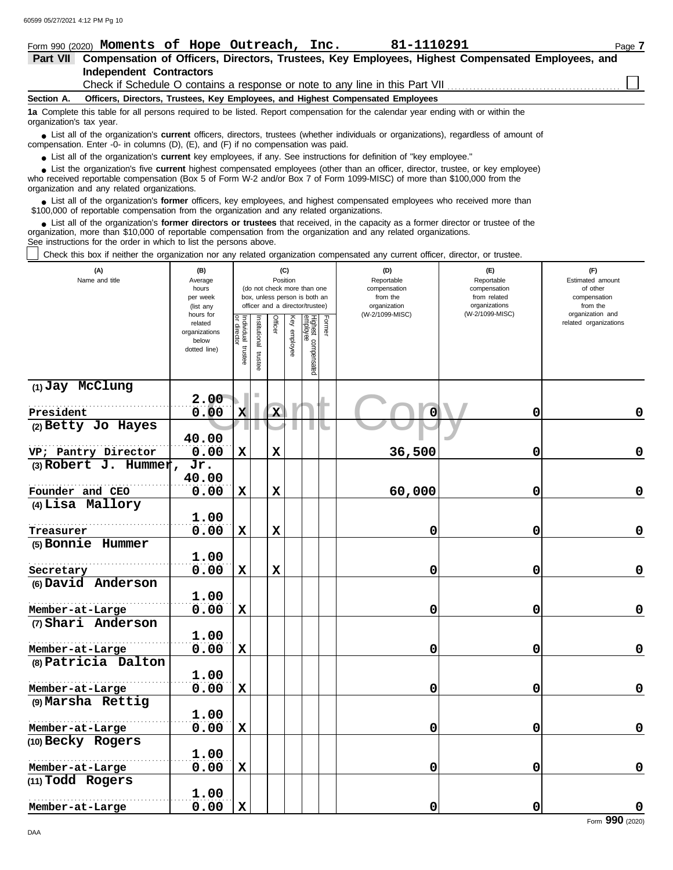| 81-1110291<br>Form 990 (2020) Moments of Hope Outreach, Inc.                                                                                                                                                                                                                                                                         | Page 7 |
|--------------------------------------------------------------------------------------------------------------------------------------------------------------------------------------------------------------------------------------------------------------------------------------------------------------------------------------|--------|
| Compensation of Officers, Directors, Trustees, Key Employees, Highest Compensated Employees, and<br><b>Part VII</b>                                                                                                                                                                                                                  |        |
| <b>Independent Contractors</b>                                                                                                                                                                                                                                                                                                       |        |
|                                                                                                                                                                                                                                                                                                                                      |        |
| Officers, Directors, Trustees, Key Employees, and Highest Compensated Employees<br>Section A.                                                                                                                                                                                                                                        |        |
| 1a Complete this table for all persons required to be listed. Report compensation for the calendar year ending with or within the<br>organization's tax year.                                                                                                                                                                        |        |
| • List all of the organization's <b>current</b> officers, directors, trustees (whether individuals or organizations), regardless of amount of<br>compensation. Enter -0- in columns (D), (E), and (F) if no compensation was paid.                                                                                                   |        |
| • List all of the organization's current key employees, if any. See instructions for definition of "key employee."                                                                                                                                                                                                                   |        |
| • List the organization's five current highest compensated employees (other than an officer, director, trustee, or key employee)<br>who received reportable compensation (Box 5 of Form W-2 and/or Box 7 of Form 1099-MISC) of more than \$100,000 from the<br>organization and any related organizations.                           |        |
| • List all of the organization's former officers, key employees, and highest compensated employees who received more than<br>\$100,000 of reportable compensation from the organization and any related organizations.                                                                                                               |        |
| • List all of the organization's <b>former directors or trustees</b> that received, in the capacity as a former director or trustee of the<br>organization, more than \$10,000 of reportable compensation from the organization and any related organizations.<br>See instructions for the order in which to list the persons above. |        |

Check this box if neither the organization nor any related organization compensated any current officer, director, or trustee.

| (A)<br>Name and title | (B)<br>Average<br>hours<br>per week<br>(list any<br>hours for                                                                                                                                                                                                                                                                                                                                                                                                                                                                                                                                                                                                                                                                                                                                                                                                                                                                                                   |  |  |  | (D)<br>Reportable<br>compensation<br>from the<br>organization<br>(W-2/1099-MISC) | (E)<br>Reportable<br>compensation<br>from related<br>organizations<br>(W-2/1099-MISC) | (F)<br>Estimated amount<br>of other<br>compensation<br>from the<br>organization and |
|-----------------------|-----------------------------------------------------------------------------------------------------------------------------------------------------------------------------------------------------------------------------------------------------------------------------------------------------------------------------------------------------------------------------------------------------------------------------------------------------------------------------------------------------------------------------------------------------------------------------------------------------------------------------------------------------------------------------------------------------------------------------------------------------------------------------------------------------------------------------------------------------------------------------------------------------------------------------------------------------------------|--|--|--|----------------------------------------------------------------------------------|---------------------------------------------------------------------------------------|-------------------------------------------------------------------------------------|
|                       | (C)<br>Position<br>(do not check more than one<br>box, unless person is both an<br>officer and a director/trustee)<br>Individual<br>or director<br><b>Officer</b><br>Highest compensated<br>employee<br>Former<br>Institutional<br>Key employee<br>related organizations<br>related<br>organizations<br>below<br>trustee<br>dotted line)<br>l trustee<br>2.00<br>$\mathbf{x}$<br>0.00<br>Ō<br>$\mathbf 0$<br>$\mathbf x$<br>40.00<br>36,500<br>$\mathbf x$<br>$\mathbf x$<br>0<br>0.00<br>Jr.<br>40.00<br>0.00<br>$\mathbf x$<br>$\mathbf x$<br>60,000<br>0<br>1.00<br>0.00<br>$\mathbf 0$<br>$\mathbf x$<br>$\mathbf x$<br>0<br>1.00<br>0.00<br>$\mathbf x$<br>$\mathbf x$<br>0<br>0<br>1.00<br>0.00<br>0<br>$\mathbf x$<br>0<br>1.00<br>0.00<br>$\mathbf 0$<br>$\mathbf x$<br>0<br>1.00<br>0.00<br>$\mathbf x$<br>0<br>0<br>1.00<br>0.00<br>0<br>$\mathbf x$<br>0<br>1.00<br>0.00<br>0<br>$\mathbf 0$<br>$\mathbf x$<br>1.00<br>0.00<br>$\mathbf x$<br>0<br>0 |  |  |  |                                                                                  |                                                                                       |                                                                                     |
| (1) Jay McClung       |                                                                                                                                                                                                                                                                                                                                                                                                                                                                                                                                                                                                                                                                                                                                                                                                                                                                                                                                                                 |  |  |  |                                                                                  |                                                                                       |                                                                                     |
| President             |                                                                                                                                                                                                                                                                                                                                                                                                                                                                                                                                                                                                                                                                                                                                                                                                                                                                                                                                                                 |  |  |  |                                                                                  |                                                                                       | $\mathbf 0$                                                                         |
| (2) Betty Jo Hayes    |                                                                                                                                                                                                                                                                                                                                                                                                                                                                                                                                                                                                                                                                                                                                                                                                                                                                                                                                                                 |  |  |  |                                                                                  |                                                                                       |                                                                                     |
| VP; Pantry Director   |                                                                                                                                                                                                                                                                                                                                                                                                                                                                                                                                                                                                                                                                                                                                                                                                                                                                                                                                                                 |  |  |  |                                                                                  |                                                                                       | $\mathbf 0$                                                                         |
| (3) Robert J. Hummer, |                                                                                                                                                                                                                                                                                                                                                                                                                                                                                                                                                                                                                                                                                                                                                                                                                                                                                                                                                                 |  |  |  |                                                                                  |                                                                                       |                                                                                     |
|                       |                                                                                                                                                                                                                                                                                                                                                                                                                                                                                                                                                                                                                                                                                                                                                                                                                                                                                                                                                                 |  |  |  |                                                                                  |                                                                                       |                                                                                     |
| Founder and CEO       |                                                                                                                                                                                                                                                                                                                                                                                                                                                                                                                                                                                                                                                                                                                                                                                                                                                                                                                                                                 |  |  |  |                                                                                  |                                                                                       | $\mathbf 0$                                                                         |
| (4) Lisa Mallory      |                                                                                                                                                                                                                                                                                                                                                                                                                                                                                                                                                                                                                                                                                                                                                                                                                                                                                                                                                                 |  |  |  |                                                                                  |                                                                                       |                                                                                     |
|                       |                                                                                                                                                                                                                                                                                                                                                                                                                                                                                                                                                                                                                                                                                                                                                                                                                                                                                                                                                                 |  |  |  |                                                                                  |                                                                                       |                                                                                     |
| Treasurer             |                                                                                                                                                                                                                                                                                                                                                                                                                                                                                                                                                                                                                                                                                                                                                                                                                                                                                                                                                                 |  |  |  |                                                                                  |                                                                                       | $\mathbf 0$                                                                         |
| (5) Bonnie Hummer     |                                                                                                                                                                                                                                                                                                                                                                                                                                                                                                                                                                                                                                                                                                                                                                                                                                                                                                                                                                 |  |  |  |                                                                                  |                                                                                       |                                                                                     |
|                       |                                                                                                                                                                                                                                                                                                                                                                                                                                                                                                                                                                                                                                                                                                                                                                                                                                                                                                                                                                 |  |  |  |                                                                                  |                                                                                       |                                                                                     |
| Secretary             |                                                                                                                                                                                                                                                                                                                                                                                                                                                                                                                                                                                                                                                                                                                                                                                                                                                                                                                                                                 |  |  |  |                                                                                  |                                                                                       | $\mathbf 0$                                                                         |
| (6) David Anderson    |                                                                                                                                                                                                                                                                                                                                                                                                                                                                                                                                                                                                                                                                                                                                                                                                                                                                                                                                                                 |  |  |  |                                                                                  |                                                                                       |                                                                                     |
|                       |                                                                                                                                                                                                                                                                                                                                                                                                                                                                                                                                                                                                                                                                                                                                                                                                                                                                                                                                                                 |  |  |  |                                                                                  |                                                                                       |                                                                                     |
| Member-at-Large       |                                                                                                                                                                                                                                                                                                                                                                                                                                                                                                                                                                                                                                                                                                                                                                                                                                                                                                                                                                 |  |  |  |                                                                                  |                                                                                       | $\mathbf 0$                                                                         |
| (7) Shari Anderson    |                                                                                                                                                                                                                                                                                                                                                                                                                                                                                                                                                                                                                                                                                                                                                                                                                                                                                                                                                                 |  |  |  |                                                                                  |                                                                                       |                                                                                     |
|                       |                                                                                                                                                                                                                                                                                                                                                                                                                                                                                                                                                                                                                                                                                                                                                                                                                                                                                                                                                                 |  |  |  |                                                                                  |                                                                                       |                                                                                     |
| Member-at-Large       |                                                                                                                                                                                                                                                                                                                                                                                                                                                                                                                                                                                                                                                                                                                                                                                                                                                                                                                                                                 |  |  |  |                                                                                  |                                                                                       | $\mathbf 0$                                                                         |
| (8) Patricia Dalton   |                                                                                                                                                                                                                                                                                                                                                                                                                                                                                                                                                                                                                                                                                                                                                                                                                                                                                                                                                                 |  |  |  |                                                                                  |                                                                                       |                                                                                     |
|                       |                                                                                                                                                                                                                                                                                                                                                                                                                                                                                                                                                                                                                                                                                                                                                                                                                                                                                                                                                                 |  |  |  |                                                                                  |                                                                                       |                                                                                     |
| Member-at-Large       |                                                                                                                                                                                                                                                                                                                                                                                                                                                                                                                                                                                                                                                                                                                                                                                                                                                                                                                                                                 |  |  |  |                                                                                  |                                                                                       | $\mathbf 0$                                                                         |
| (9) Marsha Rettig     |                                                                                                                                                                                                                                                                                                                                                                                                                                                                                                                                                                                                                                                                                                                                                                                                                                                                                                                                                                 |  |  |  |                                                                                  |                                                                                       |                                                                                     |
|                       |                                                                                                                                                                                                                                                                                                                                                                                                                                                                                                                                                                                                                                                                                                                                                                                                                                                                                                                                                                 |  |  |  |                                                                                  |                                                                                       |                                                                                     |
| Member-at-Large       |                                                                                                                                                                                                                                                                                                                                                                                                                                                                                                                                                                                                                                                                                                                                                                                                                                                                                                                                                                 |  |  |  |                                                                                  |                                                                                       | $\mathbf 0$                                                                         |
| (10) Becky Rogers     |                                                                                                                                                                                                                                                                                                                                                                                                                                                                                                                                                                                                                                                                                                                                                                                                                                                                                                                                                                 |  |  |  |                                                                                  |                                                                                       |                                                                                     |
|                       |                                                                                                                                                                                                                                                                                                                                                                                                                                                                                                                                                                                                                                                                                                                                                                                                                                                                                                                                                                 |  |  |  |                                                                                  |                                                                                       |                                                                                     |
| Member-at-Large       |                                                                                                                                                                                                                                                                                                                                                                                                                                                                                                                                                                                                                                                                                                                                                                                                                                                                                                                                                                 |  |  |  |                                                                                  |                                                                                       | $\mathbf 0$                                                                         |
| (11) Todd Rogers      |                                                                                                                                                                                                                                                                                                                                                                                                                                                                                                                                                                                                                                                                                                                                                                                                                                                                                                                                                                 |  |  |  |                                                                                  |                                                                                       |                                                                                     |
|                       |                                                                                                                                                                                                                                                                                                                                                                                                                                                                                                                                                                                                                                                                                                                                                                                                                                                                                                                                                                 |  |  |  |                                                                                  |                                                                                       |                                                                                     |
| Member-at-Large       |                                                                                                                                                                                                                                                                                                                                                                                                                                                                                                                                                                                                                                                                                                                                                                                                                                                                                                                                                                 |  |  |  |                                                                                  |                                                                                       | $\mathbf 0$                                                                         |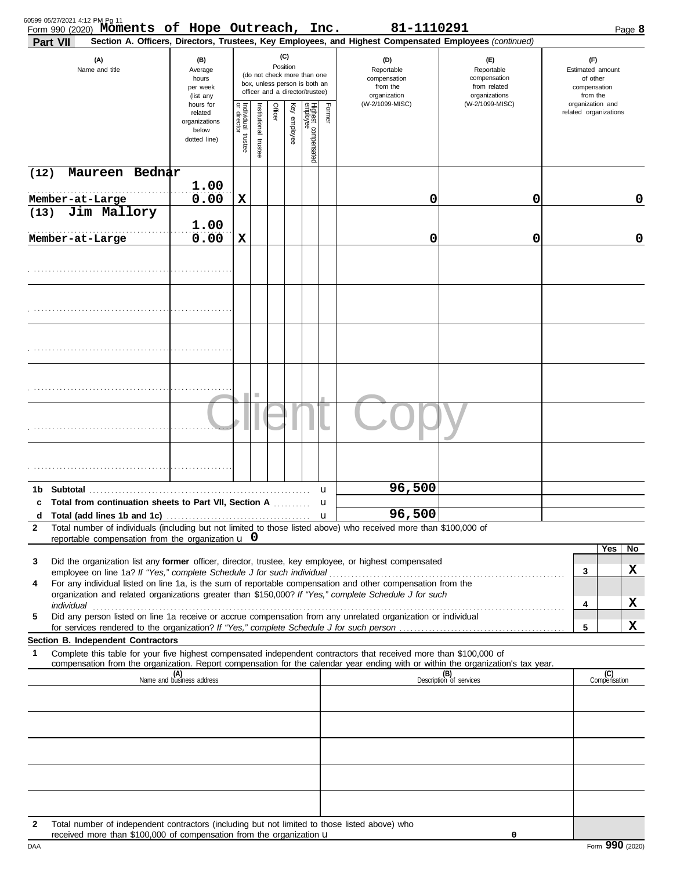|                         | (A)<br>Name and title                                                                         | (B)<br>Average                                                 |                                      |                      | (C)                                                                                                         |              |                                 |        |                                                                                                                                                                                                                                                        |                                                                    |                                                                 |                     |
|-------------------------|-----------------------------------------------------------------------------------------------|----------------------------------------------------------------|--------------------------------------|----------------------|-------------------------------------------------------------------------------------------------------------|--------------|---------------------------------|--------|--------------------------------------------------------------------------------------------------------------------------------------------------------------------------------------------------------------------------------------------------------|--------------------------------------------------------------------|-----------------------------------------------------------------|---------------------|
|                         |                                                                                               | hours<br>per week<br>(list any                                 |                                      |                      | Position<br>(do not check more than one<br>box, unless person is both an<br>officer and a director/trustee) |              |                                 |        | (D)<br>Reportable<br>compensation<br>from the<br>organization                                                                                                                                                                                          | (E)<br>Reportable<br>compensation<br>from related<br>organizations | (F)<br>Estimated amount<br>of other<br>compensation<br>from the |                     |
|                         |                                                                                               | hours for<br>related<br>organizations<br>below<br>dotted line) | Individual<br>or director<br>trustee | nstitutional trustee | Officer                                                                                                     | Key employee | Highest compensated<br>employee | Former | (W-2/1099-MISC)                                                                                                                                                                                                                                        | (W-2/1099-MISC)                                                    | organization and<br>related organizations                       |                     |
| (12)                    | Maureen Bednar                                                                                |                                                                |                                      |                      |                                                                                                             |              |                                 |        |                                                                                                                                                                                                                                                        |                                                                    |                                                                 |                     |
| Member-at-Large         |                                                                                               | 1.00<br>0.00                                                   | X                                    |                      |                                                                                                             |              |                                 |        | 0                                                                                                                                                                                                                                                      | 0                                                                  |                                                                 | 0                   |
| (13)<br>Member-at-Large | Jim Mallory                                                                                   | 1.00<br>0.00                                                   | X                                    |                      |                                                                                                             |              |                                 |        | 0                                                                                                                                                                                                                                                      | 0                                                                  |                                                                 | 0                   |
|                         |                                                                                               |                                                                |                                      |                      |                                                                                                             |              |                                 |        |                                                                                                                                                                                                                                                        |                                                                    |                                                                 |                     |
|                         |                                                                                               |                                                                |                                      |                      |                                                                                                             |              |                                 |        |                                                                                                                                                                                                                                                        |                                                                    |                                                                 |                     |
|                         |                                                                                               |                                                                |                                      |                      |                                                                                                             |              |                                 |        |                                                                                                                                                                                                                                                        |                                                                    |                                                                 |                     |
|                         |                                                                                               |                                                                |                                      | ш                    |                                                                                                             |              |                                 |        |                                                                                                                                                                                                                                                        |                                                                    |                                                                 |                     |
|                         |                                                                                               |                                                                |                                      |                      |                                                                                                             |              |                                 |        |                                                                                                                                                                                                                                                        |                                                                    |                                                                 |                     |
|                         |                                                                                               |                                                                |                                      |                      |                                                                                                             |              |                                 |        |                                                                                                                                                                                                                                                        |                                                                    |                                                                 |                     |
|                         |                                                                                               |                                                                |                                      |                      |                                                                                                             |              |                                 | u      | 96,500                                                                                                                                                                                                                                                 |                                                                    |                                                                 |                     |
| c<br>d                  | Total from continuation sheets to Part VII, Section A                                         |                                                                |                                      |                      |                                                                                                             |              |                                 | u      | 96,500                                                                                                                                                                                                                                                 |                                                                    |                                                                 |                     |
| 2                       |                                                                                               |                                                                |                                      |                      |                                                                                                             |              |                                 |        | Total number of individuals (including but not limited to those listed above) who received more than \$100,000 of                                                                                                                                      |                                                                    |                                                                 |                     |
|                         | reportable compensation from the organization $\bf{u}$ 0                                      |                                                                |                                      |                      |                                                                                                             |              |                                 |        |                                                                                                                                                                                                                                                        |                                                                    |                                                                 | Yes<br>No           |
| 3                       |                                                                                               |                                                                |                                      |                      |                                                                                                             |              |                                 |        | Did the organization list any former officer, director, trustee, key employee, or highest compensated                                                                                                                                                  |                                                                    | 3                                                               | x                   |
| 4                       |                                                                                               |                                                                |                                      |                      |                                                                                                             |              |                                 |        | For any individual listed on line 1a, is the sum of reportable compensation and other compensation from the<br>organization and related organizations greater than \$150,000? If "Yes," complete Schedule J for such                                   |                                                                    |                                                                 |                     |
| individual              |                                                                                               |                                                                |                                      |                      |                                                                                                             |              |                                 |        |                                                                                                                                                                                                                                                        |                                                                    | 4                                                               | x                   |
| 5                       |                                                                                               |                                                                |                                      |                      |                                                                                                             |              |                                 |        | Did any person listed on line 1a receive or accrue compensation from any unrelated organization or individual                                                                                                                                          |                                                                    | 5                                                               | x                   |
|                         | Section B. Independent Contractors                                                            |                                                                |                                      |                      |                                                                                                             |              |                                 |        |                                                                                                                                                                                                                                                        |                                                                    |                                                                 |                     |
| 1                       |                                                                                               |                                                                |                                      |                      |                                                                                                             |              |                                 |        | Complete this table for your five highest compensated independent contractors that received more than \$100,000 of<br>compensation from the organization. Report compensation for the calendar year ending with or within the organization's tax year. |                                                                    |                                                                 |                     |
|                         |                                                                                               | (A)<br>Name and business address                               |                                      |                      |                                                                                                             |              |                                 |        |                                                                                                                                                                                                                                                        | (B)<br>Description of services                                     |                                                                 | (C)<br>Compensation |
|                         |                                                                                               |                                                                |                                      |                      |                                                                                                             |              |                                 |        |                                                                                                                                                                                                                                                        |                                                                    |                                                                 |                     |
|                         |                                                                                               |                                                                |                                      |                      |                                                                                                             |              |                                 |        |                                                                                                                                                                                                                                                        |                                                                    |                                                                 |                     |
|                         |                                                                                               |                                                                |                                      |                      |                                                                                                             |              |                                 |        |                                                                                                                                                                                                                                                        |                                                                    |                                                                 |                     |
|                         |                                                                                               |                                                                |                                      |                      |                                                                                                             |              |                                 |        |                                                                                                                                                                                                                                                        |                                                                    |                                                                 |                     |
| 2                       | Total number of independent contractors (including but not limited to those listed above) who |                                                                |                                      |                      |                                                                                                             |              |                                 |        |                                                                                                                                                                                                                                                        |                                                                    |                                                                 |                     |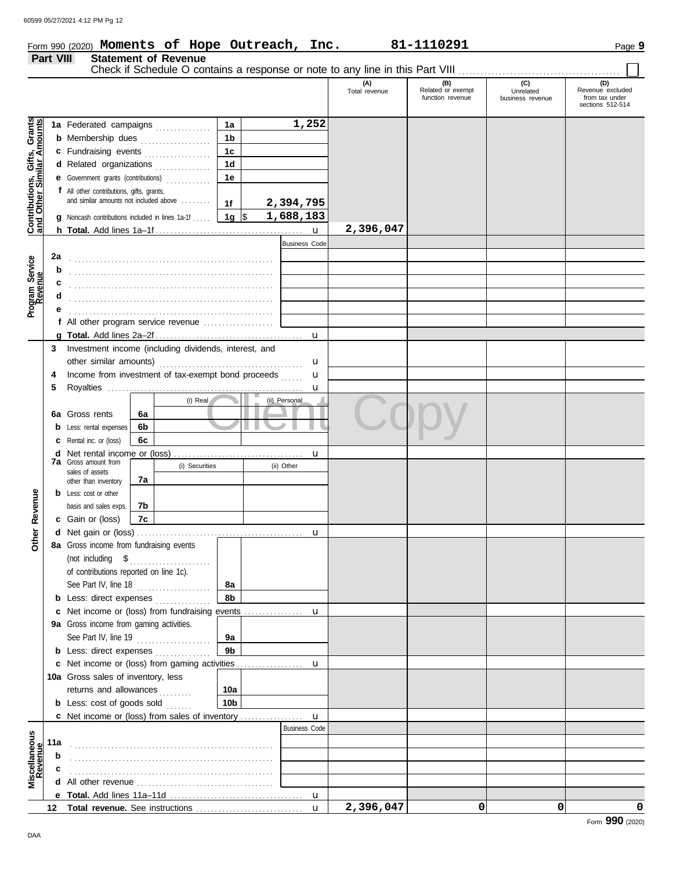| Form 990 (2020) Moments of Hope Outreach, |  |  |  | Inc. | 81-1110291 | Page 9 |
|-------------------------------------------|--|--|--|------|------------|--------|
|-------------------------------------------|--|--|--|------|------------|--------|

#### **Part VIII Statement of Revenue** Check if Schedule O contains a response or note to any line in this Part VIII ....... **(A) (B) (C) (D)** Total revenue Related or exempt Unrelated Revenue excluded function revenue | business revenue | from tax under sections 512-514 Gifts, Grants<br>ilar Amounts **Contributions, Gifts, Grants and Other Similar Amounts 1a 1,252 1a** Federated campaigns **. . . . . . . . . . . . 1b b** Membership dues **. . . . . . . . . . . . . . .** . . **1c c** Fundraising events **. . . . . . . . . . . . . .** . . **1d d** Related organizations ............... **1e** Contributions,<br>and Other Sin **e** Government grants (contributions) . . . . . . . . . . . . **f** All other contributions, gifts, grants, and similar amounts not included above ........ **2,394,795 1f 1g** \$ . . . . . . . . . . . . . . . . . . . . . **1,688,183 g** Noncash contributions included in lines 1a-1f . . . . . **2,396,047** u **h Total.** Add lines 1a–1f . . . . . . . . . . . . . . . . . . . . . . . . . . . . . . . . . . . . . . . . Business Code **2a** Program Service<br>Revenue **Program Service b** . . . . . . . . . . . . . . . . . . . . . . . . . . . . . . . . . . . . . . . . . . . . . . . . . . . . . . . **c d** . . . . . . . . . . . . . . . . . . . . . . . . . . . . . . . . . . . . . . . . . . . . . . . . . . . . . . . **e** . . . . . . . . . . . . . . . . . . . . . . . . . . . . . . . . . . . . . . . . . . . . . . . . . . . . . . . **f** All other program service revenue . . . . . . . . . . . . . . . . . . . **g Total.** Add lines 2a–2f . . . . . . . . . . . . . . . . . . . . . . . . . . . . . . . . . . . . . . . . u **3** Investment income (including dividends, interest, and u other similar amounts) . . . . . . . . . . . . . . . . . . . . . . . . . . . . . . . . . . . . . . . Income from investment of tax-exempt bond proceeds **4** u **5** Royalties ...... u **Client** Copy (i) Real (ii) Personal **6a 6a** Gross rents **6b b** Less: rental expenses **6c c** Rental inc. or (loss) **d** Net rental income or (loss) . . . . . . . . . . . . . . . . . . . . . . . . . . . . . . . . . . . u **7a** Gross amount from (i) Securities (ii) Other sales of assets **7a** other than inventory Other Revenue **Other Revenue b** Less: cost or other basis and sales exps. **7b 7c c** Gain or (loss) **d** u Net gain or (loss) . . . . . . . . . . . . . . . . . . . . . . . . . . . . . . . . . . . . . . . . . . . . . **8a** Gross income from fundraising events (not including \$ . . . . . . . . . . . . . . . . . . . . . . of contributions reported on line 1c). See Part IV, line 18 . . . . . . . . . . . . . . . . . . . . **8a 8b b** Less: direct expenses . . . . . . . . . . . . . **c** Net income or (loss) from fundraising events ............... u **9a** Gross income from gaming activities. See Part IV, line 19 . . . . . . . . . . . . . . . . . . . . **9a 9b b** Less: direct expenses ............... u Net income or (loss) from gaming activities . . . . . . . . . . . . . . . . . . **c** 10a Gross sales of inventory, less returns and allowances **10a 10b b** Less: cost of goods sold  $\ldots$ u Net income or (loss) from sales of inventory . . . . . . . . . . . . . . . . . **c** Business Code **Revenue Miscellaneous 11a** . . . . . . . . . . . . . . . . . . . . . . . . . . . . . . . . . . . . . . . . . . . . . . . . . . . . . . . **b c** . . . . . . . . . . . . . . . . . . . . . . . . . . . . . . . . . . . . . . . . . . . . . . . . . . . . . . . **d** All other revenue . . . . . . . . . . . . . . . . . . . . . . . . . . . . . . . . . . . . . **Total.** Add lines 11a–11d . **e** u **2,396,047 0 0 0 12** Total revenue. See instructions . . . . . . . . . u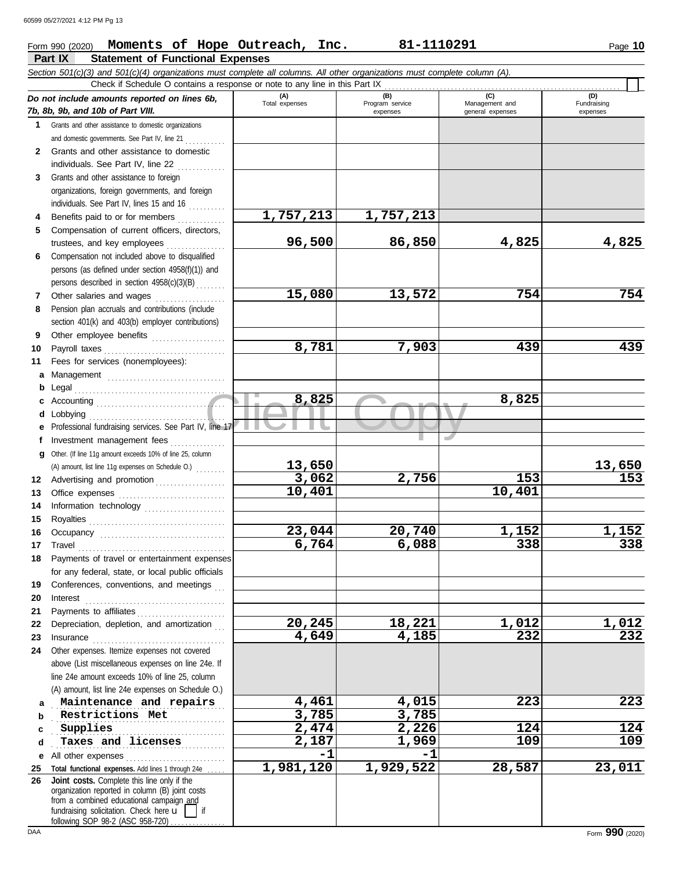### **Form 990 (2020) Moments of Hope Outreach, Inc. 81-1110291** Page 10

|              | Part IX<br><b>Statement of Functional Expenses</b>                                                                                                                                                                                                                                                                                                                                                                                                                                                  |                       |                        |                       |                     |  |  |  |
|--------------|-----------------------------------------------------------------------------------------------------------------------------------------------------------------------------------------------------------------------------------------------------------------------------------------------------------------------------------------------------------------------------------------------------------------------------------------------------------------------------------------------------|-----------------------|------------------------|-----------------------|---------------------|--|--|--|
|              | Section 501(c)(3) and 501(c)(4) organizations must complete all columns. All other organizations must complete column (A).                                                                                                                                                                                                                                                                                                                                                                          |                       |                        |                       |                     |  |  |  |
|              | Check if Schedule O contains a response or note to any line in this Part IX                                                                                                                                                                                                                                                                                                                                                                                                                         |                       |                        |                       |                     |  |  |  |
|              | Do not include amounts reported on lines 6b,                                                                                                                                                                                                                                                                                                                                                                                                                                                        | (A)<br>Total expenses | (B)<br>Program service | (C)<br>Management and | (D)<br>Fundraising  |  |  |  |
|              | 7b, 8b, 9b, and 10b of Part VIII.                                                                                                                                                                                                                                                                                                                                                                                                                                                                   |                       | expenses               | general expenses      | expenses            |  |  |  |
| 1            | Grants and other assistance to domestic organizations                                                                                                                                                                                                                                                                                                                                                                                                                                               |                       |                        |                       |                     |  |  |  |
|              | and domestic governments. See Part IV, line 21                                                                                                                                                                                                                                                                                                                                                                                                                                                      |                       |                        |                       |                     |  |  |  |
| $\mathbf{2}$ | Grants and other assistance to domestic                                                                                                                                                                                                                                                                                                                                                                                                                                                             |                       |                        |                       |                     |  |  |  |
|              | individuals. See Part IV, line 22                                                                                                                                                                                                                                                                                                                                                                                                                                                                   |                       |                        |                       |                     |  |  |  |
| 3            | Grants and other assistance to foreign                                                                                                                                                                                                                                                                                                                                                                                                                                                              |                       |                        |                       |                     |  |  |  |
|              | organizations, foreign governments, and foreign                                                                                                                                                                                                                                                                                                                                                                                                                                                     |                       |                        |                       |                     |  |  |  |
|              | individuals. See Part IV, lines 15 and 16                                                                                                                                                                                                                                                                                                                                                                                                                                                           | 1,757,213             | 1,757,213              |                       |                     |  |  |  |
| 4<br>5       | Benefits paid to or for members<br>Compensation of current officers, directors,                                                                                                                                                                                                                                                                                                                                                                                                                     |                       |                        |                       |                     |  |  |  |
|              | trustees, and key employees                                                                                                                                                                                                                                                                                                                                                                                                                                                                         | 96,500                | 86,850                 | 4,825                 | 4,825               |  |  |  |
| 6            | Compensation not included above to disqualified                                                                                                                                                                                                                                                                                                                                                                                                                                                     |                       |                        |                       |                     |  |  |  |
|              | persons (as defined under section 4958(f)(1)) and                                                                                                                                                                                                                                                                                                                                                                                                                                                   |                       |                        |                       |                     |  |  |  |
|              | persons described in section 4958(c)(3)(B)                                                                                                                                                                                                                                                                                                                                                                                                                                                          |                       |                        |                       |                     |  |  |  |
| 7            | Other salaries and wages                                                                                                                                                                                                                                                                                                                                                                                                                                                                            | 15,080                | 13,572                 | 754                   | 754                 |  |  |  |
| 8            | Pension plan accruals and contributions (include                                                                                                                                                                                                                                                                                                                                                                                                                                                    |                       |                        |                       |                     |  |  |  |
|              | section 401(k) and 403(b) employer contributions)                                                                                                                                                                                                                                                                                                                                                                                                                                                   |                       |                        |                       |                     |  |  |  |
| 9            | Other employee benefits                                                                                                                                                                                                                                                                                                                                                                                                                                                                             |                       |                        |                       |                     |  |  |  |
| 10           | Payroll taxes                                                                                                                                                                                                                                                                                                                                                                                                                                                                                       | 8,781                 | 7,903                  | 439                   | 439                 |  |  |  |
| 11           | Fees for services (nonemployees):                                                                                                                                                                                                                                                                                                                                                                                                                                                                   |                       |                        |                       |                     |  |  |  |
| а            | Management                                                                                                                                                                                                                                                                                                                                                                                                                                                                                          |                       |                        |                       |                     |  |  |  |
| b            | Legal                                                                                                                                                                                                                                                                                                                                                                                                                                                                                               |                       |                        |                       |                     |  |  |  |
|              |                                                                                                                                                                                                                                                                                                                                                                                                                                                                                                     | 8,825                 |                        | 8,825                 |                     |  |  |  |
| d            | Lobbying                                                                                                                                                                                                                                                                                                                                                                                                                                                                                            |                       |                        |                       |                     |  |  |  |
|              | Professional fundraising services. See Part IV, line 17                                                                                                                                                                                                                                                                                                                                                                                                                                             |                       |                        |                       |                     |  |  |  |
| Ť.           | Investment management fees                                                                                                                                                                                                                                                                                                                                                                                                                                                                          |                       |                        | است.                  |                     |  |  |  |
| a            | Other. (If line 11g amount exceeds 10% of line 25, column                                                                                                                                                                                                                                                                                                                                                                                                                                           |                       |                        |                       |                     |  |  |  |
|              | (A) amount, list line 11g expenses on Schedule O.)                                                                                                                                                                                                                                                                                                                                                                                                                                                  | 13,650                |                        |                       | 13,650              |  |  |  |
| 12           | Advertising and promotion                                                                                                                                                                                                                                                                                                                                                                                                                                                                           | 3,062                 | 2,756                  | 153                   | 153                 |  |  |  |
| 13           |                                                                                                                                                                                                                                                                                                                                                                                                                                                                                                     | 10,401                |                        | 10,401                |                     |  |  |  |
| 14           | Information technology                                                                                                                                                                                                                                                                                                                                                                                                                                                                              |                       |                        |                       |                     |  |  |  |
| 15           |                                                                                                                                                                                                                                                                                                                                                                                                                                                                                                     |                       |                        |                       |                     |  |  |  |
| 16           |                                                                                                                                                                                                                                                                                                                                                                                                                                                                                                     | 23,044                | 20,740                 | 1,152                 | 1,152               |  |  |  |
| 17           | Travel                                                                                                                                                                                                                                                                                                                                                                                                                                                                                              | 6,764                 | 6,088                  | 338                   | 338                 |  |  |  |
| 18           | Payments of travel or entertainment expenses                                                                                                                                                                                                                                                                                                                                                                                                                                                        |                       |                        |                       |                     |  |  |  |
|              | for any federal, state, or local public officials                                                                                                                                                                                                                                                                                                                                                                                                                                                   |                       |                        |                       |                     |  |  |  |
| 19           | Conferences, conventions, and meetings                                                                                                                                                                                                                                                                                                                                                                                                                                                              |                       |                        |                       |                     |  |  |  |
| 20           | $\textbf{Interest} \hspace{2em} \begin{minipage}{1em} \begin{minipage}{1em} \begin{minipage}{1em} \begin{minipage}{1em} \end{minipage} \end{minipage} \end{minipage} \begin{minipage}{1em} \begin{minipage}{1em} \begin{minipage}{1em} \begin{minipage}{1em} \end{minipage} \end{minipage} \end{minipage} \end{minipage} \begin{minipage}{1em} \begin{minipage}{1em} \begin{minipage}{1em} \begin{minipage}{1em} \end{minipage} \end{minipage} \end{minipage} \end{minipage} \begin{minipage}{1em}$ |                       |                        |                       |                     |  |  |  |
| 21           | Payments to affiliates                                                                                                                                                                                                                                                                                                                                                                                                                                                                              | 20,245                | 18,221                 | 1,012                 |                     |  |  |  |
| 22           | Depreciation, depletion, and amortization                                                                                                                                                                                                                                                                                                                                                                                                                                                           | 4,649                 | 4,185                  | 232                   | $\frac{1,012}{232}$ |  |  |  |
| 23<br>24     | Other expenses. Itemize expenses not covered                                                                                                                                                                                                                                                                                                                                                                                                                                                        |                       |                        |                       |                     |  |  |  |
|              | above (List miscellaneous expenses on line 24e. If                                                                                                                                                                                                                                                                                                                                                                                                                                                  |                       |                        |                       |                     |  |  |  |
|              | line 24e amount exceeds 10% of line 25, column                                                                                                                                                                                                                                                                                                                                                                                                                                                      |                       |                        |                       |                     |  |  |  |
|              | (A) amount, list line 24e expenses on Schedule O.)                                                                                                                                                                                                                                                                                                                                                                                                                                                  |                       |                        |                       |                     |  |  |  |
| a            | Maintenance and repairs                                                                                                                                                                                                                                                                                                                                                                                                                                                                             | 4,461                 | 4,015                  | 223                   | 223                 |  |  |  |
| b            | Restrictions Met                                                                                                                                                                                                                                                                                                                                                                                                                                                                                    | 3,785                 | 3,785                  |                       |                     |  |  |  |
| c            | Supplies                                                                                                                                                                                                                                                                                                                                                                                                                                                                                            | 2,474                 | 2,226                  | 124                   | $\overline{124}$    |  |  |  |
| d            | Taxes and licenses                                                                                                                                                                                                                                                                                                                                                                                                                                                                                  | 2,187                 | 1,969                  | 109                   | 109                 |  |  |  |
| е            | All other expenses                                                                                                                                                                                                                                                                                                                                                                                                                                                                                  | -1                    | -1                     |                       |                     |  |  |  |
| 25           | Total functional expenses. Add lines 1 through 24e.                                                                                                                                                                                                                                                                                                                                                                                                                                                 | 1,981,120             | 1,929,522              | 28,587                | 23,011              |  |  |  |
| 26           | Joint costs. Complete this line only if the                                                                                                                                                                                                                                                                                                                                                                                                                                                         |                       |                        |                       |                     |  |  |  |
|              | organization reported in column (B) joint costs<br>from a combined educational campaign and                                                                                                                                                                                                                                                                                                                                                                                                         |                       |                        |                       |                     |  |  |  |
|              | fundraising solicitation. Check here u<br>if                                                                                                                                                                                                                                                                                                                                                                                                                                                        |                       |                        |                       |                     |  |  |  |

following SOP 98-2 (ASC 958-720) . . . . . . . . . . . . .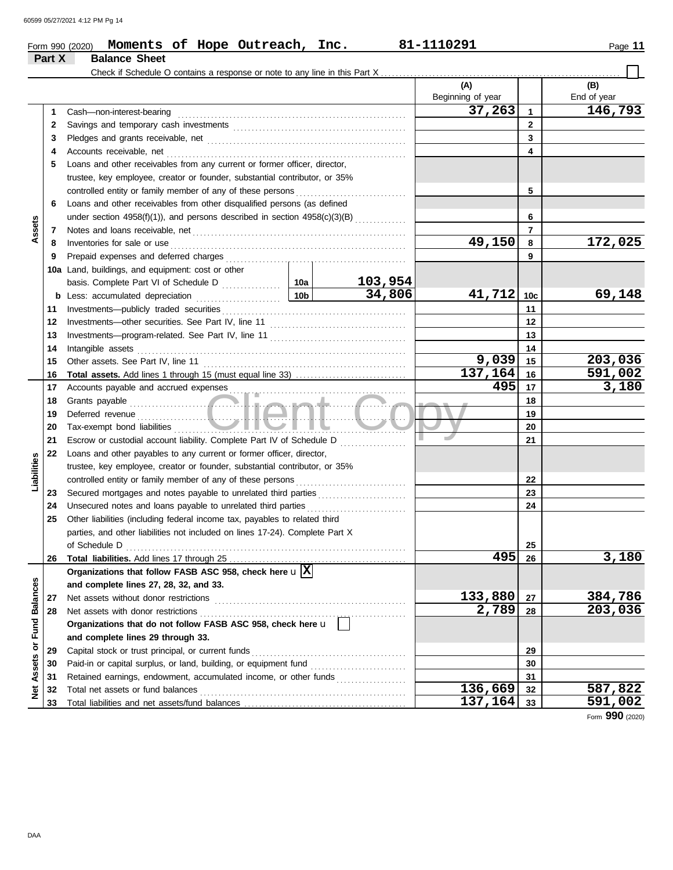|                  |        | Moments of Hope Outreach, Inc.<br>Form 990 (2020)                              |                 |                                 | 81-1110291               |                 | Page 11            |
|------------------|--------|--------------------------------------------------------------------------------|-----------------|---------------------------------|--------------------------|-----------------|--------------------|
|                  | Part X | <b>Balance Sheet</b>                                                           |                 |                                 |                          |                 |                    |
|                  |        | Check if Schedule O contains a response or note to any line in this Part X     |                 |                                 |                          |                 |                    |
|                  |        |                                                                                |                 |                                 | (A)<br>Beginning of year |                 | (B)<br>End of year |
|                  | 1      | Cash-non-interest-bearing                                                      |                 |                                 | 37,263                   | $\mathbf{1}$    | 146,793            |
|                  | 2      |                                                                                |                 |                                 |                          | $\mathbf{2}$    |                    |
|                  | 3      |                                                                                |                 | 3                               |                          |                 |                    |
|                  | 4      |                                                                                |                 |                                 |                          | 4               |                    |
|                  | 5      | Loans and other receivables from any current or former officer, director,      |                 |                                 |                          |                 |                    |
|                  |        | trustee, key employee, creator or founder, substantial contributor, or 35%     |                 |                                 |                          |                 |                    |
|                  |        | controlled entity or family member of any of these persons                     |                 |                                 |                          | 5               |                    |
|                  | 6      | Loans and other receivables from other disqualified persons (as defined        |                 |                                 |                          |                 |                    |
|                  |        | under section $4958(f)(1)$ ), and persons described in section $4958(c)(3)(B)$ |                 | 6                               |                          |                 |                    |
| Assets           | 7      |                                                                                |                 |                                 |                          | $\overline{7}$  |                    |
|                  | 8      | Inventories for sale or use                                                    |                 |                                 | 49,150                   | 8               | 172,025            |
|                  | 9      |                                                                                |                 |                                 |                          | 9               |                    |
|                  |        | 10a Land, buildings, and equipment: cost or other                              |                 |                                 |                          |                 |                    |
|                  |        |                                                                                |                 | 103,954                         |                          |                 |                    |
|                  | b      | Less: accumulated depreciation                                                 | 10 <sub>b</sub> | 34,806                          | 41,712                   | 10 <sub>c</sub> | 69,148             |
|                  | 11     |                                                                                |                 |                                 |                          | 11              |                    |
|                  | 12     |                                                                                |                 | 12                              |                          |                 |                    |
|                  | 13     |                                                                                |                 | 13                              |                          |                 |                    |
|                  | 14     | Intangible assets                                                              |                 | 14                              |                          |                 |                    |
|                  | 15     |                                                                                | 9,039           | 15                              | 203,036                  |                 |                    |
|                  | 16     |                                                                                |                 |                                 | 137,164                  | 16              | 591,002            |
|                  | 17     |                                                                                |                 |                                 | 495                      | 17              | 3,180              |
|                  | 18     |                                                                                |                 |                                 |                          | 18              |                    |
|                  | 19     |                                                                                |                 |                                 |                          | 19              |                    |
|                  | 20     | Tax-exempt bond liabilities                                                    |                 | the contract of the contract of |                          | 20              |                    |
|                  | 21     | Escrow or custodial account liability. Complete Part IV of Schedule D          |                 |                                 | J                        | 21              |                    |
|                  | 22     | Loans and other payables to any current or former officer, director,           |                 |                                 |                          |                 |                    |
|                  |        | trustee, key employee, creator or founder, substantial contributor, or 35%     |                 |                                 |                          |                 |                    |
| Liabilities      |        |                                                                                |                 |                                 |                          | 22              |                    |
|                  | 23     | Secured mortgages and notes payable to unrelated third parties                 |                 |                                 |                          | 23              |                    |
|                  | 24     |                                                                                |                 |                                 |                          | 24              |                    |
|                  | 25     | Other liabilities (including federal income tax, payables to related third     |                 |                                 |                          |                 |                    |
|                  |        | parties, and other liabilities not included on lines 17-24). Complete Part X   |                 |                                 |                          |                 |                    |
|                  |        |                                                                                |                 |                                 |                          | 25              |                    |
|                  | 26     |                                                                                |                 |                                 | 495                      | 26              | 3,180              |
|                  |        | Organizations that follow FASB ASC 958, check here $\mathbf{u} \mathbf{X} $    |                 |                                 |                          |                 |                    |
|                  |        | and complete lines 27, 28, 32, and 33.                                         |                 |                                 |                          |                 |                    |
|                  | 27     | Net assets without donor restrictions                                          |                 |                                 | 133,880                  | 27              | 384,786            |
|                  | 28     | Net assets with donor restrictions                                             |                 |                                 | 2,789                    | 28              | 203,036            |
|                  |        | Organizations that do not follow FASB ASC 958, check here u                    |                 |                                 |                          |                 |                    |
| or Fund Balances |        | and complete lines 29 through 33.                                              |                 |                                 |                          |                 |                    |
|                  | 29     | Capital stock or trust principal, or current funds                             |                 |                                 |                          | 29              |                    |
| Assets           | 30     | Paid-in or capital surplus, or land, building, or equipment fund               |                 |                                 |                          | 30              |                    |
|                  | 31     | Retained earnings, endowment, accumulated income, or other funds               |                 |                                 |                          | 31              |                    |
| <b>Net</b>       | 32     | Total net assets or fund balances                                              |                 |                                 | 136,669                  | 32              | 587,822            |
|                  | 33     |                                                                                |                 |                                 | 137,164                  | 33              | 591,002            |

Form **990** (2020)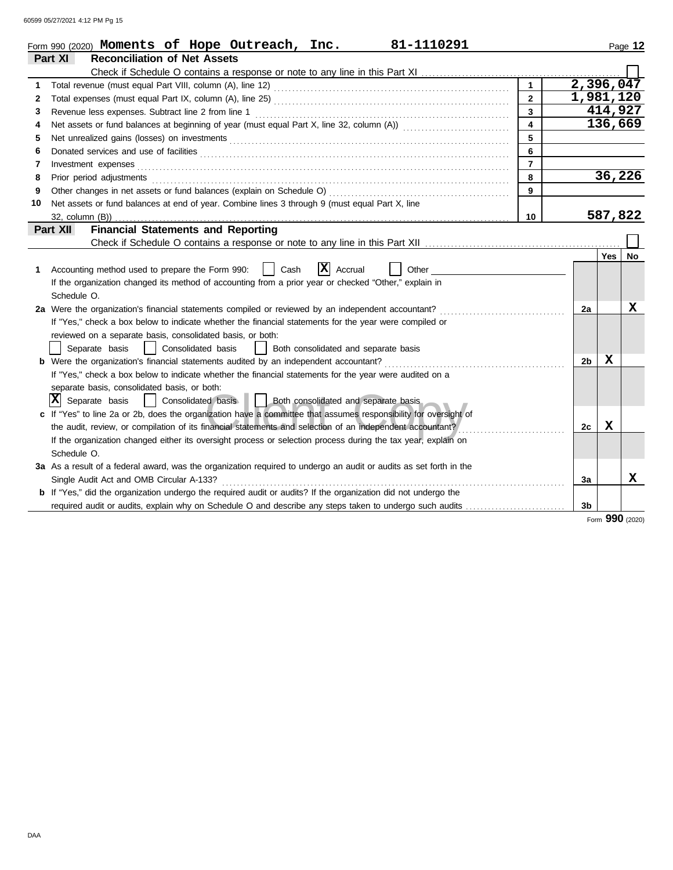60599 05/27/2021 4:12 PM Pg 15

|    | 81-1110291<br>Form 990 (2020) Moments of Hope Outreach, Inc.                                                                                                                                                                   |                         |                |         | Page 12 |
|----|--------------------------------------------------------------------------------------------------------------------------------------------------------------------------------------------------------------------------------|-------------------------|----------------|---------|---------|
|    | Part XI<br><b>Reconciliation of Net Assets</b>                                                                                                                                                                                 |                         |                |         |         |
|    |                                                                                                                                                                                                                                |                         |                |         |         |
| 1  |                                                                                                                                                                                                                                | $\mathbf{1}$            | 2,396,047      |         |         |
| 2  |                                                                                                                                                                                                                                | $\overline{2}$          | 1,981,120      |         |         |
| 3  | Revenue less expenses. Subtract line 2 from line 1                                                                                                                                                                             | $\overline{\mathbf{3}}$ |                | 414,927 |         |
| 4  |                                                                                                                                                                                                                                | $\overline{\mathbf{4}}$ |                | 136,669 |         |
| 5  |                                                                                                                                                                                                                                | 5                       |                |         |         |
| 6  |                                                                                                                                                                                                                                | 6                       |                |         |         |
| 7  |                                                                                                                                                                                                                                | $\overline{7}$          |                |         |         |
| 8  | Prior period adjustments [11] production and the contract of the contract of the contract of the contract of the contract of the contract of the contract of the contract of the contract of the contract of the contract of t | 8                       |                | 36,226  |         |
| 9  |                                                                                                                                                                                                                                | 9                       |                |         |         |
| 10 | Net assets or fund balances at end of year. Combine lines 3 through 9 (must equal Part X, line                                                                                                                                 |                         |                |         |         |
|    |                                                                                                                                                                                                                                | 10                      |                | 587,822 |         |
|    | <b>Financial Statements and Reporting</b><br>Part XII                                                                                                                                                                          |                         |                |         |         |
|    |                                                                                                                                                                                                                                |                         |                |         |         |
|    |                                                                                                                                                                                                                                |                         |                | Yes     | No.     |
| 1. | $ \mathbf{X} $ Accrual<br>Accounting method used to prepare the Form 990:<br>Cash<br>Other                                                                                                                                     |                         |                |         |         |
|    | If the organization changed its method of accounting from a prior year or checked "Other," explain in                                                                                                                          |                         |                |         |         |
|    | Schedule O.                                                                                                                                                                                                                    |                         |                |         |         |
|    | 2a Were the organization's financial statements compiled or reviewed by an independent accountant?                                                                                                                             |                         | 2a             |         | x       |
|    | If "Yes," check a box below to indicate whether the financial statements for the year were compiled or                                                                                                                         |                         |                |         |         |
|    | reviewed on a separate basis, consolidated basis, or both:                                                                                                                                                                     |                         |                |         |         |
|    | Separate basis<br>  Consolidated basis<br>  Both consolidated and separate basis                                                                                                                                               |                         |                |         |         |
|    | <b>b</b> Were the organization's financial statements audited by an independent accountant?                                                                                                                                    |                         | 2b             | x       |         |
|    | If "Yes," check a box below to indicate whether the financial statements for the year were audited on a                                                                                                                        |                         |                |         |         |
|    | separate basis, consolidated basis, or both:                                                                                                                                                                                   |                         |                |         |         |
|    | $ \mathbf{X} $ Separate basis<br>  Consolidated basis     Both consolidated and separate basis                                                                                                                                 |                         |                |         |         |
|    | c If "Yes" to line 2a or 2b, does the organization have a committee that assumes responsibility for oversight of                                                                                                               |                         |                |         |         |
|    | the audit, review, or compilation of its financial statements and selection of an independent accountant?                                                                                                                      |                         | 2c             | X       |         |
|    | If the organization changed either its oversight process or selection process during the tax year, explain on                                                                                                                  |                         |                |         |         |
|    | Schedule O.                                                                                                                                                                                                                    |                         |                |         |         |
|    | 3a As a result of a federal award, was the organization required to undergo an audit or audits as set forth in the                                                                                                             |                         |                |         |         |
|    | Single Audit Act and OMB Circular A-133?                                                                                                                                                                                       |                         | За             |         | x       |
|    | b If "Yes," did the organization undergo the required audit or audits? If the organization did not undergo the                                                                                                                 |                         |                |         |         |
|    | required audit or audits, explain why on Schedule O and describe any steps taken to undergo such audits                                                                                                                        |                         | 3 <sub>b</sub> |         |         |

Form **990** (2020)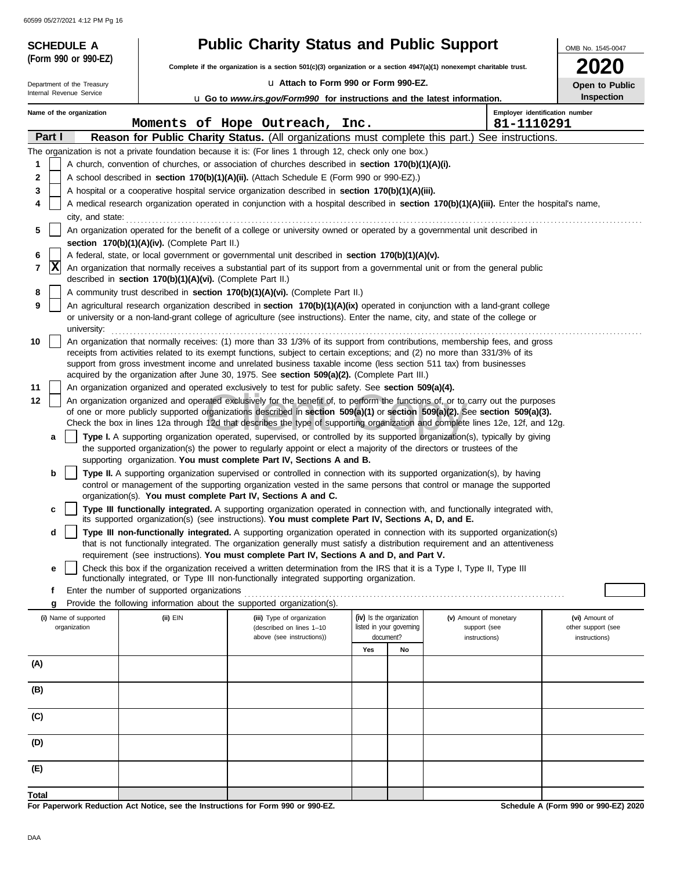60599 05/27/2021 4:12 PM Pg 16

| <b>SCHEDULE A</b>                     |                                                            | <b>Public Charity Status and Public Support</b>                                                                                                                                                                                                                 |                                                      |    |                                        | OMB No. 1545-0047                    |
|---------------------------------------|------------------------------------------------------------|-----------------------------------------------------------------------------------------------------------------------------------------------------------------------------------------------------------------------------------------------------------------|------------------------------------------------------|----|----------------------------------------|--------------------------------------|
| (Form 990 or 990-EZ)                  |                                                            | Complete if the organization is a section $501(c)(3)$ organization or a section $4947(a)(1)$ nonexempt charitable trust.                                                                                                                                        |                                                      |    |                                        |                                      |
| Department of the Treasury            |                                                            | La Attach to Form 990 or Form 990-EZ.                                                                                                                                                                                                                           |                                                      |    |                                        | Open to Public                       |
| Internal Revenue Service              |                                                            | <b>u</b> Go to www.irs.gov/Form990 for instructions and the latest information.                                                                                                                                                                                 |                                                      |    |                                        | <b>Inspection</b>                    |
| Name of the organization              |                                                            |                                                                                                                                                                                                                                                                 |                                                      |    |                                        | Employer identification number       |
| Part I                                |                                                            | Moments of Hope Outreach, Inc.<br>Reason for Public Charity Status. (All organizations must complete this part.) See instructions.                                                                                                                              |                                                      |    | 81-1110291                             |                                      |
|                                       |                                                            | The organization is not a private foundation because it is: (For lines 1 through 12, check only one box.)                                                                                                                                                       |                                                      |    |                                        |                                      |
| 1                                     |                                                            | A church, convention of churches, or association of churches described in section 170(b)(1)(A)(i).                                                                                                                                                              |                                                      |    |                                        |                                      |
| 2                                     |                                                            | A school described in section 170(b)(1)(A)(ii). (Attach Schedule E (Form 990 or 990-EZ).)                                                                                                                                                                       |                                                      |    |                                        |                                      |
| 3                                     |                                                            | A hospital or a cooperative hospital service organization described in section 170(b)(1)(A)(iii).                                                                                                                                                               |                                                      |    |                                        |                                      |
| 4<br>city, and state:                 |                                                            | A medical research organization operated in conjunction with a hospital described in section 170(b)(1)(A)(iii). Enter the hospital's name,                                                                                                                      |                                                      |    |                                        |                                      |
| 5                                     |                                                            | An organization operated for the benefit of a college or university owned or operated by a governmental unit described in                                                                                                                                       |                                                      |    |                                        |                                      |
|                                       | section 170(b)(1)(A)(iv). (Complete Part II.)              |                                                                                                                                                                                                                                                                 |                                                      |    |                                        |                                      |
| 6                                     |                                                            | A federal, state, or local government or governmental unit described in section 170(b)(1)(A)(v).                                                                                                                                                                |                                                      |    |                                        |                                      |
| x<br>7                                | described in section 170(b)(1)(A)(vi). (Complete Part II.) | An organization that normally receives a substantial part of its support from a governmental unit or from the general public                                                                                                                                    |                                                      |    |                                        |                                      |
| 8                                     |                                                            | A community trust described in section 170(b)(1)(A)(vi). (Complete Part II.)                                                                                                                                                                                    |                                                      |    |                                        |                                      |
| 9<br>university:                      |                                                            | An agricultural research organization described in section 170(b)(1)(A)(ix) operated in conjunction with a land-grant college<br>or university or a non-land-grant college of agriculture (see instructions). Enter the name, city, and state of the college or |                                                      |    |                                        |                                      |
| 10                                    |                                                            | An organization that normally receives: (1) more than 33 1/3% of its support from contributions, membership fees, and gross                                                                                                                                     |                                                      |    |                                        |                                      |
|                                       |                                                            | receipts from activities related to its exempt functions, subject to certain exceptions; and (2) no more than 331/3% of its<br>support from gross investment income and unrelated business taxable income (less section 511 tax) from businesses                |                                                      |    |                                        |                                      |
|                                       |                                                            | acquired by the organization after June 30, 1975. See section 509(a)(2). (Complete Part III.)                                                                                                                                                                   |                                                      |    |                                        |                                      |
| 11                                    |                                                            | An organization organized and operated exclusively to test for public safety. See section 509(a)(4).                                                                                                                                                            |                                                      |    |                                        |                                      |
| 12                                    |                                                            | An organization organized and operated exclusively for the benefit of, to perform the functions of, or to carry out the purposes<br>of one or more publicly supported organizations described in section 509(a)(1) or section 509(a)(2). See section 509(a)(3). |                                                      |    |                                        |                                      |
|                                       |                                                            | Check the box in lines 12a through 12d that describes the type of supporting organization and complete lines 12e, 12f, and 12g.                                                                                                                                 |                                                      |    |                                        |                                      |
| a                                     |                                                            | Type I. A supporting organization operated, supervised, or controlled by its supported organization(s), typically by giving                                                                                                                                     |                                                      |    |                                        |                                      |
|                                       |                                                            | the supported organization(s) the power to regularly appoint or elect a majority of the directors or trustees of the<br>supporting organization. You must complete Part IV, Sections A and B.                                                                   |                                                      |    |                                        |                                      |
| b                                     |                                                            | Type II. A supporting organization supervised or controlled in connection with its supported organization(s), by having                                                                                                                                         |                                                      |    |                                        |                                      |
|                                       |                                                            | control or management of the supporting organization vested in the same persons that control or manage the supported                                                                                                                                            |                                                      |    |                                        |                                      |
|                                       |                                                            | organization(s). You must complete Part IV, Sections A and C.<br>Type III functionally integrated. A supporting organization operated in connection with, and functionally integrated with,                                                                     |                                                      |    |                                        |                                      |
| c                                     |                                                            | its supported organization(s) (see instructions). You must complete Part IV, Sections A, D, and E.                                                                                                                                                              |                                                      |    |                                        |                                      |
| d                                     |                                                            | Type III non-functionally integrated. A supporting organization operated in connection with its supported organization(s)<br>that is not functionally integrated. The organization generally must satisfy a distribution requirement and an attentiveness       |                                                      |    |                                        |                                      |
|                                       |                                                            | requirement (see instructions). You must complete Part IV, Sections A and D, and Part V.                                                                                                                                                                        |                                                      |    |                                        |                                      |
| е                                     |                                                            | Check this box if the organization received a written determination from the IRS that it is a Type I, Type II, Type III<br>functionally integrated, or Type III non-functionally integrated supporting organization.                                            |                                                      |    |                                        |                                      |
| f                                     | Enter the number of supported organizations                |                                                                                                                                                                                                                                                                 |                                                      |    |                                        |                                      |
| g                                     |                                                            | Provide the following information about the supported organization(s).                                                                                                                                                                                          |                                                      |    |                                        |                                      |
| (i) Name of supported<br>organization | (ii) EIN                                                   | (iii) Type of organization<br>(described on lines 1-10                                                                                                                                                                                                          | (iv) Is the organization<br>listed in your governing |    | (v) Amount of monetary<br>support (see | (vi) Amount of<br>other support (see |
|                                       |                                                            | above (see instructions))                                                                                                                                                                                                                                       | document?                                            |    | instructions)                          | instructions)                        |
| (A)                                   |                                                            |                                                                                                                                                                                                                                                                 | Yes                                                  | No |                                        |                                      |
|                                       |                                                            |                                                                                                                                                                                                                                                                 |                                                      |    |                                        |                                      |
| (B)                                   |                                                            |                                                                                                                                                                                                                                                                 |                                                      |    |                                        |                                      |
| (C)                                   |                                                            |                                                                                                                                                                                                                                                                 |                                                      |    |                                        |                                      |
| (D)                                   |                                                            |                                                                                                                                                                                                                                                                 |                                                      |    |                                        |                                      |
| (E)                                   |                                                            |                                                                                                                                                                                                                                                                 |                                                      |    |                                        |                                      |
| <b>Total</b>                          |                                                            |                                                                                                                                                                                                                                                                 |                                                      |    |                                        |                                      |

**For Paperwork Reduction Act Notice, see the Instructions for Form 990 or 990-EZ.**

**Schedule A (Form 990 or 990-EZ) 2020**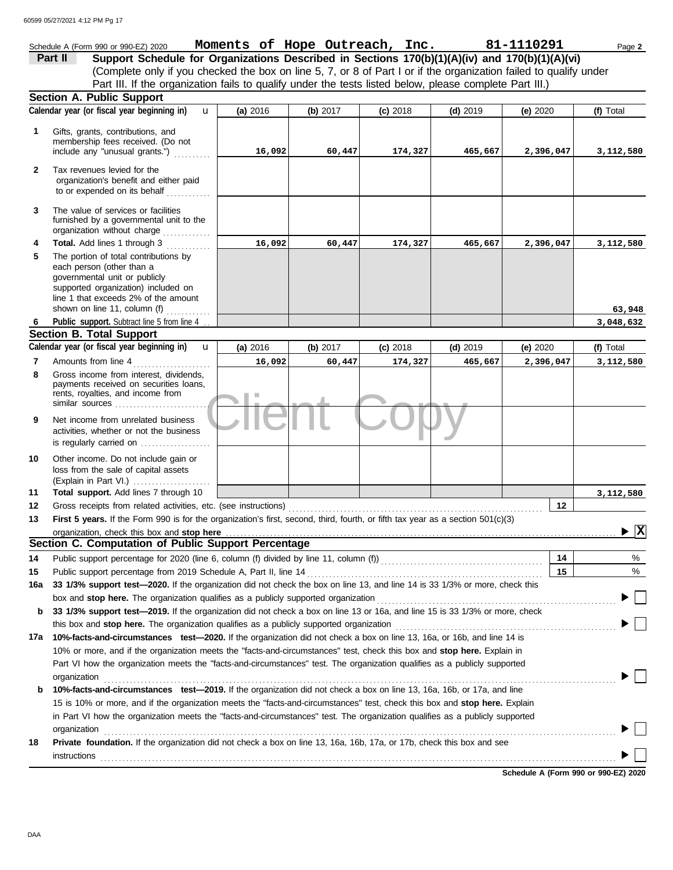|                | 60599 05/27/2021 4:12 PM Pg 17                                                                                                                                                                                                                                                                                                                                                 |                                |            |            |            |            |                                        |
|----------------|--------------------------------------------------------------------------------------------------------------------------------------------------------------------------------------------------------------------------------------------------------------------------------------------------------------------------------------------------------------------------------|--------------------------------|------------|------------|------------|------------|----------------------------------------|
|                | Schedule A (Form 990 or 990-EZ) 2020<br>Support Schedule for Organizations Described in Sections 170(b)(1)(A)(iv) and 170(b)(1)(A)(vi)<br>Part II                                                                                                                                                                                                                              | Moments of Hope Outreach, Inc. |            |            |            | 81-1110291 | Page 2                                 |
|                | (Complete only if you checked the box on line 5, 7, or 8 of Part I or if the organization failed to qualify under                                                                                                                                                                                                                                                              |                                |            |            |            |            |                                        |
|                | Part III. If the organization fails to qualify under the tests listed below, please complete Part III.)                                                                                                                                                                                                                                                                        |                                |            |            |            |            |                                        |
|                | <b>Section A. Public Support</b>                                                                                                                                                                                                                                                                                                                                               |                                |            |            |            |            |                                        |
|                | Calendar year (or fiscal year beginning in)<br>$\mathbf{u}$                                                                                                                                                                                                                                                                                                                    | (a) 2016                       | (b) $2017$ | (c) 2018   | $(d)$ 2019 | (e) 2020   | (f) Total                              |
| 1              | Gifts, grants, contributions, and                                                                                                                                                                                                                                                                                                                                              |                                |            |            |            |            |                                        |
|                | membership fees received. (Do not<br>include any "unusual grants.")                                                                                                                                                                                                                                                                                                            | 16,092                         | 60,447     | 174,327    | 465,667    | 2,396,047  | 3,112,580                              |
| $\mathbf{2}$   | Tax revenues levied for the<br>organization's benefit and either paid<br>to or expended on its behalf                                                                                                                                                                                                                                                                          |                                |            |            |            |            |                                        |
| 3              | The value of services or facilities<br>furnished by a governmental unit to the<br>organization without charge                                                                                                                                                                                                                                                                  |                                |            |            |            |            |                                        |
| 4              | Total. Add lines 1 through 3                                                                                                                                                                                                                                                                                                                                                   | 16,092                         | 60,447     | 174,327    | 465,667    | 2,396,047  | 3,112,580                              |
| 5              | The portion of total contributions by<br>each person (other than a<br>governmental unit or publicly<br>supported organization) included on<br>line 1 that exceeds 2% of the amount<br>shown on line 11, column (f)                                                                                                                                                             |                                |            |            |            |            | 63,948                                 |
| 6              | Public support. Subtract line 5 from line 4                                                                                                                                                                                                                                                                                                                                    |                                |            |            |            |            | 3,048,632                              |
|                | <b>Section B. Total Support</b>                                                                                                                                                                                                                                                                                                                                                |                                |            |            |            |            |                                        |
|                | Calendar year (or fiscal year beginning in)<br>$\mathbf{u}$                                                                                                                                                                                                                                                                                                                    | (a) 2016                       | (b) $2017$ | $(c)$ 2018 | $(d)$ 2019 | (e) 2020   | (f) Total                              |
| $\overline{7}$ | Amounts from line 4                                                                                                                                                                                                                                                                                                                                                            | 16,092                         | 60,447     | 174,327    | 465,667    | 2,396,047  | 3,112,580                              |
| 8              | Gross income from interest, dividends,<br>payments received on securities loans,<br>rents, royalties, and income from<br>similar sources                                                                                                                                                                                                                                       | ш                              |            |            |            |            |                                        |
| 9              | Net income from unrelated business<br>activities, whether or not the business<br>is regularly carried on                                                                                                                                                                                                                                                                       |                                |            |            |            |            |                                        |
| 10             | Other income. Do not include gain or<br>loss from the sale of capital assets<br>(Explain in Part VI.)                                                                                                                                                                                                                                                                          |                                |            |            |            |            |                                        |
| 11             | Total support. Add lines 7 through 10                                                                                                                                                                                                                                                                                                                                          |                                |            |            |            |            | 3,112,580                              |
| 12             | Gross receipts from related activities, etc. (see instructions)                                                                                                                                                                                                                                                                                                                |                                |            |            |            | 12         |                                        |
| 13             | First 5 years. If the Form 990 is for the organization's first, second, third, fourth, or fifth tax year as a section 501(c)(3)                                                                                                                                                                                                                                                |                                |            |            |            |            |                                        |
|                |                                                                                                                                                                                                                                                                                                                                                                                |                                |            |            |            |            | $\blacktriangleright \boxed{\text{X}}$ |
|                | Section C. Computation of Public Support Percentage                                                                                                                                                                                                                                                                                                                            |                                |            |            |            |            |                                        |
| 14             |                                                                                                                                                                                                                                                                                                                                                                                |                                |            |            |            | 14         | %                                      |
| 15             | Public support percentage from 2019 Schedule A, Part II, line 14                                                                                                                                                                                                                                                                                                               |                                |            |            |            | 15         | %                                      |
| 16a            | 33 1/3% support test-2020. If the organization did not check the box on line 13, and line 14 is 33 1/3% or more, check this                                                                                                                                                                                                                                                    |                                |            |            |            |            |                                        |
|                | box and stop here. The organization qualifies as a publicly supported organization                                                                                                                                                                                                                                                                                             |                                |            |            |            |            |                                        |
| b              | 33 1/3% support test-2019. If the organization did not check a box on line 13 or 16a, and line 15 is 33 1/3% or more, check                                                                                                                                                                                                                                                    |                                |            |            |            |            |                                        |
|                | this box and stop here. The organization qualifies as a publicly supported organization                                                                                                                                                                                                                                                                                        |                                |            |            |            |            |                                        |
| 17a            | 10%-facts-and-circumstances test-2020. If the organization did not check a box on line 13, 16a, or 16b, and line 14 is<br>10% or more, and if the organization meets the "facts-and-circumstances" test, check this box and stop here. Explain in<br>Part VI how the organization meets the "facts-and-circumstances" test. The organization qualifies as a publicly supported |                                |            |            |            |            |                                        |
| b              | organization<br>10%-facts-and-circumstances test-2019. If the organization did not check a box on line 13, 16a, 16b, or 17a, and line                                                                                                                                                                                                                                          |                                |            |            |            |            |                                        |
|                | 15 is 10% or more, and if the organization meets the "facts-and-circumstances" test, check this box and stop here. Explain                                                                                                                                                                                                                                                     |                                |            |            |            |            |                                        |
|                | in Part VI how the organization meets the "facts-and-circumstances" test. The organization qualifies as a publicly supported                                                                                                                                                                                                                                                   |                                |            |            |            |            |                                        |
|                | organization                                                                                                                                                                                                                                                                                                                                                                   |                                |            |            |            |            |                                        |
| 18             | Private foundation. If the organization did not check a box on line 13, 16a, 16b, 17a, or 17b, check this box and see                                                                                                                                                                                                                                                          |                                |            |            |            |            |                                        |

 $\blacksquare \textsf{instructions} \texttt{1} \texttt{1} \texttt{1} \texttt{1} \texttt{1} \texttt{1} \texttt{1} \texttt{1} \texttt{1} \texttt{1} \texttt{1} \texttt{1} \texttt{1} \texttt{1} \texttt{1} \texttt{1} \texttt{1} \texttt{1} \texttt{1} \texttt{1} \texttt{1} \texttt{1} \texttt{1} \texttt{1} \texttt{1} \texttt{1} \texttt{1} \texttt{1} \texttt{1} \texttt{1} \texttt{1} \texttt{1} \texttt{1} \texttt{1} \texttt{1$ 

**Schedule A (Form 990 or 990-EZ) 2020**

 $\blacktriangleright \Box$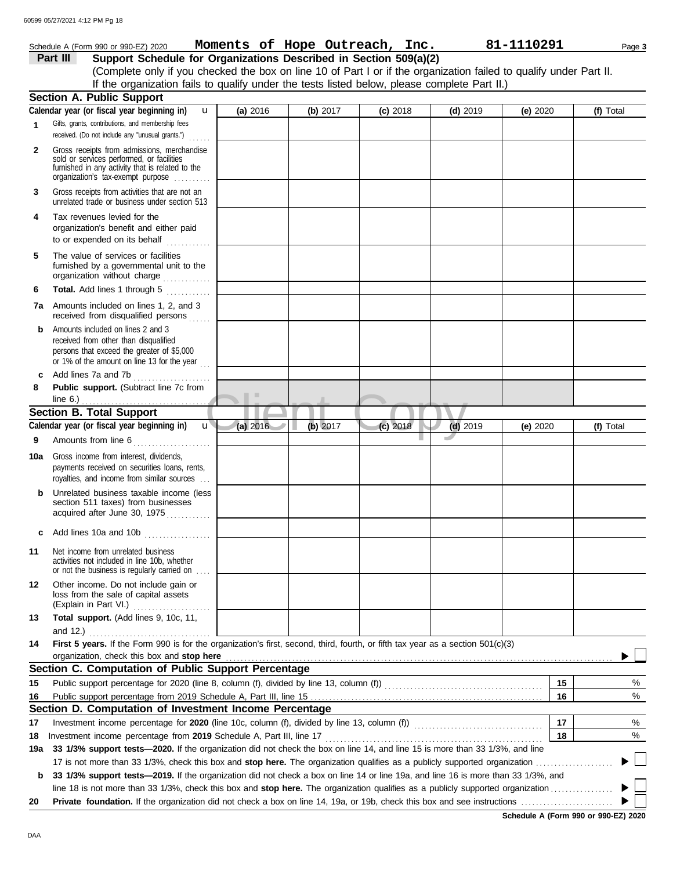|              | Schedule A (Form 990 or 990-EZ) 2020                                                                                                                                              |          |            | Moments of Hope Outreach, Inc. 81-1110291 |            |          |    | Page 3    |
|--------------|-----------------------------------------------------------------------------------------------------------------------------------------------------------------------------------|----------|------------|-------------------------------------------|------------|----------|----|-----------|
|              | Support Schedule for Organizations Described in Section 509(a)(2)<br>Part III                                                                                                     |          |            |                                           |            |          |    |           |
|              | (Complete only if you checked the box on line 10 of Part I or if the organization failed to qualify under Part II.                                                                |          |            |                                           |            |          |    |           |
|              | If the organization fails to qualify under the tests listed below, please complete Part II.)                                                                                      |          |            |                                           |            |          |    |           |
|              | <b>Section A. Public Support</b>                                                                                                                                                  |          |            |                                           |            |          |    |           |
|              | Calendar year (or fiscal year beginning in)<br>$\mathbf{u}$                                                                                                                       | (a) 2016 | (b) $2017$ | $(c)$ 2018                                | $(d)$ 2019 | (e) 2020 |    | (f) Total |
| 1            | Gifts, grants, contributions, and membership fees<br>received. (Do not include any "unusual grants.")                                                                             |          |            |                                           |            |          |    |           |
| $\mathbf{2}$ | Gross receipts from admissions, merchandise<br>sold or services performed, or facilities<br>furnished in any activity that is related to the<br>organization's tax-exempt purpose |          |            |                                           |            |          |    |           |
| 3            | Gross receipts from activities that are not an<br>unrelated trade or business under section 513                                                                                   |          |            |                                           |            |          |    |           |
| 4            | Tax revenues levied for the<br>organization's benefit and either paid<br>to or expended on its behalf<br>.                                                                        |          |            |                                           |            |          |    |           |
| 5            | The value of services or facilities<br>furnished by a governmental unit to the<br>organization without charge                                                                     |          |            |                                           |            |          |    |           |
| 6            | Total. Add lines 1 through 5                                                                                                                                                      |          |            |                                           |            |          |    |           |
|              | 7a Amounts included on lines 1, 2, and 3<br>received from disqualified persons                                                                                                    |          |            |                                           |            |          |    |           |
| b            | Amounts included on lines 2 and 3<br>received from other than disqualified<br>persons that exceed the greater of \$5,000<br>or 1% of the amount on line 13 for the year $\ldots$  |          |            |                                           |            |          |    |           |
| c            |                                                                                                                                                                                   |          |            |                                           |            |          |    |           |
| 8            | Public support. (Subtract line 7c from                                                                                                                                            |          |            |                                           |            |          |    |           |
|              |                                                                                                                                                                                   | N. H.    |            |                                           |            |          |    |           |
|              | <b>Section B. Total Support</b>                                                                                                                                                   |          |            |                                           |            |          |    |           |
|              | Calendar year (or fiscal year beginning in) $\mathbf u$                                                                                                                           | (a) 2016 | $(b)$ 2017 | $(c)$ 2018                                | $(d)$ 2019 | (e) 2020 |    | (f) Total |
| 9            | Amounts from line 6                                                                                                                                                               |          |            |                                           |            |          |    |           |
|              | <b>10a</b> Gross income from interest, dividends,<br>payments received on securities loans, rents,<br>royalties, and income from similar sources                                  |          |            |                                           |            |          |    |           |
| b            | Unrelated business taxable income (less<br>section 511 taxes) from businesses<br>acquired after June 30, 1975                                                                     |          |            |                                           |            |          |    |           |
| c            | Add lines 10a and 10b                                                                                                                                                             |          |            |                                           |            |          |    |           |
| 11           | Net income from unrelated business<br>activities not included in line 10b, whether<br>or not the business is regularly carried on                                                 |          |            |                                           |            |          |    |           |
| 12           | Other income. Do not include gain or<br>loss from the sale of capital assets<br>(Explain in Part VI.)                                                                             |          |            |                                           |            |          |    |           |
| 13           | Total support. (Add lines 9, 10c, 11,                                                                                                                                             |          |            |                                           |            |          |    |           |
|              | and 12.) $\qquad \qquad \qquad$                                                                                                                                                   |          |            |                                           |            |          |    |           |
| 14           | First 5 years. If the Form 990 is for the organization's first, second, third, fourth, or fifth tax year as a section 501(c)(3)                                                   |          |            |                                           |            |          |    |           |
|              | organization, check this box and stop here<br>Section C. Computation of Public Support Percentage                                                                                 |          |            |                                           |            |          |    |           |
|              |                                                                                                                                                                                   |          |            |                                           |            |          | 15 | %         |
| 15<br>16     |                                                                                                                                                                                   |          |            |                                           |            |          | 16 | $\%$      |
|              | Section D. Computation of Investment Income Percentage                                                                                                                            |          |            |                                           |            |          |    |           |
| 17           |                                                                                                                                                                                   |          |            |                                           |            |          | 17 | %         |
| 18           |                                                                                                                                                                                   |          |            |                                           |            |          | 18 | %         |
| 19a          | 33 1/3% support tests-2020. If the organization did not check the box on line 14, and line 15 is more than 33 1/3%, and line                                                      |          |            |                                           |            |          |    |           |
|              |                                                                                                                                                                                   |          |            |                                           |            |          |    |           |
| b            | 33 1/3% support tests-2019. If the organization did not check a box on line 14 or line 19a, and line 16 is more than 33 1/3%, and                                                 |          |            |                                           |            |          |    |           |
|              | line 18 is not more than 33 1/3%, check this box and stop here. The organization qualifies as a publicly supported organization                                                   |          |            |                                           |            |          |    |           |
| 20           |                                                                                                                                                                                   |          |            |                                           |            |          |    |           |

| Schedule A (Form 990 or 990-EZ) 2020 |  |  |  |
|--------------------------------------|--|--|--|
|                                      |  |  |  |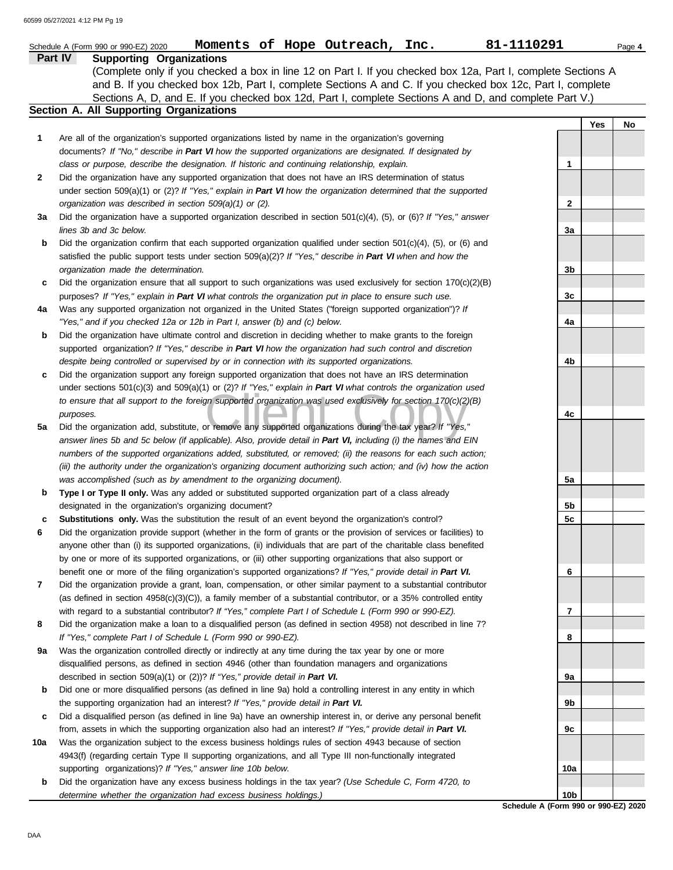|     | 81-1110291<br>Moments of Hope Outreach, Inc.<br>Schedule A (Form 990 or 990-EZ) 2020                                                                                                                                                                                                                                                                                                |                 |     | Page 4 |
|-----|-------------------------------------------------------------------------------------------------------------------------------------------------------------------------------------------------------------------------------------------------------------------------------------------------------------------------------------------------------------------------------------|-----------------|-----|--------|
|     | Part IV<br><b>Supporting Organizations</b><br>(Complete only if you checked a box in line 12 on Part I. If you checked box 12a, Part I, complete Sections A<br>and B. If you checked box 12b, Part I, complete Sections A and C. If you checked box 12c, Part I, complete<br>Sections A, D, and E. If you checked box 12d, Part I, complete Sections A and D, and complete Part V.) |                 |     |        |
|     | Section A. All Supporting Organizations                                                                                                                                                                                                                                                                                                                                             |                 |     |        |
|     |                                                                                                                                                                                                                                                                                                                                                                                     |                 | Yes | No     |
| 1   | Are all of the organization's supported organizations listed by name in the organization's governing                                                                                                                                                                                                                                                                                |                 |     |        |
|     | documents? If "No," describe in Part VI how the supported organizations are designated. If designated by<br>class or purpose, describe the designation. If historic and continuing relationship, explain.                                                                                                                                                                           | 1               |     |        |
| 2   | Did the organization have any supported organization that does not have an IRS determination of status                                                                                                                                                                                                                                                                              |                 |     |        |
|     | under section 509(a)(1) or (2)? If "Yes," explain in Part VI how the organization determined that the supported                                                                                                                                                                                                                                                                     |                 |     |        |
|     | organization was described in section 509(a)(1) or (2).                                                                                                                                                                                                                                                                                                                             | 2               |     |        |
| За  | Did the organization have a supported organization described in section $501(c)(4)$ , (5), or (6)? If "Yes," answer                                                                                                                                                                                                                                                                 |                 |     |        |
|     | lines 3b and 3c below.                                                                                                                                                                                                                                                                                                                                                              | 3a              |     |        |
| b   | Did the organization confirm that each supported organization qualified under section $501(c)(4)$ , $(5)$ , or $(6)$ and                                                                                                                                                                                                                                                            |                 |     |        |
|     | satisfied the public support tests under section 509(a)(2)? If "Yes," describe in Part VI when and how the                                                                                                                                                                                                                                                                          |                 |     |        |
|     | organization made the determination.                                                                                                                                                                                                                                                                                                                                                | 3b              |     |        |
| c   | Did the organization ensure that all support to such organizations was used exclusively for section $170(c)(2)(B)$                                                                                                                                                                                                                                                                  |                 |     |        |
|     | purposes? If "Yes," explain in Part VI what controls the organization put in place to ensure such use.                                                                                                                                                                                                                                                                              | 3c              |     |        |
| 4a  | Was any supported organization not organized in the United States ("foreign supported organization")? If                                                                                                                                                                                                                                                                            |                 |     |        |
|     | "Yes," and if you checked 12a or 12b in Part I, answer (b) and (c) below.                                                                                                                                                                                                                                                                                                           | 4a              |     |        |
| b   | Did the organization have ultimate control and discretion in deciding whether to make grants to the foreign                                                                                                                                                                                                                                                                         |                 |     |        |
|     | supported organization? If "Yes," describe in Part VI how the organization had such control and discretion                                                                                                                                                                                                                                                                          |                 |     |        |
| c   | despite being controlled or supervised by or in connection with its supported organizations.<br>Did the organization support any foreign supported organization that does not have an IRS determination                                                                                                                                                                             | 4b              |     |        |
|     | under sections 501(c)(3) and 509(a)(1) or (2)? If "Yes," explain in Part VI what controls the organization used                                                                                                                                                                                                                                                                     |                 |     |        |
|     | to ensure that all support to the foreign supported organization was used exclusively for section 170(c)(2)(B)                                                                                                                                                                                                                                                                      |                 |     |        |
|     | purposes.                                                                                                                                                                                                                                                                                                                                                                           | 4c              |     |        |
| 5a  | Did the organization add, substitute, or remove any supported organizations during the tax year? If "Yes,"                                                                                                                                                                                                                                                                          |                 |     |        |
|     | answer lines 5b and 5c below (if applicable). Also, provide detail in Part VI, including (i) the names and EIN                                                                                                                                                                                                                                                                      |                 |     |        |
|     | numbers of the supported organizations added, substituted, or removed; (ii) the reasons for each such action;                                                                                                                                                                                                                                                                       |                 |     |        |
|     | (iii) the authority under the organization's organizing document authorizing such action; and (iv) how the action                                                                                                                                                                                                                                                                   |                 |     |        |
|     | was accomplished (such as by amendment to the organizing document).                                                                                                                                                                                                                                                                                                                 | 5a              |     |        |
| b   | Type I or Type II only. Was any added or substituted supported organization part of a class already                                                                                                                                                                                                                                                                                 |                 |     |        |
|     | designated in the organization's organizing document?                                                                                                                                                                                                                                                                                                                               | 5b              |     |        |
| с   | Substitutions only. Was the substitution the result of an event beyond the organization's control?                                                                                                                                                                                                                                                                                  | 5c              |     |        |
| 6   | Did the organization provide support (whether in the form of grants or the provision of services or facilities) to<br>anyone other than (i) its supported organizations, (ii) individuals that are part of the charitable class benefited                                                                                                                                           |                 |     |        |
|     | by one or more of its supported organizations, or (iii) other supporting organizations that also support or                                                                                                                                                                                                                                                                         |                 |     |        |
|     | benefit one or more of the filing organization's supported organizations? If "Yes," provide detail in Part VI.                                                                                                                                                                                                                                                                      | 6               |     |        |
| 7   | Did the organization provide a grant, loan, compensation, or other similar payment to a substantial contributor                                                                                                                                                                                                                                                                     |                 |     |        |
|     | (as defined in section $4958(c)(3)(C)$ ), a family member of a substantial contributor, or a 35% controlled entity                                                                                                                                                                                                                                                                  |                 |     |        |
|     | with regard to a substantial contributor? If "Yes," complete Part I of Schedule L (Form 990 or 990-EZ).                                                                                                                                                                                                                                                                             | 7               |     |        |
| 8   | Did the organization make a loan to a disqualified person (as defined in section 4958) not described in line 7?                                                                                                                                                                                                                                                                     |                 |     |        |
|     | If "Yes," complete Part I of Schedule L (Form 990 or 990-EZ).                                                                                                                                                                                                                                                                                                                       | 8               |     |        |
| 9a  | Was the organization controlled directly or indirectly at any time during the tax year by one or more                                                                                                                                                                                                                                                                               |                 |     |        |
|     | disqualified persons, as defined in section 4946 (other than foundation managers and organizations                                                                                                                                                                                                                                                                                  |                 |     |        |
|     | described in section 509(a)(1) or (2))? If "Yes," provide detail in Part VI.                                                                                                                                                                                                                                                                                                        | 9а              |     |        |
| b   | Did one or more disqualified persons (as defined in line 9a) hold a controlling interest in any entity in which                                                                                                                                                                                                                                                                     |                 |     |        |
|     | the supporting organization had an interest? If "Yes," provide detail in Part VI.<br>Did a disqualified person (as defined in line 9a) have an ownership interest in, or derive any personal benefit                                                                                                                                                                                | 9b              |     |        |
| c   | from, assets in which the supporting organization also had an interest? If "Yes," provide detail in Part VI.                                                                                                                                                                                                                                                                        | 9с              |     |        |
| 10a | Was the organization subject to the excess business holdings rules of section 4943 because of section                                                                                                                                                                                                                                                                               |                 |     |        |
|     | 4943(f) (regarding certain Type II supporting organizations, and all Type III non-functionally integrated                                                                                                                                                                                                                                                                           |                 |     |        |
|     | supporting organizations)? If "Yes," answer line 10b below.                                                                                                                                                                                                                                                                                                                         | 10a             |     |        |
| b   | Did the organization have any excess business holdings in the tax year? (Use Schedule C, Form 4720, to                                                                                                                                                                                                                                                                              |                 |     |        |
|     | determine whether the organization had excess business holdings.)                                                                                                                                                                                                                                                                                                                   | 10 <sub>b</sub> |     |        |

#### **Schedule A (Form 990 or 990-EZ) 2020**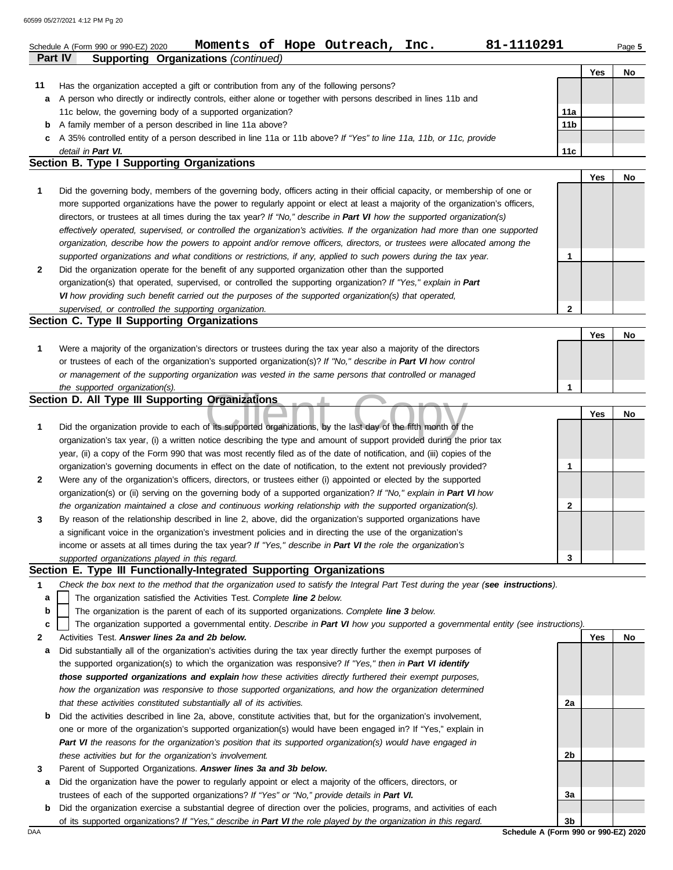|         | 81-1110291<br>Moments of Hope Outreach, Inc.<br>Schedule A (Form 990 or 990-EZ) 2020                                                                                                                                                   |                 |     | Page 5 |
|---------|----------------------------------------------------------------------------------------------------------------------------------------------------------------------------------------------------------------------------------------|-----------------|-----|--------|
| Part IV | <b>Supporting Organizations (continued)</b>                                                                                                                                                                                            |                 | Yes | No     |
| 11      | Has the organization accepted a gift or contribution from any of the following persons?                                                                                                                                                |                 |     |        |
| а       | A person who directly or indirectly controls, either alone or together with persons described in lines 11b and                                                                                                                         |                 |     |        |
|         | 11c below, the governing body of a supported organization?                                                                                                                                                                             | 11a             |     |        |
| b       | A family member of a person described in line 11a above?                                                                                                                                                                               | 11 <sub>b</sub> |     |        |
| c       | A 35% controlled entity of a person described in line 11a or 11b above? If "Yes" to line 11a, 11b, or 11c, provide                                                                                                                     |                 |     |        |
|         | detail in Part VI.                                                                                                                                                                                                                     | 11c             |     |        |
|         | Section B. Type I Supporting Organizations                                                                                                                                                                                             |                 |     |        |
|         |                                                                                                                                                                                                                                        |                 | Yes | No     |
| 1       | Did the governing body, members of the governing body, officers acting in their official capacity, or membership of one or                                                                                                             |                 |     |        |
|         | more supported organizations have the power to regularly appoint or elect at least a majority of the organization's officers,                                                                                                          |                 |     |        |
|         | directors, or trustees at all times during the tax year? If "No," describe in Part VI how the supported organization(s)                                                                                                                |                 |     |        |
|         | effectively operated, supervised, or controlled the organization's activities. If the organization had more than one supported                                                                                                         |                 |     |        |
|         | organization, describe how the powers to appoint and/or remove officers, directors, or trustees were allocated among the                                                                                                               |                 |     |        |
|         | supported organizations and what conditions or restrictions, if any, applied to such powers during the tax year.                                                                                                                       | 1               |     |        |
| 2       | Did the organization operate for the benefit of any supported organization other than the supported                                                                                                                                    |                 |     |        |
|         | organization(s) that operated, supervised, or controlled the supporting organization? If "Yes," explain in Part                                                                                                                        |                 |     |        |
|         | VI how providing such benefit carried out the purposes of the supported organization(s) that operated,                                                                                                                                 |                 |     |        |
|         | supervised, or controlled the supporting organization.                                                                                                                                                                                 | $\mathbf{2}$    |     |        |
|         | Section C. Type II Supporting Organizations                                                                                                                                                                                            |                 |     |        |
|         |                                                                                                                                                                                                                                        |                 | Yes | No     |
| 1       | Were a majority of the organization's directors or trustees during the tax year also a majority of the directors                                                                                                                       |                 |     |        |
|         | or trustees of each of the organization's supported organization(s)? If "No," describe in Part VI how control                                                                                                                          |                 |     |        |
|         | or management of the supporting organization was vested in the same persons that controlled or managed                                                                                                                                 |                 |     |        |
|         | the supported organization(s).                                                                                                                                                                                                         | 1               |     |        |
|         | Section D. All Type III Supporting Organizations                                                                                                                                                                                       |                 |     |        |
|         |                                                                                                                                                                                                                                        |                 | Yes | No     |
| 1       | Did the organization provide to each of its supported organizations, by the last day of the fifth month of the                                                                                                                         |                 |     |        |
|         | organization's tax year, (i) a written notice describing the type and amount of support provided during the prior tax                                                                                                                  |                 |     |        |
|         | year, (ii) a copy of the Form 990 that was most recently filed as of the date of notification, and (iii) copies of the                                                                                                                 |                 |     |        |
|         | organization's governing documents in effect on the date of notification, to the extent not previously provided?                                                                                                                       | 1               |     |        |
| 2       | Were any of the organization's officers, directors, or trustees either (i) appointed or elected by the supported<br>organization(s) or (ii) serving on the governing body of a supported organization? If "No," explain in Part VI how |                 |     |        |
|         | the organization maintained a close and continuous working relationship with the supported organization(s).                                                                                                                            | 2               |     |        |
| 3       | By reason of the relationship described in line 2, above, did the organization's supported organizations have                                                                                                                          |                 |     |        |
|         | a significant voice in the organization's investment policies and in directing the use of the organization's                                                                                                                           |                 |     |        |
|         | income or assets at all times during the tax year? If "Yes," describe in Part VI the role the organization's                                                                                                                           |                 |     |        |
|         | supported organizations played in this regard.                                                                                                                                                                                         | 3               |     |        |
|         | Section E. Type III Functionally-Integrated Supporting Organizations                                                                                                                                                                   |                 |     |        |
| 1       | Check the box next to the method that the organization used to satisfy the Integral Part Test during the year (see instructions).                                                                                                      |                 |     |        |
| a       | The organization satisfied the Activities Test. Complete line 2 below.                                                                                                                                                                 |                 |     |        |
| b       | The organization is the parent of each of its supported organizations. Complete line 3 below.                                                                                                                                          |                 |     |        |
| c       | The organization supported a governmental entity. Describe in Part VI how you supported a governmental entity (see instructions).                                                                                                      |                 |     |        |
| 2       | Activities Test. Answer lines 2a and 2b below.                                                                                                                                                                                         |                 | Yes | No     |
| а       | Did substantially all of the organization's activities during the tax year directly further the exempt purposes of                                                                                                                     |                 |     |        |
|         | the supported organization(s) to which the organization was responsive? If "Yes," then in Part VI identify                                                                                                                             |                 |     |        |
|         | those supported organizations and explain how these activities directly furthered their exempt purposes,                                                                                                                               |                 |     |        |
|         | how the organization was responsive to those supported organizations, and how the organization determined                                                                                                                              |                 |     |        |
|         | that these activities constituted substantially all of its activities.                                                                                                                                                                 | 2a              |     |        |
| b       | Did the activities described in line 2a, above, constitute activities that, but for the organization's involvement,                                                                                                                    |                 |     |        |
|         | one or more of the organization's supported organization(s) would have been engaged in? If "Yes," explain in                                                                                                                           |                 |     |        |
|         | Part VI the reasons for the organization's position that its supported organization(s) would have engaged in                                                                                                                           |                 |     |        |
|         | these activities but for the organization's involvement.                                                                                                                                                                               | 2b              |     |        |
| 3       | Parent of Supported Organizations. Answer lines 3a and 3b below.                                                                                                                                                                       |                 |     |        |
| а       | Did the organization have the power to regularly appoint or elect a majority of the officers, directors, or                                                                                                                            |                 |     |        |
|         | trustees of each of the supported organizations? If "Yes" or "No," provide details in Part VI.                                                                                                                                         | За              |     |        |
| b       | Did the organization exercise a substantial degree of direction over the policies, programs, and activities of each                                                                                                                    |                 |     |        |

of its supported organizations? *If "Yes," describe in Part VI the role played by the organization in this regard.*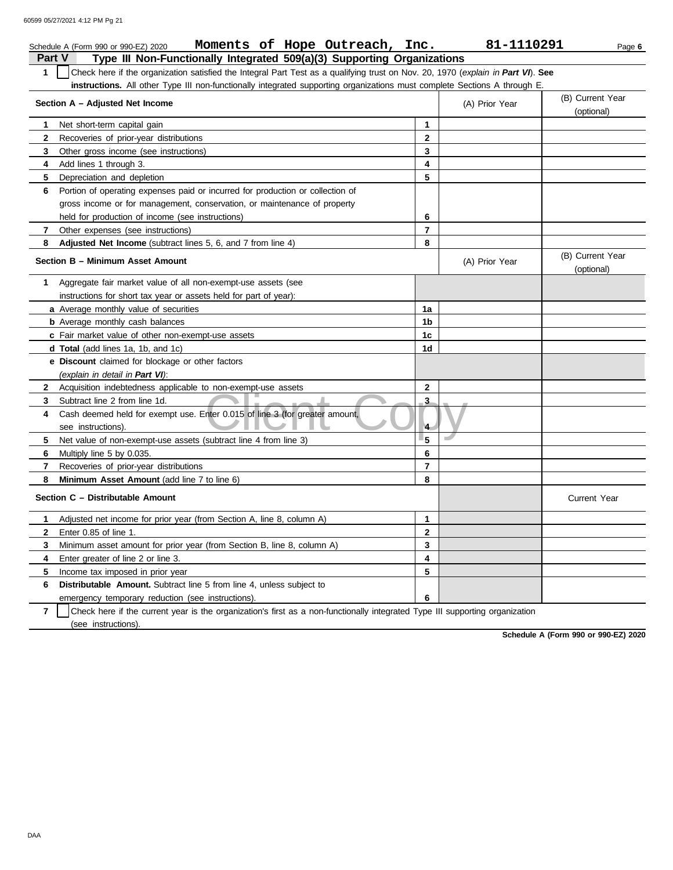|                         | Moments of Hope Outreach, Inc.<br>Schedule A (Form 990 or 990-EZ) 2020                                                           |                         | 81-1110291     | Page 6                         |
|-------------------------|----------------------------------------------------------------------------------------------------------------------------------|-------------------------|----------------|--------------------------------|
| <b>Part V</b>           | Type III Non-Functionally Integrated 509(a)(3) Supporting Organizations                                                          |                         |                |                                |
| $\mathbf{1}$            | Check here if the organization satisfied the Integral Part Test as a qualifying trust on Nov. 20, 1970 (explain in Part VI). See |                         |                |                                |
|                         | instructions. All other Type III non-functionally integrated supporting organizations must complete Sections A through E.        |                         |                |                                |
|                         | Section A - Adjusted Net Income                                                                                                  |                         | (A) Prior Year | (B) Current Year<br>(optional) |
| $\mathbf{1}$            | Net short-term capital gain                                                                                                      | $\mathbf{1}$            |                |                                |
| $\mathbf{2}$            | Recoveries of prior-year distributions                                                                                           | $\mathbf{2}$            |                |                                |
| 3                       | Other gross income (see instructions)                                                                                            | 3                       |                |                                |
| 4                       | Add lines 1 through 3.                                                                                                           | 4                       |                |                                |
| 5                       | Depreciation and depletion                                                                                                       | 5                       |                |                                |
| 6                       | Portion of operating expenses paid or incurred for production or collection of                                                   |                         |                |                                |
|                         | gross income or for management, conservation, or maintenance of property                                                         |                         |                |                                |
|                         | held for production of income (see instructions)                                                                                 | 6                       |                |                                |
| $\overline{7}$          | Other expenses (see instructions)                                                                                                | $\overline{\mathbf{r}}$ |                |                                |
| 8                       | Adjusted Net Income (subtract lines 5, 6, and 7 from line 4)                                                                     | 8                       |                |                                |
|                         | Section B - Minimum Asset Amount                                                                                                 |                         | (A) Prior Year | (B) Current Year<br>(optional) |
| $\mathbf 1$             | Aggregate fair market value of all non-exempt-use assets (see                                                                    |                         |                |                                |
|                         | instructions for short tax year or assets held for part of year):                                                                |                         |                |                                |
|                         | a Average monthly value of securities                                                                                            | 1a                      |                |                                |
|                         | <b>b</b> Average monthly cash balances                                                                                           | 1b                      |                |                                |
|                         | c Fair market value of other non-exempt-use assets                                                                               | 1 <sub>c</sub>          |                |                                |
|                         | d Total (add lines 1a, 1b, and 1c)                                                                                               | 1 <sub>d</sub>          |                |                                |
|                         | <b>e</b> Discount claimed for blockage or other factors                                                                          |                         |                |                                |
|                         | (explain in detail in Part VI):                                                                                                  |                         |                |                                |
| $\mathbf{2}$            | Acquisition indebtedness applicable to non-exempt-use assets                                                                     | $\mathbf{2}$            |                |                                |
| 3                       | Subtract line 2 from line 1d.                                                                                                    | $\overline{\mathbf{3}}$ |                |                                |
| 4                       | Cash deemed held for exempt use. Enter 0.015 of line 3 (for greater amount,<br>see instructions).                                | $\overline{4}$          |                |                                |
| 5                       | Net value of non-exempt-use assets (subtract line 4 from line 3)                                                                 | 5                       |                |                                |
| 6                       | Multiply line 5 by 0.035.                                                                                                        | 6                       |                |                                |
| $\overline{\mathbf{r}}$ | Recoveries of prior-year distributions                                                                                           | $\overline{\mathbf{r}}$ |                |                                |
| 8                       | Minimum Asset Amount (add line 7 to line 6)                                                                                      | 8                       |                |                                |
|                         | Section C - Distributable Amount                                                                                                 |                         |                | <b>Current Year</b>            |
| 1.                      | Adjusted net income for prior year (from Section A, line 8, column A)                                                            | 1                       |                |                                |
| $\mathbf{2}$            | Enter 0.85 of line 1.                                                                                                            | $\mathbf{2}$            |                |                                |
| 3                       | Minimum asset amount for prior year (from Section B, line 8, column A)                                                           | 3                       |                |                                |
| 4                       | Enter greater of line 2 or line 3.                                                                                               | $\overline{\mathbf{4}}$ |                |                                |
| 5                       | Income tax imposed in prior year                                                                                                 | 5                       |                |                                |
| 6                       | <b>Distributable Amount.</b> Subtract line 5 from line 4, unless subject to                                                      |                         |                |                                |
|                         | emergency temporary reduction (see instructions).                                                                                | 6                       |                |                                |

**7** | Check here if the current year is the organization's first as a non-functionally integrated Type III supporting organization (see instructions).

**Schedule A (Form 990 or 990-EZ) 2020**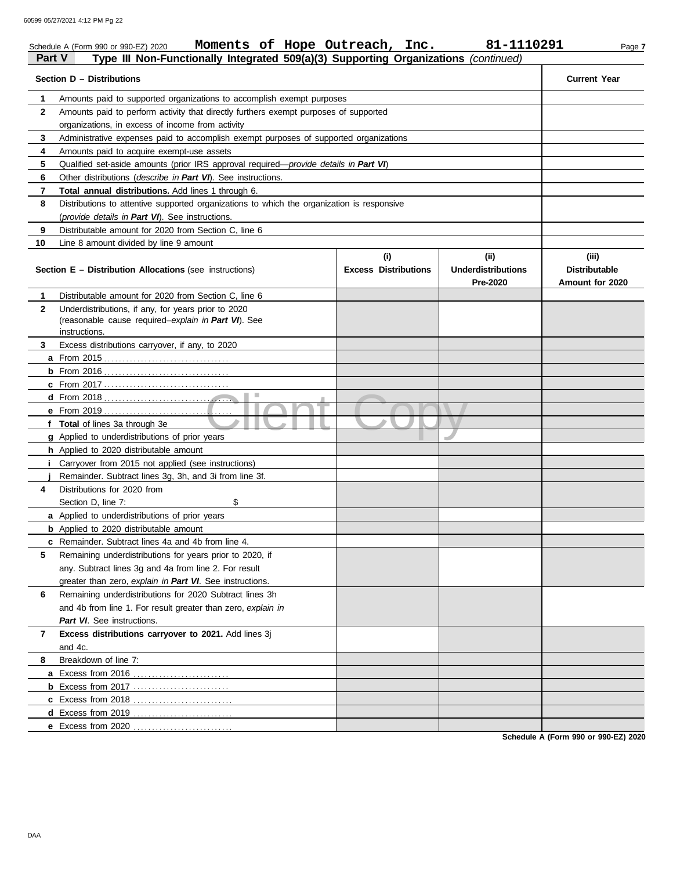|               | Moments of Hope Outreach, Inc.<br>Schedule A (Form 990 or 990-EZ) 2020                                |                                    | 81-1110291                                    | Page 7                                           |
|---------------|-------------------------------------------------------------------------------------------------------|------------------------------------|-----------------------------------------------|--------------------------------------------------|
| <b>Part V</b> | Type III Non-Functionally Integrated 509(a)(3) Supporting Organizations (continued)                   |                                    |                                               |                                                  |
|               | Section D - Distributions                                                                             |                                    |                                               | <b>Current Year</b>                              |
| 1             | Amounts paid to supported organizations to accomplish exempt purposes                                 |                                    |                                               |                                                  |
| $\mathbf{2}$  | Amounts paid to perform activity that directly furthers exempt purposes of supported                  |                                    |                                               |                                                  |
|               | organizations, in excess of income from activity                                                      |                                    |                                               |                                                  |
| 3             | Administrative expenses paid to accomplish exempt purposes of supported organizations                 |                                    |                                               |                                                  |
| 4             | Amounts paid to acquire exempt-use assets                                                             |                                    |                                               |                                                  |
| 5             | Qualified set-aside amounts (prior IRS approval required— <i>provide details in Part VI</i> )         |                                    |                                               |                                                  |
| 6             | Other distributions (describe in Part VI). See instructions.                                          |                                    |                                               |                                                  |
| 7             | Total annual distributions. Add lines 1 through 6.                                                    |                                    |                                               |                                                  |
| 8             | Distributions to attentive supported organizations to which the organization is responsive            |                                    |                                               |                                                  |
|               | (provide details in Part VI). See instructions.                                                       |                                    |                                               |                                                  |
| 9             | Distributable amount for 2020 from Section C, line 6                                                  |                                    |                                               |                                                  |
| 10            | Line 8 amount divided by line 9 amount                                                                |                                    |                                               |                                                  |
|               | <b>Section E - Distribution Allocations (see instructions)</b>                                        | (i)<br><b>Excess Distributions</b> | (ii)<br><b>Underdistributions</b><br>Pre-2020 | (iii)<br><b>Distributable</b><br>Amount for 2020 |
| $\mathbf 1$   | Distributable amount for 2020 from Section C, line 6                                                  |                                    |                                               |                                                  |
| $\mathbf{2}$  | Underdistributions, if any, for years prior to 2020                                                   |                                    |                                               |                                                  |
|               | (reasonable cause required-explain in Part VI). See                                                   |                                    |                                               |                                                  |
|               | instructions.                                                                                         |                                    |                                               |                                                  |
| 3             | Excess distributions carryover, if any, to 2020                                                       |                                    |                                               |                                                  |
|               |                                                                                                       |                                    |                                               |                                                  |
|               |                                                                                                       |                                    |                                               |                                                  |
|               | ш                                                                                                     |                                    |                                               |                                                  |
|               |                                                                                                       |                                    |                                               |                                                  |
|               |                                                                                                       |                                    |                                               |                                                  |
|               | f Total of lines 3a through 3e                                                                        |                                    |                                               |                                                  |
|               | <b>g</b> Applied to underdistributions of prior years                                                 |                                    |                                               |                                                  |
|               | h Applied to 2020 distributable amount<br><b>i</b> Carryover from 2015 not applied (see instructions) |                                    |                                               |                                                  |
|               | Remainder. Subtract lines 3q, 3h, and 3i from line 3f.                                                |                                    |                                               |                                                  |
| 4             | Distributions for 2020 from                                                                           |                                    |                                               |                                                  |
|               | \$<br>Section D, line 7:                                                                              |                                    |                                               |                                                  |
|               | <b>a</b> Applied to underdistributions of prior years                                                 |                                    |                                               |                                                  |
|               | <b>b</b> Applied to 2020 distributable amount                                                         |                                    |                                               |                                                  |
|               | c Remainder. Subtract lines 4a and 4b from line 4.                                                    |                                    |                                               |                                                  |
| 5             | Remaining underdistributions for years prior to 2020, if                                              |                                    |                                               |                                                  |
|               | any. Subtract lines 3g and 4a from line 2. For result                                                 |                                    |                                               |                                                  |
|               | greater than zero, explain in Part VI. See instructions.                                              |                                    |                                               |                                                  |
| 6             | Remaining underdistributions for 2020 Subtract lines 3h                                               |                                    |                                               |                                                  |
|               | and 4b from line 1. For result greater than zero, explain in                                          |                                    |                                               |                                                  |
|               | Part VI. See instructions.                                                                            |                                    |                                               |                                                  |
| 7             | Excess distributions carryover to 2021. Add lines 3j                                                  |                                    |                                               |                                                  |
|               | and 4c.                                                                                               |                                    |                                               |                                                  |
| 8             | Breakdown of line 7:                                                                                  |                                    |                                               |                                                  |
|               |                                                                                                       |                                    |                                               |                                                  |
|               |                                                                                                       |                                    |                                               |                                                  |
|               | c Excess from 2018                                                                                    |                                    |                                               |                                                  |
|               | d Excess from 2019                                                                                    |                                    |                                               |                                                  |
|               | e Excess from 2020                                                                                    |                                    |                                               |                                                  |
|               |                                                                                                       |                                    |                                               |                                                  |

**Schedule A (Form 990 or 990-EZ) 2020**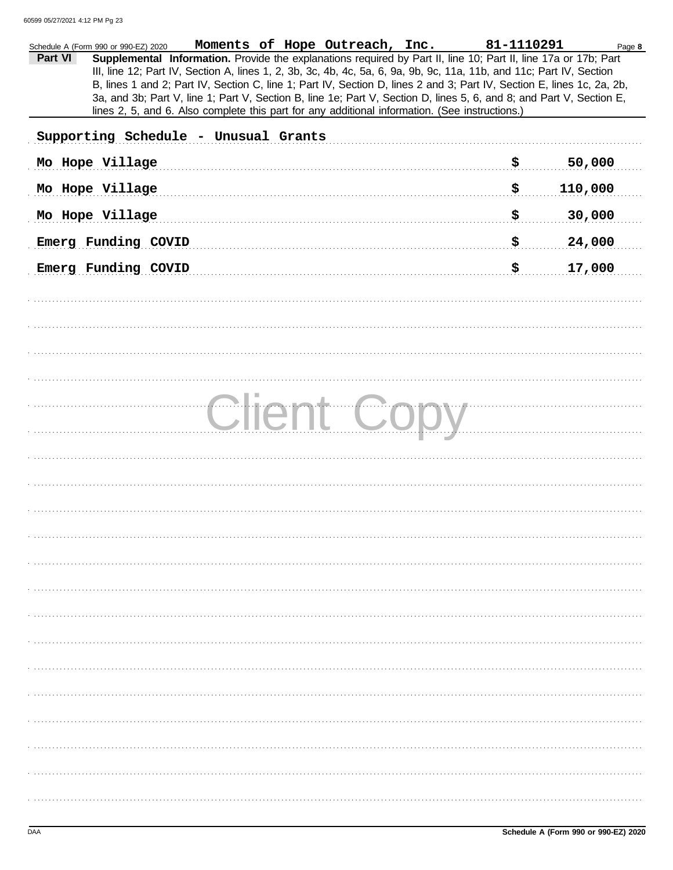| Moments of Hope Outreach, Inc.<br>Schedule A (Form 990 or 990-EZ) 2020                                                                                                                                                                                                                                                                                                                                                                                                                                                                                                                                 | 81-1110291 | Page 8  |
|--------------------------------------------------------------------------------------------------------------------------------------------------------------------------------------------------------------------------------------------------------------------------------------------------------------------------------------------------------------------------------------------------------------------------------------------------------------------------------------------------------------------------------------------------------------------------------------------------------|------------|---------|
| Part VI<br>Supplemental Information. Provide the explanations required by Part II, line 10; Part II, line 17a or 17b; Part<br>III, line 12; Part IV, Section A, lines 1, 2, 3b, 3c, 4b, 4c, 5a, 6, 9a, 9b, 9c, 11a, 11b, and 11c; Part IV, Section<br>B, lines 1 and 2; Part IV, Section C, line 1; Part IV, Section D, lines 2 and 3; Part IV, Section E, lines 1c, 2a, 2b,<br>3a, and 3b; Part V, line 1; Part V, Section B, line 1e; Part V, Section D, lines 5, 6, and 8; and Part V, Section E,<br>lines 2, 5, and 6. Also complete this part for any additional information. (See instructions.) |            |         |
| Supporting Schedule - Unusual Grants                                                                                                                                                                                                                                                                                                                                                                                                                                                                                                                                                                   |            |         |
| Mo Hope Village                                                                                                                                                                                                                                                                                                                                                                                                                                                                                                                                                                                        | \$         | 50,000  |
| Mo Hope Village                                                                                                                                                                                                                                                                                                                                                                                                                                                                                                                                                                                        | \$         | 110,000 |
| Mo Hope Village                                                                                                                                                                                                                                                                                                                                                                                                                                                                                                                                                                                        | \$         | 30,000  |
| Emerg Funding COVID                                                                                                                                                                                                                                                                                                                                                                                                                                                                                                                                                                                    | \$         | 24,000  |
| Emerg Funding COVID                                                                                                                                                                                                                                                                                                                                                                                                                                                                                                                                                                                    | \$         | 17,000  |
|                                                                                                                                                                                                                                                                                                                                                                                                                                                                                                                                                                                                        |            |         |
|                                                                                                                                                                                                                                                                                                                                                                                                                                                                                                                                                                                                        |            |         |
|                                                                                                                                                                                                                                                                                                                                                                                                                                                                                                                                                                                                        |            |         |
|                                                                                                                                                                                                                                                                                                                                                                                                                                                                                                                                                                                                        |            |         |
|                                                                                                                                                                                                                                                                                                                                                                                                                                                                                                                                                                                                        |            |         |
|                                                                                                                                                                                                                                                                                                                                                                                                                                                                                                                                                                                                        |            |         |
|                                                                                                                                                                                                                                                                                                                                                                                                                                                                                                                                                                                                        |            |         |
|                                                                                                                                                                                                                                                                                                                                                                                                                                                                                                                                                                                                        |            |         |
|                                                                                                                                                                                                                                                                                                                                                                                                                                                                                                                                                                                                        |            |         |
|                                                                                                                                                                                                                                                                                                                                                                                                                                                                                                                                                                                                        |            |         |
|                                                                                                                                                                                                                                                                                                                                                                                                                                                                                                                                                                                                        |            |         |
|                                                                                                                                                                                                                                                                                                                                                                                                                                                                                                                                                                                                        |            |         |
|                                                                                                                                                                                                                                                                                                                                                                                                                                                                                                                                                                                                        |            |         |
|                                                                                                                                                                                                                                                                                                                                                                                                                                                                                                                                                                                                        |            |         |
|                                                                                                                                                                                                                                                                                                                                                                                                                                                                                                                                                                                                        |            |         |
|                                                                                                                                                                                                                                                                                                                                                                                                                                                                                                                                                                                                        |            |         |
|                                                                                                                                                                                                                                                                                                                                                                                                                                                                                                                                                                                                        |            |         |
|                                                                                                                                                                                                                                                                                                                                                                                                                                                                                                                                                                                                        |            |         |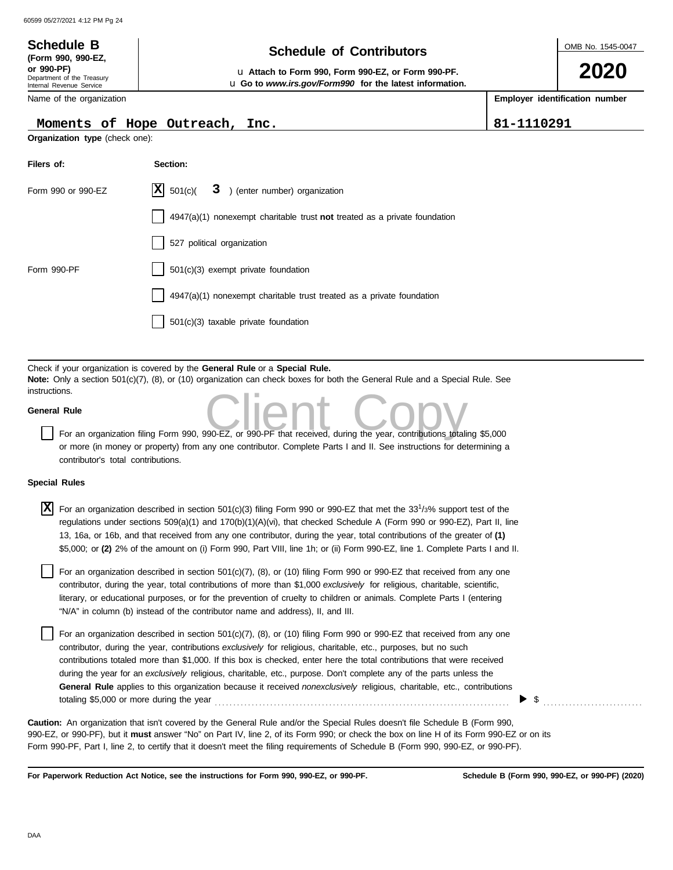**(Form 990, 990-EZ,**

## **Schedule of Contributors Schedule B**

OMB No. 1545-0047

**2020**

**or 990-PF)** u **Attach to Form 990, Form 990-EZ, or Form 990-PF.** u **Go to** *www.irs.gov/Form990* **for the latest information.**

**Employer identification number**

| Department of the Treasury<br>Internal Revenue Service |  |  |  |  |  |
|--------------------------------------------------------|--|--|--|--|--|
| Name of the organization                               |  |  |  |  |  |

### **Moments of Hope Outreach, Inc. 81-1110291**

**Organization type** (check one):

| Filers of:         | Section:                                                                    |
|--------------------|-----------------------------------------------------------------------------|
| Form 990 or 990-EZ | $ \mathbf{X} $ 501(c)( $3$ ) (enter number) organization                    |
|                    | $4947(a)(1)$ nonexempt charitable trust not treated as a private foundation |
|                    | 527 political organization                                                  |
| Form 990-PF        | 501(c)(3) exempt private foundation                                         |
|                    | $4947(a)(1)$ nonexempt charitable trust treated as a private foundation     |
|                    | $501(c)(3)$ taxable private foundation                                      |

Check if your organization is covered by the **General Rule** or a **Special Rule. Note:** Only a section 501(c)(7), (8), or (10) organization can check boxes for both the General Rule and a Special Rule. See instructions.

### **General Rule**

Por an organization filing Form 990, 990-EZ, or 990-PF that received, during the year, contributions totaling \$5,000 or more (in money or property) from any one contributor. Complete Parts I and II. See instructions for determining a contributor's total contributions.

#### **Special Rules**

| X | For an organization described in section 501(c)(3) filing Form 990 or 990-EZ that met the 33 <sup>1</sup> /3% support test of the<br>regulations under sections 509(a)(1) and 170(b)(1)(A)(vi), that checked Schedule A (Form 990 or 990-EZ), Part II, line<br>13, 16a, or 16b, and that received from any one contributor, during the year, total contributions of the greater of (1)<br>\$5,000; or (2) 2% of the amount on (i) Form 990, Part VIII, line 1h; or (ii) Form 990-EZ, line 1. Complete Parts I and II.                                                                                               |
|---|---------------------------------------------------------------------------------------------------------------------------------------------------------------------------------------------------------------------------------------------------------------------------------------------------------------------------------------------------------------------------------------------------------------------------------------------------------------------------------------------------------------------------------------------------------------------------------------------------------------------|
|   | For an organization described in section 501(c)(7), (8), or (10) filing Form 990 or 990-EZ that received from any one<br>contributor, during the year, total contributions of more than \$1,000 exclusively for religious, charitable, scientific,<br>literary, or educational purposes, or for the prevention of cruelty to children or animals. Complete Parts I (entering<br>"N/A" in column (b) instead of the contributor name and address), II, and III.                                                                                                                                                      |
|   | For an organization described in section 501(c)(7), (8), or (10) filing Form 990 or 990-EZ that received from any one<br>contributor, during the year, contributions exclusively for religious, charitable, etc., purposes, but no such<br>contributions totaled more than \$1,000. If this box is checked, enter here the total contributions that were received<br>during the year for an exclusively religious, charitable, etc., purpose. Don't complete any of the parts unless the<br>General Rule applies to this organization because it received nonexclusively religious, charitable, etc., contributions |

totaling \$5,000 or more during the year . . . . . . . . . . . . . . . . . . . . . . . . . . . . . . . . . . . . . . . . . . . . . . . . . . . . . . . . . . . . . . . . . . . . . . . . . . . . . . . . **Caution:** An organization that isn't covered by the General Rule and/or the Special Rules doesn't file Schedule B (Form 990,

990-EZ, or 990-PF), but it **must** answer "No" on Part IV, line 2, of its Form 990; or check the box on line H of its Form 990-EZ or on its Form 990-PF, Part I, line 2, to certify that it doesn't meet the filing requirements of Schedule B (Form 990, 990-EZ, or 990-PF).

**For Paperwork Reduction Act Notice, see the instructions for Form 990, 990-EZ, or 990-PF.**

\$ . . . . . . . . . . . . . . . . . . . . . . . . . . .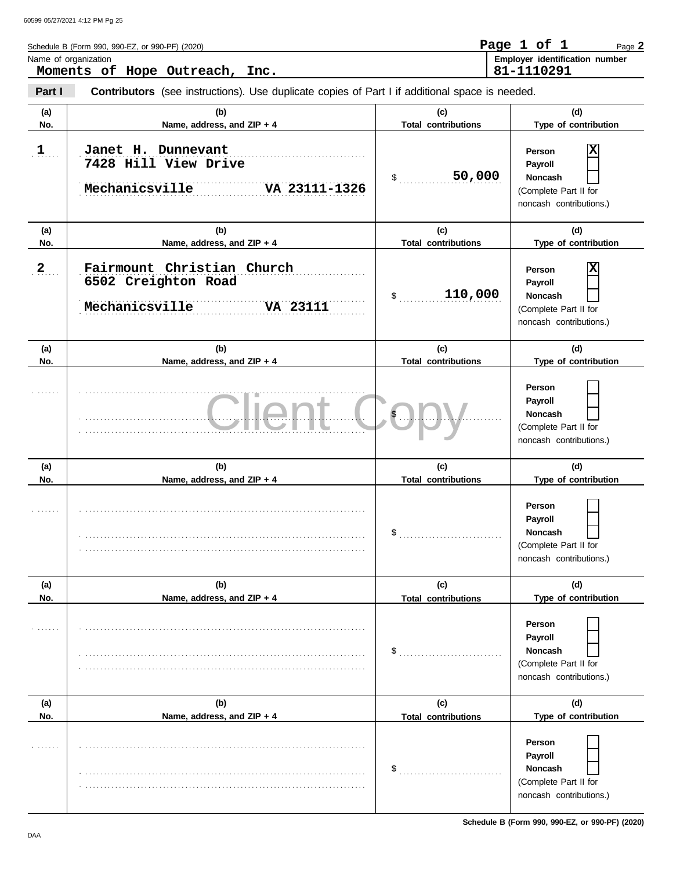|              | Schedule B (Form 990, 990-EZ, or 990-PF) (2020)                                                |                                   | Page 1 of 1<br>Page 2                                                                        |
|--------------|------------------------------------------------------------------------------------------------|-----------------------------------|----------------------------------------------------------------------------------------------|
|              | Name of organization<br>Moments of Hope Outreach, Inc.                                         |                                   | Employer identification number<br>81-1110291                                                 |
| Part I       | Contributors (see instructions). Use duplicate copies of Part I if additional space is needed. |                                   |                                                                                              |
| (a)<br>No.   | (b)<br>Name, address, and ZIP + 4                                                              | (c)<br><b>Total contributions</b> | (d)<br>Type of contribution                                                                  |
| 1            | Janet H. Dunnevant<br>7428 Hill View Drive<br>Mechanicsville<br>VA 23111-1326                  | 50,000<br>$\mathsf{\$}$           | X<br>Person<br>Payroll<br><b>Noncash</b><br>(Complete Part II for<br>noncash contributions.) |
| (a)<br>No.   | (b)<br>Name, address, and ZIP + 4                                                              | (c)<br><b>Total contributions</b> | (d)<br>Type of contribution                                                                  |
| $\mathbf{2}$ | Fairmount Christian Church<br>6502 Creighton Road<br>Mechanicsville<br><b>VA 23111</b>         | 110,000<br>\$                     | X<br>Person<br>Payroll<br>Noncash<br>(Complete Part II for<br>noncash contributions.)        |
| (a)<br>No.   | (b)<br>Name, address, and ZIP + 4                                                              | (c)<br><b>Total contributions</b> | (d)<br>Type of contribution                                                                  |
|              |                                                                                                |                                   | Person<br>Payroll<br>Noncash<br>(Complete Part II for<br>noncash contributions.)             |
| (a)<br>No.   | (b)<br>Name, address, and ZIP + 4                                                              | (c)<br><b>Total contributions</b> | (d)<br>Type of contribution                                                                  |
|              |                                                                                                |                                   | Person<br>Payroll<br>Noncash<br>(Complete Part II for<br>noncash contributions.)             |
| (a)<br>No.   | (b)<br>Name, address, and ZIP + 4                                                              | (c)<br><b>Total contributions</b> | (d)<br>Type of contribution                                                                  |
|              |                                                                                                | \$                                | Person<br>Payroll<br><b>Noncash</b><br>(Complete Part II for<br>noncash contributions.)      |
| (a)<br>No.   | (b)<br>Name, address, and ZIP + 4                                                              | (c)                               | (d)<br>Type of contribution                                                                  |
|              |                                                                                                | <b>Total contributions</b><br>\$  | Person<br>Payroll<br><b>Noncash</b><br>(Complete Part II for<br>noncash contributions.)      |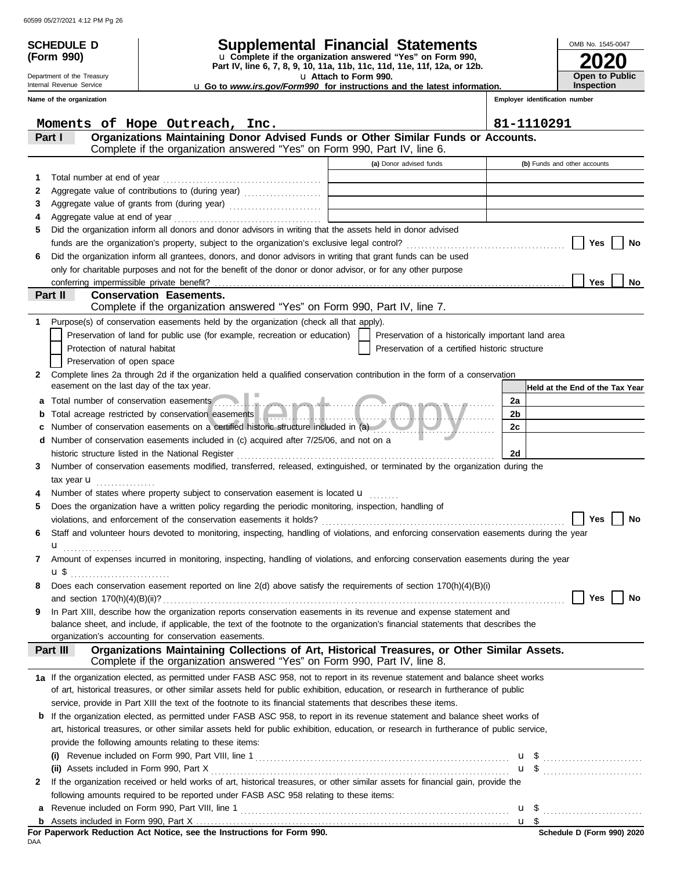| <b>SCHEDULE D</b><br>(Form 990) |                                                                                                                                                                                                                                                                      | <b>Supplemental Financial Statements</b><br>u Complete if the organization answered "Yes" on Form 990, |                                 | OMB No. 1545-0047                   |  |
|---------------------------------|----------------------------------------------------------------------------------------------------------------------------------------------------------------------------------------------------------------------------------------------------------------------|--------------------------------------------------------------------------------------------------------|---------------------------------|-------------------------------------|--|
| Department of the Treasury      | Part IV, line 6, 7, 8, 9, 10, 11a, 11b, 11c, 11d, 11e, 11f, 12a, or 12b.<br>u Attach to Form 990.                                                                                                                                                                    |                                                                                                        |                                 |                                     |  |
| Internal Revenue Service        |                                                                                                                                                                                                                                                                      | <b>u</b> Go to www.irs.gov/Form990 for instructions and the latest information.                        |                                 | Open to Public<br><b>Inspection</b> |  |
| Name of the organization        |                                                                                                                                                                                                                                                                      |                                                                                                        | Employer identification number  |                                     |  |
|                                 |                                                                                                                                                                                                                                                                      |                                                                                                        |                                 |                                     |  |
|                                 | Moments of Hope Outreach, Inc.                                                                                                                                                                                                                                       |                                                                                                        | 81-1110291                      |                                     |  |
| Part I                          | Organizations Maintaining Donor Advised Funds or Other Similar Funds or Accounts.<br>Complete if the organization answered "Yes" on Form 990, Part IV, line 6.                                                                                                       |                                                                                                        |                                 |                                     |  |
|                                 |                                                                                                                                                                                                                                                                      | (a) Donor advised funds                                                                                | (b) Funds and other accounts    |                                     |  |
| 1                               |                                                                                                                                                                                                                                                                      |                                                                                                        |                                 |                                     |  |
| 2                               | Aggregate value of contributions to (during year)                                                                                                                                                                                                                    |                                                                                                        |                                 |                                     |  |
| 3                               | Aggregate value of grants from (during year)                                                                                                                                                                                                                         |                                                                                                        |                                 |                                     |  |
| 4                               |                                                                                                                                                                                                                                                                      |                                                                                                        |                                 |                                     |  |
| 5                               | Did the organization inform all donors and donor advisors in writing that the assets held in donor advised                                                                                                                                                           |                                                                                                        |                                 |                                     |  |
|                                 |                                                                                                                                                                                                                                                                      |                                                                                                        |                                 | Yes<br>No                           |  |
| 6                               | Did the organization inform all grantees, donors, and donor advisors in writing that grant funds can be used                                                                                                                                                         |                                                                                                        |                                 |                                     |  |
|                                 | only for charitable purposes and not for the benefit of the donor or donor advisor, or for any other purpose                                                                                                                                                         |                                                                                                        |                                 |                                     |  |
| Part II                         | <b>Conservation Easements.</b>                                                                                                                                                                                                                                       |                                                                                                        |                                 | <b>Yes</b><br>No.                   |  |
|                                 | Complete if the organization answered "Yes" on Form 990, Part IV, line 7.                                                                                                                                                                                            |                                                                                                        |                                 |                                     |  |
| 1                               | Purpose(s) of conservation easements held by the organization (check all that apply).                                                                                                                                                                                |                                                                                                        |                                 |                                     |  |
|                                 | Preservation of land for public use (for example, recreation or education)                                                                                                                                                                                           | Preservation of a historically important land area                                                     |                                 |                                     |  |
| Protection of natural habitat   |                                                                                                                                                                                                                                                                      | Preservation of a certified historic structure                                                         |                                 |                                     |  |
|                                 |                                                                                                                                                                                                                                                                      |                                                                                                        |                                 |                                     |  |
| Preservation of open space      |                                                                                                                                                                                                                                                                      |                                                                                                        |                                 |                                     |  |
| $\mathbf{2}$                    | Complete lines 2a through 2d if the organization held a qualified conservation contribution in the form of a conservation<br>easement on the last day of the tax year.                                                                                               |                                                                                                        |                                 |                                     |  |
|                                 |                                                                                                                                                                                                                                                                      |                                                                                                        | Held at the End of the Tax Year |                                     |  |
| а                               |                                                                                                                                                                                                                                                                      |                                                                                                        | 2a                              |                                     |  |
| b                               |                                                                                                                                                                                                                                                                      |                                                                                                        | 2b                              |                                     |  |
| c                               | Number of conservation easements on a certified historic structure included in (a)                                                                                                                                                                                   |                                                                                                        | 2c                              |                                     |  |
|                                 | d Number of conservation easements included in (c) acquired after 7/25/06, and not on a                                                                                                                                                                              |                                                                                                        |                                 |                                     |  |
|                                 | historic structure listed in the National Register                                                                                                                                                                                                                   |                                                                                                        | 2d                              |                                     |  |
| 3                               | Number of conservation easements modified, transferred, released, extinguished, or terminated by the organization during the                                                                                                                                         |                                                                                                        |                                 |                                     |  |
| tax year $\mathbf u$            |                                                                                                                                                                                                                                                                      |                                                                                                        |                                 |                                     |  |
| 4                               | Number of states where property subject to conservation easement is located <b>u</b>                                                                                                                                                                                 |                                                                                                        |                                 |                                     |  |
| 5                               | Does the organization have a written policy regarding the periodic monitoring, inspection, handling of                                                                                                                                                               |                                                                                                        |                                 |                                     |  |
|                                 |                                                                                                                                                                                                                                                                      |                                                                                                        |                                 | Yes<br>No                           |  |
| 6                               | Staff and volunteer hours devoted to monitoring, inspecting, handling of violations, and enforcing conservation easements during the year                                                                                                                            |                                                                                                        |                                 |                                     |  |
| $\mathbf{u}$                    |                                                                                                                                                                                                                                                                      |                                                                                                        |                                 |                                     |  |
| 7                               | Amount of expenses incurred in monitoring, inspecting, handling of violations, and enforcing conservation easements during the year                                                                                                                                  |                                                                                                        |                                 |                                     |  |
|                                 |                                                                                                                                                                                                                                                                      |                                                                                                        |                                 |                                     |  |
| 8                               | Does each conservation easement reported on line 2(d) above satisfy the requirements of section 170(h)(4)(B)(i)                                                                                                                                                      |                                                                                                        |                                 |                                     |  |
|                                 |                                                                                                                                                                                                                                                                      |                                                                                                        |                                 | Yes<br>No                           |  |
| 9                               | In Part XIII, describe how the organization reports conservation easements in its revenue and expense statement and<br>balance sheet, and include, if applicable, the text of the footnote to the organization's financial statements that describes the             |                                                                                                        |                                 |                                     |  |
|                                 | organization's accounting for conservation easements.                                                                                                                                                                                                                |                                                                                                        |                                 |                                     |  |
| Part III                        | Organizations Maintaining Collections of Art, Historical Treasures, or Other Similar Assets.<br>Complete if the organization answered "Yes" on Form 990, Part IV, line 8.                                                                                            |                                                                                                        |                                 |                                     |  |
|                                 |                                                                                                                                                                                                                                                                      |                                                                                                        |                                 |                                     |  |
|                                 | 1a If the organization elected, as permitted under FASB ASC 958, not to report in its revenue statement and balance sheet works<br>of art, historical treasures, or other similar assets held for public exhibition, education, or research in furtherance of public |                                                                                                        |                                 |                                     |  |
|                                 | service, provide in Part XIII the text of the footnote to its financial statements that describes these items.                                                                                                                                                       |                                                                                                        |                                 |                                     |  |
|                                 | <b>b</b> If the organization elected, as permitted under FASB ASC 958, to report in its revenue statement and balance sheet works of                                                                                                                                 |                                                                                                        |                                 |                                     |  |
|                                 |                                                                                                                                                                                                                                                                      |                                                                                                        |                                 |                                     |  |
|                                 |                                                                                                                                                                                                                                                                      |                                                                                                        |                                 |                                     |  |
|                                 | art, historical treasures, or other similar assets held for public exhibition, education, or research in furtherance of public service,<br>provide the following amounts relating to these items:                                                                    |                                                                                                        |                                 |                                     |  |

| (ii) Assets included in Form 990, Part X                                                                                           |          |  |
|------------------------------------------------------------------------------------------------------------------------------------|----------|--|
| 2 If the organization received or held works of art, historical treasures, or other similar assets for financial gain, provide the |          |  |
| following amounts required to be reported under FASB ASC 958 relating to these items:                                              |          |  |
| a Revenue included on Form 990, Part VIII, line 1                                                                                  | <b>u</b> |  |

|     |  |  |  | For Paperwork Reduction Act Notice, see the Instructions for Form 990. |  |  |
|-----|--|--|--|------------------------------------------------------------------------|--|--|
| DAA |  |  |  |                                                                        |  |  |

<u>u \$</u>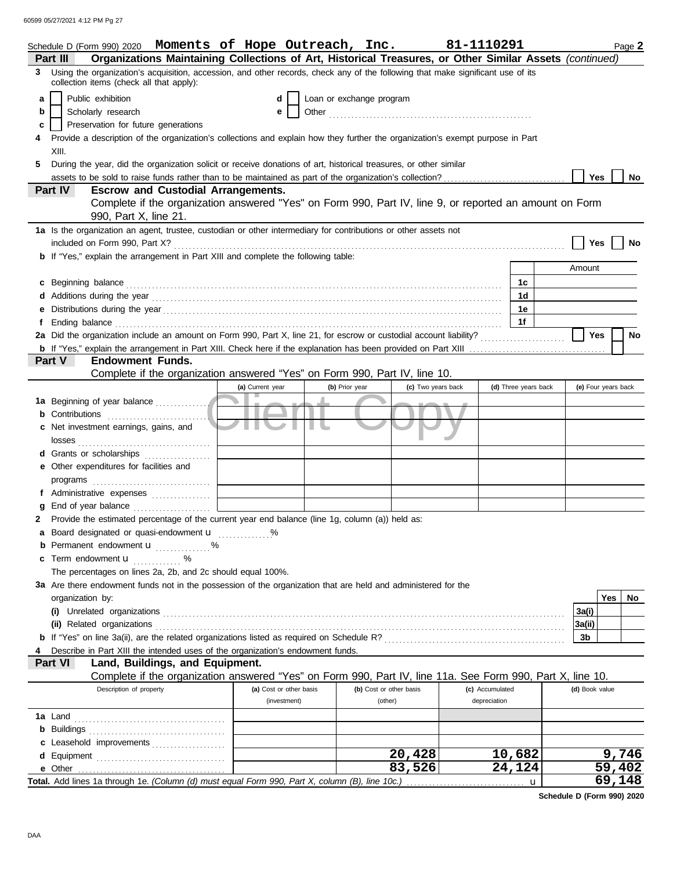60599 05/27/2021 4:12 PM Pg 27

|   | Schedule D (Form 990) 2020 Moments of Hope Outreach, Inc.                                                                                                                                                                      |                         |                          |                         |                    | 81-1110291           | Page 2              |
|---|--------------------------------------------------------------------------------------------------------------------------------------------------------------------------------------------------------------------------------|-------------------------|--------------------------|-------------------------|--------------------|----------------------|---------------------|
|   | Organizations Maintaining Collections of Art, Historical Treasures, or Other Similar Assets (continued)<br>Part III                                                                                                            |                         |                          |                         |                    |                      |                     |
| 3 | Using the organization's acquisition, accession, and other records, check any of the following that make significant use of its<br>collection items (check all that apply):                                                    |                         |                          |                         |                    |                      |                     |
| a | Public exhibition                                                                                                                                                                                                              |                         | Loan or exchange program |                         |                    |                      |                     |
| b | Scholarly research                                                                                                                                                                                                             | е                       |                          |                         |                    |                      |                     |
| с | Preservation for future generations                                                                                                                                                                                            |                         |                          |                         |                    |                      |                     |
|   | Provide a description of the organization's collections and explain how they further the organization's exempt purpose in Part                                                                                                 |                         |                          |                         |                    |                      |                     |
|   | XIII.                                                                                                                                                                                                                          |                         |                          |                         |                    |                      |                     |
| 5 | During the year, did the organization solicit or receive donations of art, historical treasures, or other similar                                                                                                              |                         |                          |                         |                    |                      |                     |
|   |                                                                                                                                                                                                                                |                         |                          |                         |                    |                      | Yes<br>No           |
|   | Part IV<br><b>Escrow and Custodial Arrangements.</b>                                                                                                                                                                           |                         |                          |                         |                    |                      |                     |
|   | Complete if the organization answered "Yes" on Form 990, Part IV, line 9, or reported an amount on Form                                                                                                                        |                         |                          |                         |                    |                      |                     |
|   | 990, Part X, line 21.                                                                                                                                                                                                          |                         |                          |                         |                    |                      |                     |
|   | 1a Is the organization an agent, trustee, custodian or other intermediary for contributions or other assets not                                                                                                                |                         |                          |                         |                    |                      |                     |
|   |                                                                                                                                                                                                                                |                         |                          |                         |                    |                      |                     |
|   |                                                                                                                                                                                                                                |                         |                          |                         |                    |                      | Yes<br>No           |
|   | <b>b</b> If "Yes," explain the arrangement in Part XIII and complete the following table:                                                                                                                                      |                         |                          |                         |                    |                      |                     |
|   |                                                                                                                                                                                                                                |                         |                          |                         |                    |                      | Amount              |
|   | c Beginning balance                                                                                                                                                                                                            |                         |                          |                         |                    | 1c                   |                     |
|   | Additions during the year contains and according to the year contained and year and according the year contains and according the year contains and according to the year contains and according to the year and year and year |                         |                          |                         |                    | 1d                   |                     |
|   |                                                                                                                                                                                                                                |                         |                          |                         |                    | 1е                   |                     |
|   | Ending balance                                                                                                                                                                                                                 |                         |                          |                         |                    | 1f                   |                     |
|   |                                                                                                                                                                                                                                |                         |                          |                         |                    |                      | <b>Yes</b><br>No    |
|   |                                                                                                                                                                                                                                |                         |                          |                         |                    |                      |                     |
|   | Part V<br><b>Endowment Funds.</b>                                                                                                                                                                                              |                         |                          |                         |                    |                      |                     |
|   | Complete if the organization answered "Yes" on Form 990, Part IV, line 10.                                                                                                                                                     |                         |                          |                         |                    |                      |                     |
|   |                                                                                                                                                                                                                                | (a) Current year        | (b) Prior year           |                         | (c) Two years back | (d) Three years back | (e) Four years back |
|   | 1a Beginning of year balance                                                                                                                                                                                                   |                         |                          |                         |                    |                      |                     |
| b |                                                                                                                                                                                                                                |                         |                          |                         |                    |                      |                     |
| c | Net investment earnings, gains, and                                                                                                                                                                                            |                         |                          |                         |                    |                      |                     |
|   |                                                                                                                                                                                                                                |                         |                          |                         |                    |                      |                     |
|   |                                                                                                                                                                                                                                |                         |                          |                         |                    |                      |                     |
|   | Other expenditures for facilities and                                                                                                                                                                                          |                         |                          |                         |                    |                      |                     |
|   | programs                                                                                                                                                                                                                       |                         |                          |                         |                    |                      |                     |
|   |                                                                                                                                                                                                                                |                         |                          |                         |                    |                      |                     |
|   | End of year balance                                                                                                                                                                                                            |                         |                          |                         |                    |                      |                     |
| 2 | Provide the estimated percentage of the current year end balance (line 1g, column (a)) held as:                                                                                                                                |                         |                          |                         |                    |                      |                     |
|   | a Board designated or quasi-endowment u                                                                                                                                                                                        |                         |                          |                         |                    |                      |                     |
|   | <b>b</b> Permanent endowment <b>u</b> %                                                                                                                                                                                        |                         |                          |                         |                    |                      |                     |
|   | Term endowment <b>u</b> %                                                                                                                                                                                                      |                         |                          |                         |                    |                      |                     |
|   | The percentages on lines 2a, 2b, and 2c should equal 100%.                                                                                                                                                                     |                         |                          |                         |                    |                      |                     |
|   | 3a Are there endowment funds not in the possession of the organization that are held and administered for the                                                                                                                  |                         |                          |                         |                    |                      |                     |
|   | organization by:                                                                                                                                                                                                               |                         |                          |                         |                    |                      | Yes<br>No           |
|   |                                                                                                                                                                                                                                |                         |                          |                         |                    |                      | 3a(i)               |
|   | (ii) Related organizations                                                                                                                                                                                                     |                         |                          |                         |                    |                      | 3a(ii)              |
|   |                                                                                                                                                                                                                                |                         |                          |                         |                    |                      | 3 <sub>b</sub>      |
|   | Describe in Part XIII the intended uses of the organization's endowment funds.                                                                                                                                                 |                         |                          |                         |                    |                      |                     |
|   | Part VI<br>Land, Buildings, and Equipment.                                                                                                                                                                                     |                         |                          |                         |                    |                      |                     |
|   | Complete if the organization answered "Yes" on Form 990, Part IV, line 11a. See Form 990, Part X, line 10.                                                                                                                     |                         |                          |                         |                    |                      |                     |
|   | Description of property                                                                                                                                                                                                        | (a) Cost or other basis |                          | (b) Cost or other basis |                    | (c) Accumulated      | (d) Book value      |
|   |                                                                                                                                                                                                                                | (investment)            |                          | (other)                 |                    | depreciation         |                     |
|   | 1a Land                                                                                                                                                                                                                        |                         |                          |                         |                    |                      |                     |
|   |                                                                                                                                                                                                                                |                         |                          |                         |                    |                      |                     |
|   |                                                                                                                                                                                                                                |                         |                          |                         |                    |                      |                     |
|   | c Leasehold improvements                                                                                                                                                                                                       |                         |                          |                         | 20,428             |                      | 9,746               |
|   |                                                                                                                                                                                                                                |                         |                          |                         | 83,526             | 10,682<br>24,124     | 59,402              |
|   |                                                                                                                                                                                                                                |                         |                          |                         |                    |                      |                     |
|   | Total. Add lines 1a through 1e. (Column (d) must equal Form 990, Part X, column (B), line 10c.)                                                                                                                                |                         |                          |                         |                    |                      | 69,148              |

**Schedule D (Form 990) 2020**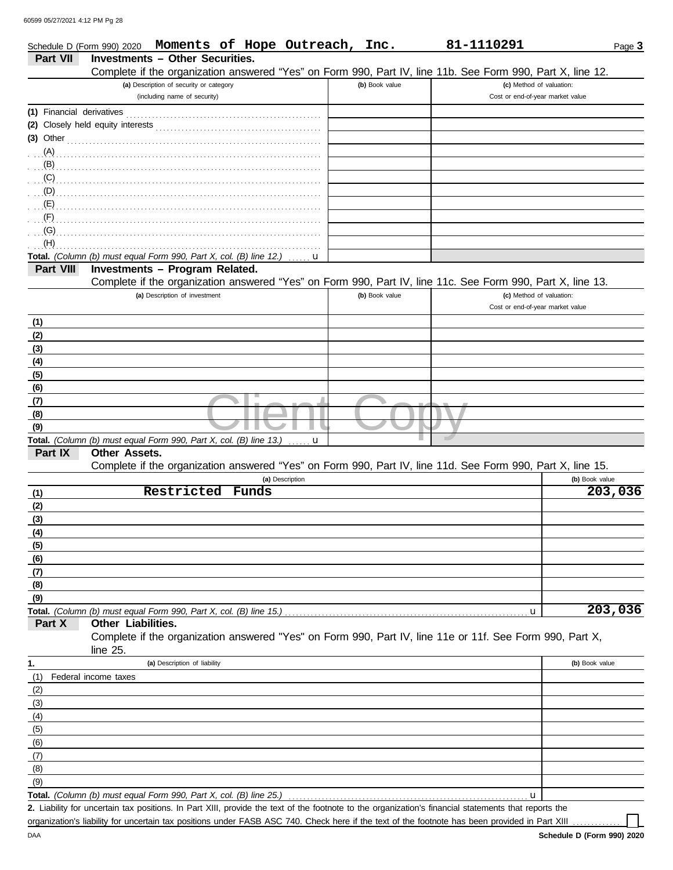DAA

|                           | Schedule D (Form 990) 2020                                                                                                                                                                                                                                                                                                                          |                                         |       | Moments of Hope Outreach, Inc. |                | 81-1110291 |                                  |                | Page 3  |
|---------------------------|-----------------------------------------------------------------------------------------------------------------------------------------------------------------------------------------------------------------------------------------------------------------------------------------------------------------------------------------------------|-----------------------------------------|-------|--------------------------------|----------------|------------|----------------------------------|----------------|---------|
| <b>Part VII</b>           | <b>Investments - Other Securities.</b>                                                                                                                                                                                                                                                                                                              |                                         |       |                                |                |            |                                  |                |         |
|                           | Complete if the organization answered "Yes" on Form 990, Part IV, line 11b. See Form 990, Part X, line 12.                                                                                                                                                                                                                                          |                                         |       |                                |                |            |                                  |                |         |
|                           |                                                                                                                                                                                                                                                                                                                                                     | (a) Description of security or category |       |                                | (b) Book value |            | (c) Method of valuation:         |                |         |
|                           |                                                                                                                                                                                                                                                                                                                                                     | (including name of security)            |       |                                |                |            | Cost or end-of-year market value |                |         |
| (1) Financial derivatives |                                                                                                                                                                                                                                                                                                                                                     |                                         |       |                                |                |            |                                  |                |         |
|                           |                                                                                                                                                                                                                                                                                                                                                     |                                         |       |                                |                |            |                                  |                |         |
|                           | (3) Other $\ldots$ $\ldots$ $\ldots$ $\ldots$ $\ldots$ $\ldots$ $\ldots$ $\ldots$ $\ldots$ $\ldots$ $\ldots$ $\ldots$                                                                                                                                                                                                                               |                                         |       |                                |                |            |                                  |                |         |
|                           |                                                                                                                                                                                                                                                                                                                                                     |                                         |       |                                |                |            |                                  |                |         |
|                           |                                                                                                                                                                                                                                                                                                                                                     |                                         |       |                                |                |            |                                  |                |         |
|                           | $\overline{C}(C)$                                                                                                                                                                                                                                                                                                                                   |                                         |       |                                |                |            |                                  |                |         |
|                           | $\overline{y}$ , $\overline{y}$ , $\overline{y}$ , $\overline{y}$ , $\overline{y}$ , $\overline{y}$ , $\overline{y}$ , $\overline{y}$ , $\overline{y}$ , $\overline{y}$ , $\overline{y}$ , $\overline{y}$ , $\overline{y}$ , $\overline{y}$ , $\overline{y}$ , $\overline{y}$ , $\overline{y}$ , $\overline{y}$ , $\overline{y}$ , $\overline{y}$ , |                                         |       |                                |                |            |                                  |                |         |
|                           |                                                                                                                                                                                                                                                                                                                                                     |                                         |       |                                |                |            |                                  |                |         |
|                           |                                                                                                                                                                                                                                                                                                                                                     |                                         |       |                                |                |            |                                  |                |         |
|                           |                                                                                                                                                                                                                                                                                                                                                     |                                         |       |                                |                |            |                                  |                |         |
| (H)                       |                                                                                                                                                                                                                                                                                                                                                     |                                         |       |                                |                |            |                                  |                |         |
|                           | Total. (Column (b) must equal Form 990, Part X, col. (B) line 12.)                                                                                                                                                                                                                                                                                  |                                         |       | u                              |                |            |                                  |                |         |
| Part VIII                 | Investments - Program Related.                                                                                                                                                                                                                                                                                                                      |                                         |       |                                |                |            |                                  |                |         |
|                           | Complete if the organization answered "Yes" on Form 990, Part IV, line 11c. See Form 990, Part X, line 13.                                                                                                                                                                                                                                          |                                         |       |                                |                |            |                                  |                |         |
|                           |                                                                                                                                                                                                                                                                                                                                                     | (a) Description of investment           |       |                                | (b) Book value |            | (c) Method of valuation:         |                |         |
|                           |                                                                                                                                                                                                                                                                                                                                                     |                                         |       |                                |                |            | Cost or end-of-year market value |                |         |
| (1)                       |                                                                                                                                                                                                                                                                                                                                                     |                                         |       |                                |                |            |                                  |                |         |
| (2)                       |                                                                                                                                                                                                                                                                                                                                                     |                                         |       |                                |                |            |                                  |                |         |
| (3)                       |                                                                                                                                                                                                                                                                                                                                                     |                                         |       |                                |                |            |                                  |                |         |
| (4)                       |                                                                                                                                                                                                                                                                                                                                                     |                                         |       |                                |                |            |                                  |                |         |
| (5)                       |                                                                                                                                                                                                                                                                                                                                                     |                                         |       |                                |                |            |                                  |                |         |
| (6)                       |                                                                                                                                                                                                                                                                                                                                                     |                                         |       |                                |                |            |                                  |                |         |
| (7)                       |                                                                                                                                                                                                                                                                                                                                                     |                                         |       |                                |                |            |                                  |                |         |
| (8)                       |                                                                                                                                                                                                                                                                                                                                                     |                                         |       |                                |                |            |                                  |                |         |
| (9)                       |                                                                                                                                                                                                                                                                                                                                                     |                                         |       |                                |                |            |                                  |                |         |
|                           | Total. (Column (b) must equal Form 990, Part X, col. (B) line 13.)                                                                                                                                                                                                                                                                                  |                                         |       | $\mathbf u$                    |                | w.         |                                  |                |         |
| Part IX                   | Other Assets.                                                                                                                                                                                                                                                                                                                                       |                                         |       |                                |                |            |                                  |                |         |
|                           | Complete if the organization answered "Yes" on Form 990, Part IV, line 11d. See Form 990, Part X, line 15.                                                                                                                                                                                                                                          |                                         |       |                                |                |            |                                  |                |         |
|                           |                                                                                                                                                                                                                                                                                                                                                     |                                         |       | (a) Description                |                |            |                                  | (b) Book value |         |
| (1)                       |                                                                                                                                                                                                                                                                                                                                                     | Restricted                              | Funds |                                |                |            |                                  |                | 203,036 |
| (2)                       |                                                                                                                                                                                                                                                                                                                                                     |                                         |       |                                |                |            |                                  |                |         |
| (3)                       |                                                                                                                                                                                                                                                                                                                                                     |                                         |       |                                |                |            |                                  |                |         |
| (4)                       |                                                                                                                                                                                                                                                                                                                                                     |                                         |       |                                |                |            |                                  |                |         |
| (5)                       |                                                                                                                                                                                                                                                                                                                                                     |                                         |       |                                |                |            |                                  |                |         |
| (6)                       |                                                                                                                                                                                                                                                                                                                                                     |                                         |       |                                |                |            |                                  |                |         |
| (7)                       |                                                                                                                                                                                                                                                                                                                                                     |                                         |       |                                |                |            |                                  |                |         |
| (8)                       |                                                                                                                                                                                                                                                                                                                                                     |                                         |       |                                |                |            |                                  |                |         |
| (9)                       |                                                                                                                                                                                                                                                                                                                                                     |                                         |       |                                |                |            |                                  |                |         |
|                           |                                                                                                                                                                                                                                                                                                                                                     |                                         |       |                                |                |            | u                                |                | 203,036 |
| Part X                    | Other Liabilities.                                                                                                                                                                                                                                                                                                                                  |                                         |       |                                |                |            |                                  |                |         |
|                           | Complete if the organization answered "Yes" on Form 990, Part IV, line 11e or 11f. See Form 990, Part X,                                                                                                                                                                                                                                            |                                         |       |                                |                |            |                                  |                |         |
|                           | line 25.                                                                                                                                                                                                                                                                                                                                            |                                         |       |                                |                |            |                                  |                |         |
| 1.                        |                                                                                                                                                                                                                                                                                                                                                     | (a) Description of liability            |       |                                |                |            |                                  | (b) Book value |         |
| (1)                       | Federal income taxes                                                                                                                                                                                                                                                                                                                                |                                         |       |                                |                |            |                                  |                |         |
| (2)                       |                                                                                                                                                                                                                                                                                                                                                     |                                         |       |                                |                |            |                                  |                |         |
| (3)                       |                                                                                                                                                                                                                                                                                                                                                     |                                         |       |                                |                |            |                                  |                |         |
| (4)                       |                                                                                                                                                                                                                                                                                                                                                     |                                         |       |                                |                |            |                                  |                |         |
| (5)                       |                                                                                                                                                                                                                                                                                                                                                     |                                         |       |                                |                |            |                                  |                |         |
| (6)                       |                                                                                                                                                                                                                                                                                                                                                     |                                         |       |                                |                |            |                                  |                |         |
| (7)                       |                                                                                                                                                                                                                                                                                                                                                     |                                         |       |                                |                |            |                                  |                |         |
| (8)                       |                                                                                                                                                                                                                                                                                                                                                     |                                         |       |                                |                |            |                                  |                |         |
| (9)                       |                                                                                                                                                                                                                                                                                                                                                     |                                         |       |                                |                |            |                                  |                |         |
|                           | Total. (Column (b) must equal Form 990, Part X, col. (B) line 25.)                                                                                                                                                                                                                                                                                  |                                         |       |                                |                |            | u                                |                |         |

Liability for uncertain tax positions. In Part XIII, provide the text of the footnote to the organization's financial statements that reports the **2.** organization's liability for uncertain tax positions under FASB ASC 740. Check here if the text of the footnote has been provided in Part XIII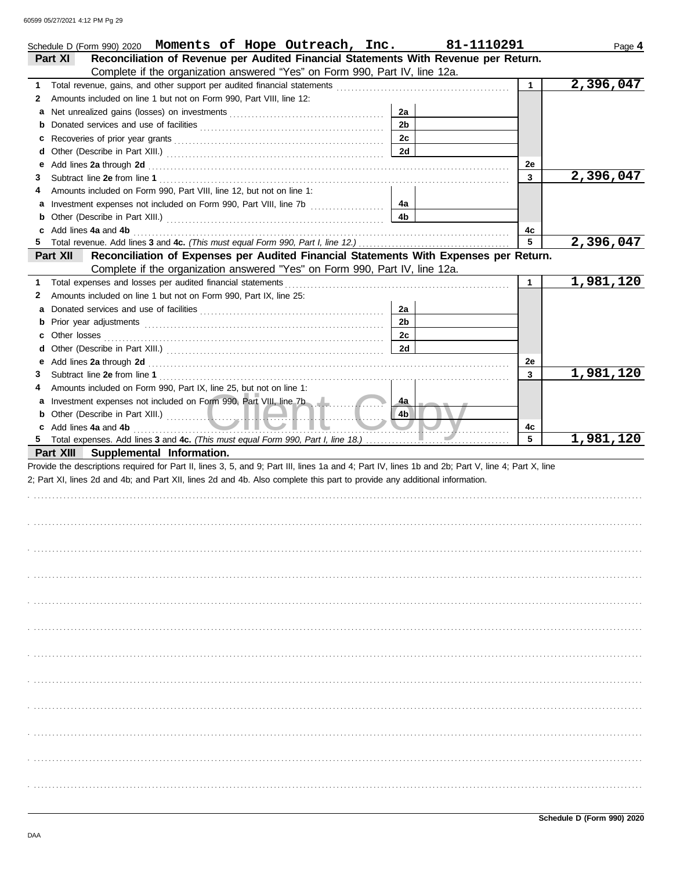|        | Schedule D (Form 990) 2020 Moments of Hope Outreach, Inc.                                                                                                                                                                     |                | 81-1110291 |              | Page 4    |
|--------|-------------------------------------------------------------------------------------------------------------------------------------------------------------------------------------------------------------------------------|----------------|------------|--------------|-----------|
|        | Reconciliation of Revenue per Audited Financial Statements With Revenue per Return.<br>Part XI                                                                                                                                |                |            |              |           |
|        | Complete if the organization answered "Yes" on Form 990, Part IV, line 12a.                                                                                                                                                   |                |            |              |           |
| 1.     | Total revenue, gains, and other support per audited financial statements                                                                                                                                                      |                |            | $\mathbf{1}$ | 2,396,047 |
| 2      | Amounts included on line 1 but not on Form 990, Part VIII, line 12:                                                                                                                                                           |                |            |              |           |
| a      |                                                                                                                                                                                                                               | 2a             |            |              |           |
| b      |                                                                                                                                                                                                                               | 2 <sub>b</sub> |            |              |           |
| c      |                                                                                                                                                                                                                               | 2c             |            |              |           |
| d      |                                                                                                                                                                                                                               | 2d             |            |              |           |
| е      | Add lines 2a through 2d [11] Add [12] Add [12] Add lines 2a through 2d [12] Add lines 2a through 2d [12] Add [12] Add [12] Add [12] Add [12] Add [12] Add [12] Add [12] Add [12] Add [12] Add [12] Add [12] Add [12] Add [12] |                |            | 2e           |           |
| З      |                                                                                                                                                                                                                               |                |            | 3            | 2,396,047 |
| 4      | Amounts included on Form 990, Part VIII, line 12, but not on line 1:                                                                                                                                                          |                |            |              |           |
| a      |                                                                                                                                                                                                                               | 4a             |            |              |           |
| b      |                                                                                                                                                                                                                               | 4b             |            |              |           |
|        | Add lines 4a and 4b                                                                                                                                                                                                           |                |            | 4c           |           |
| 5      |                                                                                                                                                                                                                               |                |            | 5            | 2,396,047 |
|        | Reconciliation of Expenses per Audited Financial Statements With Expenses per Return.<br>Part XII                                                                                                                             |                |            |              |           |
|        | Complete if the organization answered "Yes" on Form 990, Part IV, line 12a.                                                                                                                                                   |                |            |              |           |
| 1.     | Total expenses and losses per audited financial statements                                                                                                                                                                    |                |            | $\mathbf 1$  | 1,981,120 |
| 2      | Amounts included on line 1 but not on Form 990, Part IX, line 25:                                                                                                                                                             |                |            |              |           |
| a      |                                                                                                                                                                                                                               | 2a             |            |              |           |
| b      |                                                                                                                                                                                                                               | 2 <sub>b</sub> |            |              |           |
| c      |                                                                                                                                                                                                                               | 2c             |            |              |           |
| d      |                                                                                                                                                                                                                               | <b>2d</b>      |            |              |           |
| е      | Add lines 2a through 2d [11] Add [12] Add [12] Add lines 2a through 2d [12] Add lines 2a through 2d [12] Add [12] Add [12] Add [12] Add [12] Add [12] Add [12] Add [12] Add [12] Add [12] Add [12] Add [12] Add [12] Add [12] |                |            | 2e           | 1,981,120 |
| 3      |                                                                                                                                                                                                                               |                |            | 3            |           |
| 4      | Amounts included on Form 990, Part IX, line 25, but not on line 1:                                                                                                                                                            |                |            |              |           |
| a      | Investment expenses not included on Form 990, Part VIII, line 7b                                                                                                                                                              | 4a             |            |              |           |
| b      |                                                                                                                                                                                                                               | 4 <sub>b</sub> |            |              |           |
| c<br>5 | Add lines 4a and 4b                                                                                                                                                                                                           |                |            | 4c<br>5      | 1,981,120 |
|        | Part XIII Supplemental Information.                                                                                                                                                                                           |                |            |              |           |
|        | Provide the descriptions required for Part II, lines 3, 5, and 9; Part III, lines 1a and 4; Part IV, lines 1b and 2b; Part V, line 4; Part X, line                                                                            |                |            |              |           |
|        | 2; Part XI, lines 2d and 4b; and Part XII, lines 2d and 4b. Also complete this part to provide any additional information.                                                                                                    |                |            |              |           |
|        |                                                                                                                                                                                                                               |                |            |              |           |
|        |                                                                                                                                                                                                                               |                |            |              |           |
|        |                                                                                                                                                                                                                               |                |            |              |           |
|        |                                                                                                                                                                                                                               |                |            |              |           |
|        |                                                                                                                                                                                                                               |                |            |              |           |
|        |                                                                                                                                                                                                                               |                |            |              |           |
|        |                                                                                                                                                                                                                               |                |            |              |           |
|        |                                                                                                                                                                                                                               |                |            |              |           |
|        |                                                                                                                                                                                                                               |                |            |              |           |
|        |                                                                                                                                                                                                                               |                |            |              |           |
|        |                                                                                                                                                                                                                               |                |            |              |           |
|        |                                                                                                                                                                                                                               |                |            |              |           |
|        |                                                                                                                                                                                                                               |                |            |              |           |
|        |                                                                                                                                                                                                                               |                |            |              |           |
|        |                                                                                                                                                                                                                               |                |            |              |           |
|        |                                                                                                                                                                                                                               |                |            |              |           |
|        |                                                                                                                                                                                                                               |                |            |              |           |
|        |                                                                                                                                                                                                                               |                |            |              |           |
|        |                                                                                                                                                                                                                               |                |            |              |           |
|        |                                                                                                                                                                                                                               |                |            |              |           |
|        |                                                                                                                                                                                                                               |                |            |              |           |
|        |                                                                                                                                                                                                                               |                |            |              |           |
|        |                                                                                                                                                                                                                               |                |            |              |           |
|        |                                                                                                                                                                                                                               |                |            |              |           |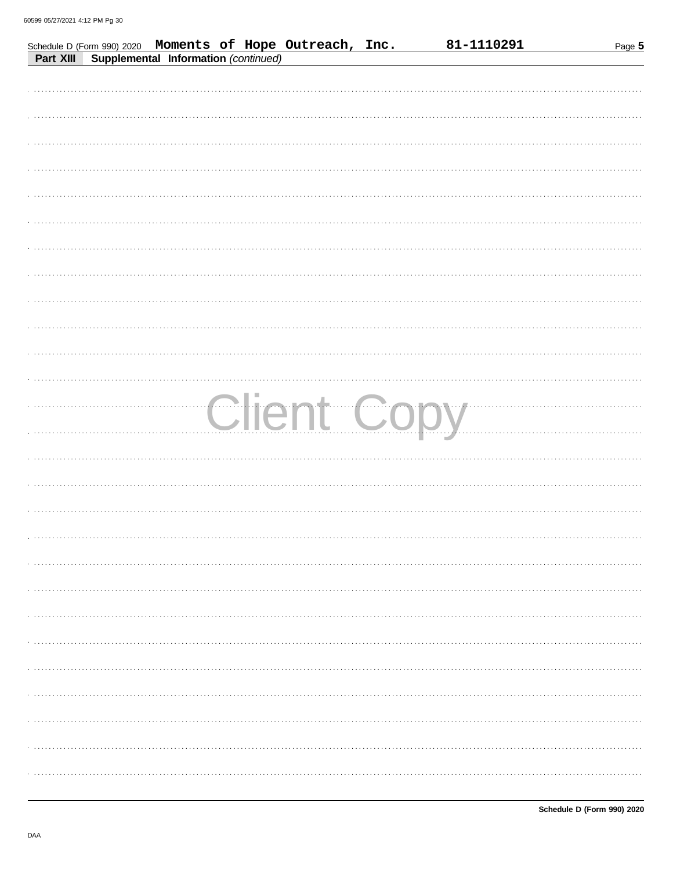|           | Schedule D (Form 990) 2020 Moments of Hope Outreach, Inc. |  | 81-1110291  | Page 5 |
|-----------|-----------------------------------------------------------|--|-------------|--------|
| Part XIII | Supplemental Information (continued)                      |  |             |        |
|           |                                                           |  |             |        |
|           |                                                           |  |             |        |
|           |                                                           |  |             |        |
|           |                                                           |  |             |        |
|           |                                                           |  |             |        |
|           |                                                           |  |             |        |
|           |                                                           |  |             |        |
|           |                                                           |  |             |        |
|           |                                                           |  |             |        |
|           |                                                           |  |             |        |
|           |                                                           |  |             |        |
|           |                                                           |  |             |        |
|           |                                                           |  |             |        |
|           |                                                           |  |             |        |
|           |                                                           |  |             |        |
|           |                                                           |  |             |        |
|           |                                                           |  |             |        |
|           |                                                           |  |             |        |
|           |                                                           |  |             |        |
|           |                                                           |  | Client Copy |        |
|           |                                                           |  |             |        |
|           |                                                           |  |             |        |
|           |                                                           |  |             |        |
|           |                                                           |  |             |        |
|           |                                                           |  |             |        |
|           |                                                           |  |             |        |
|           |                                                           |  |             |        |
|           |                                                           |  |             |        |
|           |                                                           |  |             |        |
|           |                                                           |  |             |        |
|           |                                                           |  |             |        |
|           |                                                           |  |             |        |
|           |                                                           |  |             |        |
|           |                                                           |  |             |        |
|           |                                                           |  |             |        |
|           |                                                           |  |             |        |
|           |                                                           |  |             |        |
|           |                                                           |  |             |        |
|           |                                                           |  |             |        |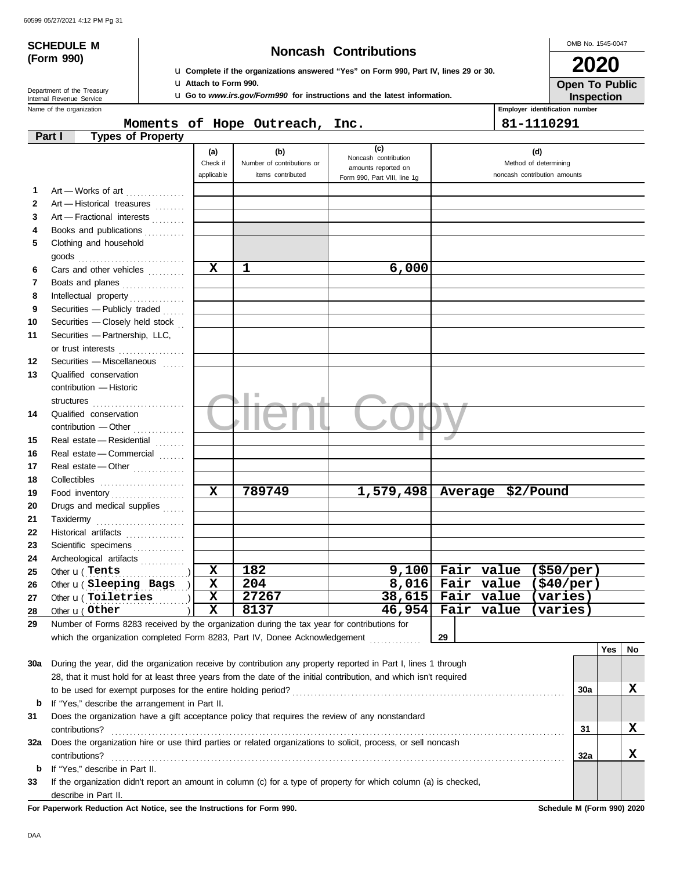# **(Form 990)**

## **SCHEDULE M Noncash Contributions**

OMB No. 1545-0047 **2020**

**Inspection Open To Public**

| <b>Let</b> Complete if the organizations answered "Yes" on Form 990, Part IV, lines 29 or 30. |  |  |  |  |  |
|-----------------------------------------------------------------------------------------------|--|--|--|--|--|
| Lu Attach to Form 990.                                                                        |  |  |  |  |  |

u **Go to** *www.irs.gov/Form990* **for instructions and the latest information.**

Department of the Treasury<br>Internal Revenue Service

Name of the organization **Employer identification number Employer identification number** 

**Moments of Hope Outreach, Inc. 81-1110291**

|              | <b>Types of Property</b><br>Part I                                                                                 |                            |                            |                               |    |                                                             |                              |     |     |    |
|--------------|--------------------------------------------------------------------------------------------------------------------|----------------------------|----------------------------|-------------------------------|----|-------------------------------------------------------------|------------------------------|-----|-----|----|
|              |                                                                                                                    | (a)                        | (b)                        | (c)<br>Noncash contribution   |    |                                                             | (d)                          |     |     |    |
|              |                                                                                                                    | Check if                   | Number of contributions or | amounts reported on           |    |                                                             | Method of determining        |     |     |    |
|              |                                                                                                                    | applicable                 | items contributed          | Form 990, Part VIII, line 1g  |    |                                                             | noncash contribution amounts |     |     |    |
| 1            | Art - Works of art                                                                                                 |                            |                            |                               |    |                                                             |                              |     |     |    |
| $\mathbf{2}$ | Art - Historical treasures                                                                                         |                            |                            |                               |    |                                                             |                              |     |     |    |
| 3            | Art - Fractional interests                                                                                         |                            |                            |                               |    |                                                             |                              |     |     |    |
| 4            | Books and publications                                                                                             |                            |                            |                               |    |                                                             |                              |     |     |    |
| 5            | Clothing and household                                                                                             |                            |                            |                               |    |                                                             |                              |     |     |    |
|              | goods                                                                                                              |                            |                            |                               |    |                                                             |                              |     |     |    |
| 6            | Cars and other vehicles                                                                                            | $\mathbf x$                | 1                          | 6,000                         |    |                                                             |                              |     |     |    |
| 7            | Boats and planes                                                                                                   |                            |                            |                               |    |                                                             |                              |     |     |    |
| 8            |                                                                                                                    |                            |                            |                               |    |                                                             |                              |     |     |    |
| 9<br>10      | Securities - Publicly traded<br>Securities - Closely held stock                                                    |                            |                            |                               |    |                                                             |                              |     |     |    |
| 11           | Securities - Partnership, LLC,                                                                                     |                            |                            |                               |    |                                                             |                              |     |     |    |
|              | or trust interests                                                                                                 |                            |                            |                               |    |                                                             |                              |     |     |    |
| 12           | .<br>Securities - Miscellaneous                                                                                    |                            |                            |                               |    |                                                             |                              |     |     |    |
| 13           | Qualified conservation                                                                                             |                            |                            |                               |    |                                                             |                              |     |     |    |
|              | contribution - Historic                                                                                            |                            |                            |                               |    |                                                             |                              |     |     |    |
|              |                                                                                                                    |                            |                            |                               |    |                                                             |                              |     |     |    |
| 14           | Qualified conservation                                                                                             |                            |                            |                               |    |                                                             |                              |     |     |    |
|              | contribution - Other                                                                                               |                            |                            |                               |    |                                                             |                              |     |     |    |
| 15           | Real estate - Residential                                                                                          |                            |                            |                               |    |                                                             |                              |     |     |    |
| 16           | Real estate - Commercial                                                                                           |                            |                            |                               |    |                                                             |                              |     |     |    |
| 17           | Real estate - Other                                                                                                |                            |                            |                               |    |                                                             |                              |     |     |    |
| 18           |                                                                                                                    |                            |                            |                               |    |                                                             |                              |     |     |    |
| 19           | Food inventory                                                                                                     | $\mathbf x$                | 789749                     | $1,579,498$ Average \$2/Pound |    |                                                             |                              |     |     |    |
| 20           | Drugs and medical supplies                                                                                         |                            |                            |                               |    |                                                             |                              |     |     |    |
| 21           | Taxidermy                                                                                                          |                            |                            |                               |    |                                                             |                              |     |     |    |
| 22           | Historical artifacts                                                                                               |                            |                            |                               |    |                                                             |                              |     |     |    |
| 23           | Scientific specimens                                                                                               |                            |                            |                               |    |                                                             |                              |     |     |    |
| 24           | Archeological artifacts                                                                                            |                            |                            |                               |    |                                                             |                              |     |     |    |
| 25           | Other <b>u</b> (Tents                                                                                              | $\mathbf x$                | 182                        |                               |    | $9,100$ Fair value (\$50/per)                               |                              |     |     |    |
| 26           | Other u( Sleeping Bags                                                                                             | X                          | 204<br>27267               |                               |    | $8,016$ Fair value (\$40/per)<br>38,615 Fair value (varies) |                              |     |     |    |
| 27           | Other u(Toiletries                                                                                                 | $\mathbf x$<br>$\mathbf x$ | 8137                       |                               |    | 46,954 Fair value (varies)                                  |                              |     |     |    |
| 28           | Other <b>u</b> (Other                                                                                              |                            |                            |                               |    |                                                             |                              |     |     |    |
| 29           | Number of Forms 8283 received by the organization during the tax year for contributions for                        |                            |                            |                               | 29 |                                                             |                              |     |     |    |
|              | which the organization completed Form 8283, Part IV, Donee Acknowledgement                                         |                            |                            |                               |    |                                                             |                              |     | Yes | No |
| 30a          | During the year, did the organization receive by contribution any property reported in Part I, lines 1 through     |                            |                            |                               |    |                                                             |                              |     |     |    |
|              | 28, that it must hold for at least three years from the date of the initial contribution, and which isn't required |                            |                            |                               |    |                                                             |                              |     |     |    |
|              | to be used for exempt purposes for the entire holding period?                                                      |                            |                            |                               |    |                                                             |                              | 30a |     | x  |
| b            | If "Yes," describe the arrangement in Part II.                                                                     |                            |                            |                               |    |                                                             |                              |     |     |    |
| 31           | Does the organization have a gift acceptance policy that requires the review of any nonstandard                    |                            |                            |                               |    |                                                             |                              |     |     |    |
|              | contributions?                                                                                                     |                            |                            |                               |    |                                                             |                              | 31  |     | x  |
| 32a          | Does the organization hire or use third parties or related organizations to solicit, process, or sell noncash      |                            |                            |                               |    |                                                             |                              |     |     |    |
|              | contributions?                                                                                                     |                            |                            |                               |    |                                                             |                              | 32a |     | х  |
| b            | If "Yes," describe in Part II.                                                                                     |                            |                            |                               |    |                                                             |                              |     |     |    |
| 33           | If the organization didn't report an amount in column (c) for a type of property for which column (a) is checked,  |                            |                            |                               |    |                                                             |                              |     |     |    |
|              | describe in Part II.                                                                                               |                            |                            |                               |    |                                                             |                              |     |     |    |
|              | For Paperwork Reduction Act Notice, see the Instructions for Form 990.                                             |                            |                            |                               |    |                                                             | Schedule M (Form 990) 2020   |     |     |    |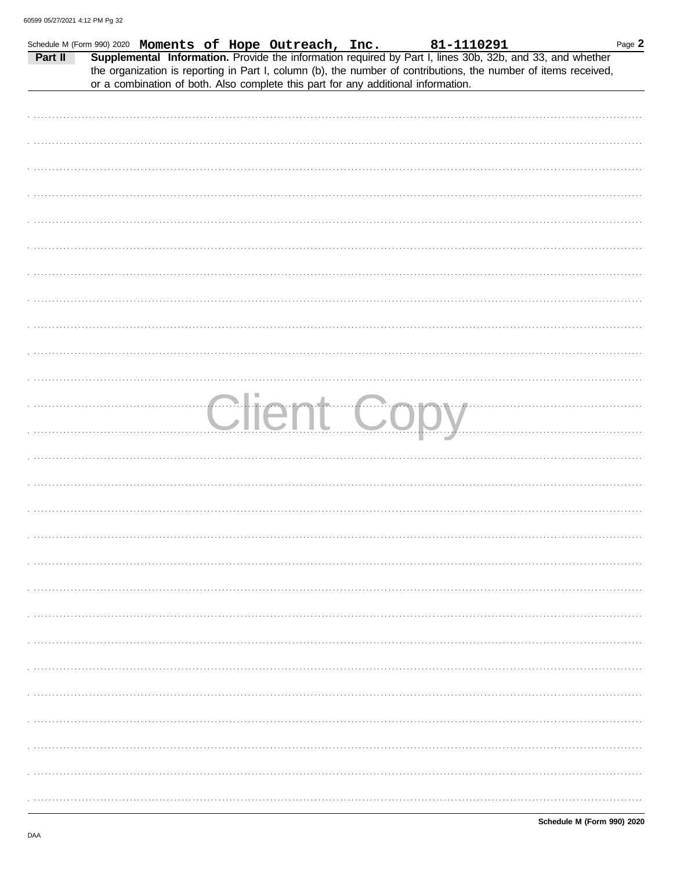|         | Schedule M (Form 990) 2020 Moments of Hope Outreach, Inc. |  |                                                                                   | 81-1110291  | Page 2                                                                                                                                                                                                                       |
|---------|-----------------------------------------------------------|--|-----------------------------------------------------------------------------------|-------------|------------------------------------------------------------------------------------------------------------------------------------------------------------------------------------------------------------------------------|
| Part II |                                                           |  |                                                                                   |             | Supplemental Information. Provide the information required by Part I, lines 30b, 32b, and 33, and whether<br>the organization is reporting in Part I, column (b), the number of contributions, the number of items received, |
|         |                                                           |  | or a combination of both. Also complete this part for any additional information. |             |                                                                                                                                                                                                                              |
|         |                                                           |  |                                                                                   |             |                                                                                                                                                                                                                              |
|         |                                                           |  |                                                                                   |             |                                                                                                                                                                                                                              |
|         |                                                           |  |                                                                                   |             |                                                                                                                                                                                                                              |
|         |                                                           |  |                                                                                   |             |                                                                                                                                                                                                                              |
|         |                                                           |  |                                                                                   |             |                                                                                                                                                                                                                              |
|         |                                                           |  |                                                                                   |             |                                                                                                                                                                                                                              |
|         |                                                           |  |                                                                                   |             |                                                                                                                                                                                                                              |
|         |                                                           |  |                                                                                   |             |                                                                                                                                                                                                                              |
|         |                                                           |  |                                                                                   |             |                                                                                                                                                                                                                              |
|         |                                                           |  |                                                                                   |             |                                                                                                                                                                                                                              |
|         |                                                           |  |                                                                                   |             |                                                                                                                                                                                                                              |
|         |                                                           |  |                                                                                   |             |                                                                                                                                                                                                                              |
|         |                                                           |  |                                                                                   |             |                                                                                                                                                                                                                              |
|         |                                                           |  |                                                                                   |             |                                                                                                                                                                                                                              |
|         |                                                           |  |                                                                                   |             |                                                                                                                                                                                                                              |
|         |                                                           |  |                                                                                   |             |                                                                                                                                                                                                                              |
|         |                                                           |  |                                                                                   | Client Copy |                                                                                                                                                                                                                              |
|         |                                                           |  |                                                                                   |             |                                                                                                                                                                                                                              |
|         |                                                           |  |                                                                                   |             |                                                                                                                                                                                                                              |
|         |                                                           |  |                                                                                   |             |                                                                                                                                                                                                                              |
|         |                                                           |  |                                                                                   |             |                                                                                                                                                                                                                              |
|         |                                                           |  |                                                                                   |             |                                                                                                                                                                                                                              |
|         |                                                           |  |                                                                                   |             |                                                                                                                                                                                                                              |
|         |                                                           |  |                                                                                   |             |                                                                                                                                                                                                                              |
|         |                                                           |  |                                                                                   |             |                                                                                                                                                                                                                              |
|         |                                                           |  |                                                                                   |             |                                                                                                                                                                                                                              |
|         |                                                           |  |                                                                                   |             |                                                                                                                                                                                                                              |
|         |                                                           |  |                                                                                   |             |                                                                                                                                                                                                                              |
|         |                                                           |  |                                                                                   |             |                                                                                                                                                                                                                              |
|         |                                                           |  |                                                                                   |             |                                                                                                                                                                                                                              |
|         |                                                           |  |                                                                                   |             |                                                                                                                                                                                                                              |
|         |                                                           |  |                                                                                   |             |                                                                                                                                                                                                                              |
|         |                                                           |  |                                                                                   |             |                                                                                                                                                                                                                              |
|         |                                                           |  |                                                                                   |             |                                                                                                                                                                                                                              |
|         |                                                           |  |                                                                                   |             |                                                                                                                                                                                                                              |
|         |                                                           |  |                                                                                   |             |                                                                                                                                                                                                                              |
|         |                                                           |  |                                                                                   |             |                                                                                                                                                                                                                              |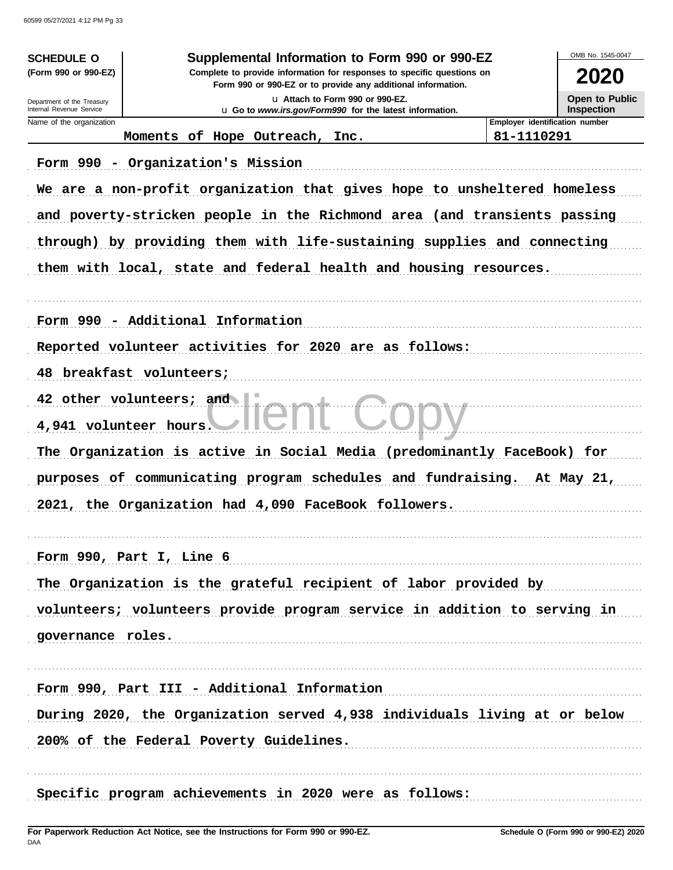| <b>SCHEDULE O</b>                                    |                                                                           | Supplemental Information to Form 990 or 990-EZ                                                                                         |                                | OMB No. 1545-0047     |
|------------------------------------------------------|---------------------------------------------------------------------------|----------------------------------------------------------------------------------------------------------------------------------------|--------------------------------|-----------------------|
| (Form 990 or 990-EZ)                                 |                                                                           | Complete to provide information for responses to specific questions on<br>Form 990 or 990-EZ or to provide any additional information. |                                | 2020                  |
| Department of the Treasury                           |                                                                           | La Attach to Form 990 or 990-EZ.                                                                                                       |                                | <b>Open to Public</b> |
| Internal Revenue Service<br>Name of the organization |                                                                           | <b>u</b> Go to <i>www.irs.gov/Form990</i> for the latest information.                                                                  | Employer identification number | <b>Inspection</b>     |
|                                                      | Moments of Hope Outreach, Inc.                                            |                                                                                                                                        | 81-1110291                     |                       |
|                                                      |                                                                           |                                                                                                                                        |                                |                       |
|                                                      | Form 990 - Organization's Mission                                         |                                                                                                                                        |                                |                       |
|                                                      | We are a non-profit organization that gives hope to unsheltered homeless  |                                                                                                                                        |                                |                       |
|                                                      | and poverty-stricken people in the Richmond area (and transients passing  |                                                                                                                                        |                                |                       |
|                                                      | through) by providing them with life-sustaining supplies and connecting   |                                                                                                                                        |                                |                       |
|                                                      | them with local, state and federal health and housing resources.          |                                                                                                                                        |                                |                       |
|                                                      |                                                                           |                                                                                                                                        |                                |                       |
|                                                      | Form 990 - Additional Information                                         |                                                                                                                                        |                                |                       |
|                                                      | Reported volunteer activities for 2020 are as follows:                    |                                                                                                                                        |                                |                       |
| 48.                                                  | breakfast volunteers;                                                     |                                                                                                                                        |                                |                       |
|                                                      | 42 other volunteers; and                                                  |                                                                                                                                        |                                |                       |
|                                                      | 4,941 volunteer hours.                                                    |                                                                                                                                        |                                |                       |
|                                                      | The Organization is active in Social Media (predominantly FaceBook) for   |                                                                                                                                        |                                |                       |
|                                                      | purposes of communicating program schedules and fundraising.              |                                                                                                                                        |                                | At May 21,            |
|                                                      | 2021, the Organization had 4,090 FaceBook followers.                      |                                                                                                                                        |                                |                       |
|                                                      |                                                                           |                                                                                                                                        |                                |                       |
|                                                      | Form 990, Part I, Line 6                                                  |                                                                                                                                        |                                |                       |
|                                                      | The Organization is the grateful recipient of labor provided by           |                                                                                                                                        |                                |                       |
|                                                      | volunteers; volunteers provide program service in addition to serving in  |                                                                                                                                        |                                |                       |
| governance roles.                                    |                                                                           |                                                                                                                                        |                                |                       |
|                                                      |                                                                           |                                                                                                                                        |                                |                       |
|                                                      | Form 990, Part III - Additional Information                               |                                                                                                                                        |                                |                       |
|                                                      | During 2020, the Organization served 4,938 individuals living at or below |                                                                                                                                        |                                |                       |
|                                                      | 200% of the Federal Poverty Guidelines.                                   |                                                                                                                                        |                                |                       |
|                                                      |                                                                           |                                                                                                                                        |                                |                       |
|                                                      |                                                                           | Specific program achievements in 2020 were as follows:                                                                                 |                                |                       |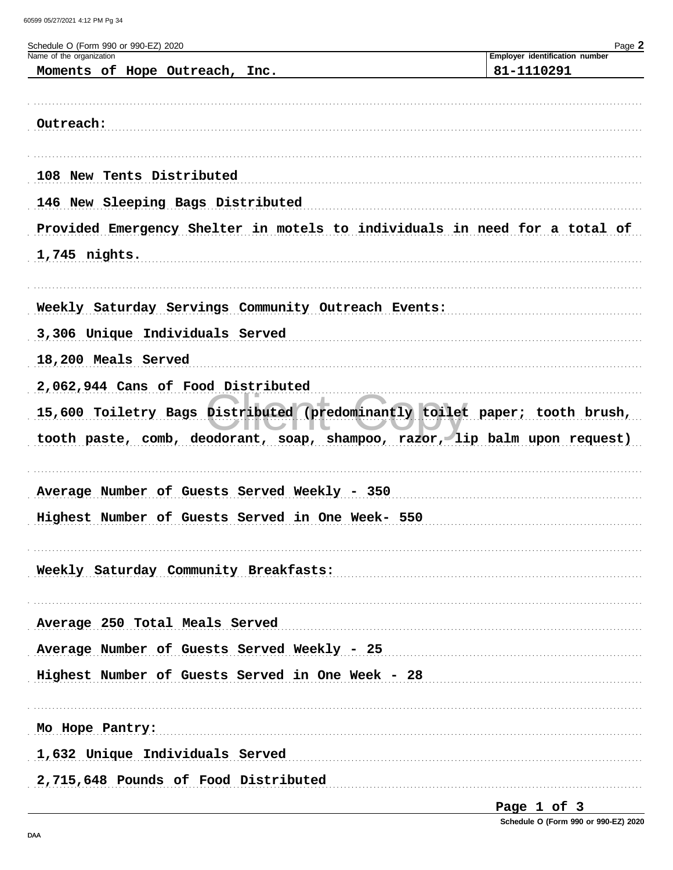60599 05/27/2021 4:12 PM Pg 34

| Schedule O (Form 990 or 990-EZ) 2020                                       | Page 2                                       |
|----------------------------------------------------------------------------|----------------------------------------------|
| Name of the organization<br>Moments of Hope Outreach, Inc.                 | Employer identification number<br>81-1110291 |
|                                                                            |                                              |
|                                                                            |                                              |
| Outreach:                                                                  |                                              |
|                                                                            |                                              |
| 108 New Tents Distributed                                                  |                                              |
| 146 New Sleeping Bags Distributed                                          |                                              |
| Provided Emergency Shelter in motels to individuals in need for a total of |                                              |
| 1,745 nights.                                                              |                                              |
|                                                                            |                                              |
|                                                                            |                                              |
| Weekly Saturday Servings Community Outreach Events:                        |                                              |
| 3,306 Unique Individuals Served                                            |                                              |
| 18,200 Meals Served                                                        |                                              |
| 2,062,944 Cans of Food Distributed                                         |                                              |
| 15,600 Toiletry Bags Distributed (predominantly toilet paper; tooth brush, |                                              |
| tooth paste, comb, deodorant, soap, shampoo, razor, lip balm upon request) |                                              |
|                                                                            |                                              |
| Average Number of Guests Served Weekly - 350                               |                                              |
| Highest Number of Guests Served in One Week- 550                           |                                              |
|                                                                            |                                              |
|                                                                            |                                              |
| Weekly Saturday Community Breakfasts:                                      |                                              |
|                                                                            |                                              |
| Average 250 Total Meals Served                                             |                                              |
| Average Number of Guests Served Weekly - 25                                |                                              |
| Highest Number of Guests Served in One Week - 28                           |                                              |
|                                                                            |                                              |
| Mo Hope Pantry:                                                            |                                              |
| 1,632 Unique Individuals Served                                            |                                              |
|                                                                            |                                              |
| 2,715,648 Pounds of Food Distributed                                       |                                              |

Page 1 of 3

Schedule O (Form 990 or 990-EZ) 2020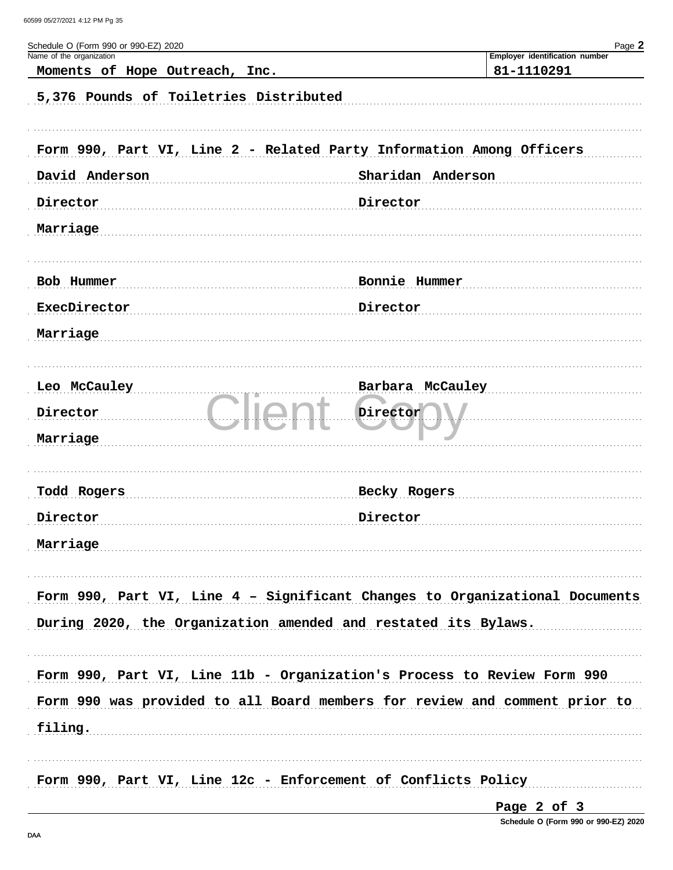| Schedule O (Form 990 or 990-EZ) 2020<br>Name of the organization     | Page 2<br>Employer identification number                                    |
|----------------------------------------------------------------------|-----------------------------------------------------------------------------|
| Moments of Hope Outreach,<br>Inc.                                    | 81-1110291                                                                  |
| 5,376 Pounds of Toiletries Distributed                               |                                                                             |
| Form 990, Part VI, Line 2 - Related Party Information Among Officers |                                                                             |
| David Anderson                                                       | Sharidan Anderson                                                           |
| Director                                                             | Director                                                                    |
| Marriage                                                             |                                                                             |
| Bob Hummer                                                           | Bonnie Hummer                                                               |
| ExecDirector                                                         | Director                                                                    |
| Marriage                                                             |                                                                             |
| Leo McCauley                                                         | Barbara McCauley                                                            |
| Director                                                             | Director                                                                    |
| Marriage                                                             |                                                                             |
| Todd Rogers                                                          | Becky Rogers                                                                |
| Director                                                             | Director                                                                    |
| Marriage                                                             |                                                                             |
|                                                                      | Form 990, Part VI, Line 4 - Significant Changes to Organizational Documents |
| During 2020, the Organization amended and restated its Bylaws.       |                                                                             |
|                                                                      | Form 990, Part VI, Line 11b - Organization's Process to Review Form 990     |
|                                                                      | Form 990 was provided to all Board members for review and comment prior to  |
| filing.                                                              |                                                                             |
| Form 990, Part VI, Line 12c - Enforcement of Conflicts Policy        |                                                                             |

Page 2 of 3

Schedule O (Form 990 or 990-EZ) 2020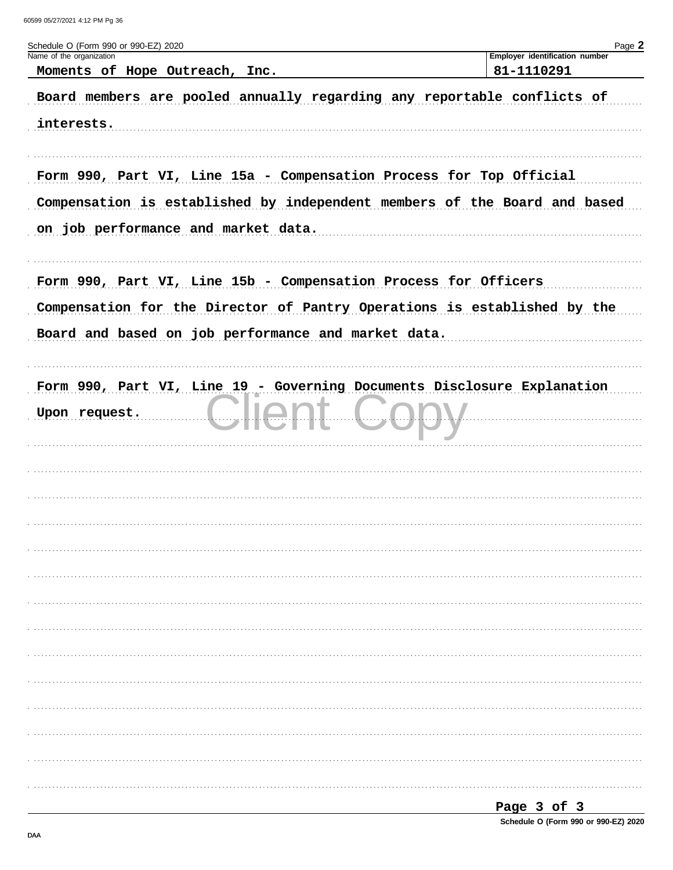| Schedule O (Form 990 or 990-EZ) 2020                                                                                                                                                               | Page 2                                       |
|----------------------------------------------------------------------------------------------------------------------------------------------------------------------------------------------------|----------------------------------------------|
| Name of the organization<br>Moments of Hope Outreach, Inc.                                                                                                                                         | Employer identification number<br>81-1110291 |
| Board members are pooled annually regarding any reportable conflicts of<br>interests.                                                                                                              |                                              |
| Form 990, Part VI, Line 15a - Compensation Process for Top Official<br>Compensation is established by independent members of the Board and based<br>on job performance and market data.            |                                              |
| Form 990, Part VI, Line 15b - Compensation Process for Officers<br>Compensation for the Director of Pantry Operations is established by the<br>Board and based on job performance and market data. |                                              |
| Form 990, Part VI, Line 19 - Governing Documents Disclosure Explanation<br>Upon request.                                                                                                           |                                              |
|                                                                                                                                                                                                    |                                              |
|                                                                                                                                                                                                    |                                              |
|                                                                                                                                                                                                    |                                              |
|                                                                                                                                                                                                    |                                              |
|                                                                                                                                                                                                    |                                              |
|                                                                                                                                                                                                    |                                              |

| ∽aσe |  |  |  |  |
|------|--|--|--|--|
|------|--|--|--|--|

Schedule O (Form 990 or 990-EZ) 2020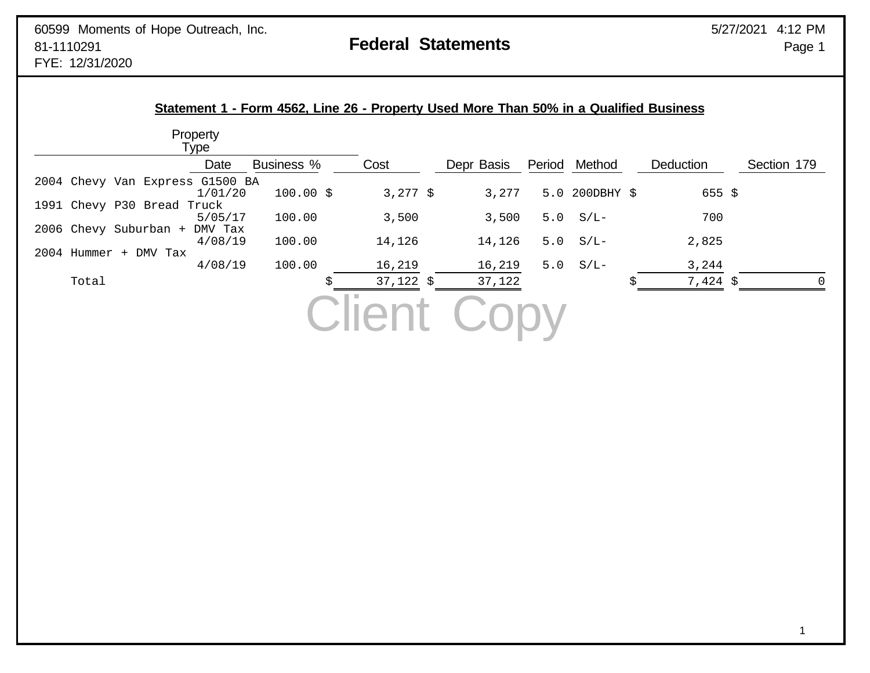|                                 | Property<br>Type |                   |                     |            |     |               |   |                   |             |
|---------------------------------|------------------|-------------------|---------------------|------------|-----|---------------|---|-------------------|-------------|
|                                 | Date             | <b>Business %</b> | Cost                | Depr Basis |     | Period Method |   | Deduction         | Section 179 |
| 2004 Chevy Van Express G1500 BA |                  |                   |                     |            |     |               |   |                   |             |
|                                 | 1/01/20          | $100.00$ \$       | 3,277 $\frac{1}{2}$ | 3,277      | 5.0 | 200DBHY \$    |   | $655 \frac{1}{2}$ |             |
| 1991 Chevy P30 Bread Truck      |                  |                   |                     |            |     |               |   |                   |             |
|                                 | 5/05/17          | 100.00            | 3,500               | 3,500      | 5.0 | $S/L-$        |   | 700               |             |
| 2006 Chevy Suburban +           | DMV Tax          |                   |                     |            |     |               |   |                   |             |
|                                 | 4/08/19          | 100.00            | 14,126              | 14,126     | 5.0 | $S/L-$        |   | 2,825             |             |
| 2004 Hummer + DMV Tax           |                  |                   |                     |            |     |               |   |                   |             |
|                                 | 4/08/19          | 100.00            | 16,219              | 16,219     | 5.0 | $S/L-$        |   | 3,244             |             |
| Total                           |                  |                   | $37,122$ \$         | 37,122     |     |               | S | 7,424 \$          | 0           |
|                                 |                  |                   |                     |            |     |               |   |                   |             |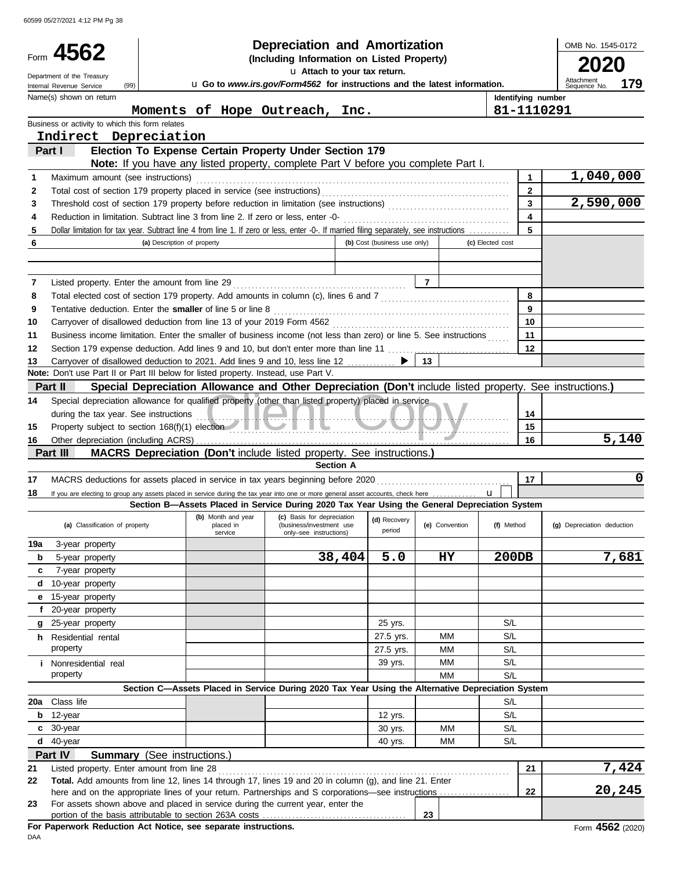60599 05/27/2021 4:12 PM Pg 38

|        |                                                 |                                                                                                                                                                                                               | <b>Depreciation and Amortization</b>                                                                             |                              |                |                         | OMB No. 1545-0172          |
|--------|-------------------------------------------------|---------------------------------------------------------------------------------------------------------------------------------------------------------------------------------------------------------------|------------------------------------------------------------------------------------------------------------------|------------------------------|----------------|-------------------------|----------------------------|
|        | Form 4562                                       |                                                                                                                                                                                                               | (Including Information on Listed Property)                                                                       |                              |                |                         | 2020                       |
|        | Department of the Treasury                      |                                                                                                                                                                                                               | u Attach to your tax return.                                                                                     |                              |                |                         | Attachment                 |
|        | (99)<br>Internal Revenue Service                |                                                                                                                                                                                                               | u Go to www.irs.gov/Form4562 for instructions and the latest information.                                        |                              |                |                         | 179<br>Sequence No.        |
|        | Name(s) shown on return                         |                                                                                                                                                                                                               |                                                                                                                  |                              |                | Identifying number      |                            |
|        | Business or activity to which this form relates | Moments of Hope Outreach, Inc.                                                                                                                                                                                |                                                                                                                  |                              |                | 81-1110291              |                            |
|        | Indirect Depreciation                           |                                                                                                                                                                                                               |                                                                                                                  |                              |                |                         |                            |
|        | Part I                                          | Election To Expense Certain Property Under Section 179                                                                                                                                                        |                                                                                                                  |                              |                |                         |                            |
|        |                                                 | <b>Note:</b> If you have any listed property, complete Part V before you complete Part I.                                                                                                                     |                                                                                                                  |                              |                |                         |                            |
| 1      | Maximum amount (see instructions)               |                                                                                                                                                                                                               |                                                                                                                  |                              |                | 1                       | 1,040,000                  |
| 2      |                                                 |                                                                                                                                                                                                               |                                                                                                                  |                              |                | $\mathbf{2}$            |                            |
| 3      |                                                 |                                                                                                                                                                                                               |                                                                                                                  |                              |                | $\overline{\mathbf{3}}$ | 2,590,000                  |
| 4      |                                                 |                                                                                                                                                                                                               |                                                                                                                  |                              |                | $\overline{\mathbf{4}}$ |                            |
| 5      |                                                 | Dollar limitation for tax year. Subtract line 4 from line 1. If zero or less, enter -0-. If married filing separately, see instructions                                                                       |                                                                                                                  |                              |                | 5                       |                            |
| 6      |                                                 | (a) Description of property                                                                                                                                                                                   |                                                                                                                  | (b) Cost (business use only) |                | (c) Elected cost        |                            |
|        |                                                 |                                                                                                                                                                                                               |                                                                                                                  |                              |                |                         |                            |
|        |                                                 |                                                                                                                                                                                                               |                                                                                                                  |                              |                |                         |                            |
| 7      |                                                 | Listed property. Enter the amount from line 29                                                                                                                                                                |                                                                                                                  |                              | $\overline{7}$ | 8                       |                            |
| 8<br>9 |                                                 | Total elected cost of section 179 property. Add amounts in column (c), lines 6 and 7 [[[[[[[[[[[[[[[[[[[[[[[[[<br>Tentative deduction. Enter the smaller of line 5 or line 8                                  |                                                                                                                  |                              |                | 9                       |                            |
| 10     |                                                 |                                                                                                                                                                                                               |                                                                                                                  |                              |                | 10                      |                            |
| 11     |                                                 | Business income limitation. Enter the smaller of business income (not less than zero) or line 5. See instructions                                                                                             |                                                                                                                  |                              |                | 11                      |                            |
| 12     |                                                 |                                                                                                                                                                                                               |                                                                                                                  |                              |                | 12                      |                            |
| 13     |                                                 | Carryover of disallowed deduction to 2021. Add lines 9 and 10, less line 12 ▶                                                                                                                                 |                                                                                                                  |                              | 13             |                         |                            |
|        |                                                 | Note: Don't use Part II or Part III below for listed property. Instead, use Part V.                                                                                                                           |                                                                                                                  |                              |                |                         |                            |
|        | Part II                                         | Special Depreciation Allowance and Other Depreciation (Don't include listed property. See instructions.)                                                                                                      |                                                                                                                  |                              |                |                         |                            |
| 14     |                                                 | Special depreciation allowance for qualified property (other than listed property) placed in service                                                                                                          |                                                                                                                  |                              |                |                         |                            |
|        |                                                 | during the tax year. See instructions<br>Property subject to section 168(f)(1) election                                                                                                                       |                                                                                                                  |                              |                | 14                      |                            |
| 15     |                                                 |                                                                                                                                                                                                               |                                                                                                                  |                              |                | 15                      |                            |
| 16     |                                                 |                                                                                                                                                                                                               |                                                                                                                  |                              |                | 16                      | 5,140                      |
|        | Part III                                        | <b>MACRS Depreciation (Don't include listed property. See instructions.)</b>                                                                                                                                  | <b>Section A</b>                                                                                                 |                              |                |                         |                            |
| 17     |                                                 |                                                                                                                                                                                                               |                                                                                                                  |                              |                | 17                      | 0                          |
| 18     |                                                 | If you are electing to group any assets placed in service during the tax year into one or more general asset accounts, check here                                                                             |                                                                                                                  |                              |                |                         |                            |
|        |                                                 | Section B-Assets Placed in Service During 2020 Tax Year Using the General Depreciation System                                                                                                                 |                                                                                                                  |                              |                |                         |                            |
|        | (a) Classification of property                  | placed in<br>service                                                                                                                                                                                          | (b) Month and year (c) Basis for depreciation (d) Recovery<br>(business/investment use<br>only-see instructions) | period                       | (e) Convention | (f) Method              | (g) Depreciation deduction |
| 19a    | 3-year property                                 |                                                                                                                                                                                                               |                                                                                                                  |                              |                |                         |                            |
| b      | 5-year property                                 |                                                                                                                                                                                                               | 38,404                                                                                                           | 5.0                          | HY             | 200DB                   | 7,681                      |
| c      | 7-year property                                 |                                                                                                                                                                                                               |                                                                                                                  |                              |                |                         |                            |
| d      | 10-year property                                |                                                                                                                                                                                                               |                                                                                                                  |                              |                |                         |                            |
| е      | 15-year property                                |                                                                                                                                                                                                               |                                                                                                                  |                              |                |                         |                            |
| f.     | 20-year property<br>g 25-year property          |                                                                                                                                                                                                               |                                                                                                                  | 25 yrs.                      |                | S/L                     |                            |
|        | <b>h</b> Residential rental                     |                                                                                                                                                                                                               |                                                                                                                  | 27.5 yrs.                    | ΜМ             | S/L                     |                            |
|        | property                                        |                                                                                                                                                                                                               |                                                                                                                  | 27.5 yrs.                    | МM             | S/L                     |                            |
|        | <i>i</i> Nonresidential real                    |                                                                                                                                                                                                               |                                                                                                                  | 39 yrs.                      | МM             | S/L                     |                            |
|        | property                                        |                                                                                                                                                                                                               |                                                                                                                  |                              | МM             | S/L                     |                            |
|        |                                                 | Section C-Assets Placed in Service During 2020 Tax Year Using the Alternative Depreciation System                                                                                                             |                                                                                                                  |                              |                |                         |                            |
|        | 20a Class life                                  |                                                                                                                                                                                                               |                                                                                                                  |                              |                | S/L                     |                            |
| b      | 12-year                                         |                                                                                                                                                                                                               |                                                                                                                  | 12 yrs.                      |                | S/L                     |                            |
|        | c 30-year                                       |                                                                                                                                                                                                               |                                                                                                                  | 30 yrs.                      | MM             | S/L                     |                            |
| d      | 40-year                                         |                                                                                                                                                                                                               |                                                                                                                  | 40 yrs.                      | MM             | S/L                     |                            |
|        | Part IV                                         | <b>Summary</b> (See instructions.)                                                                                                                                                                            |                                                                                                                  |                              |                |                         |                            |
| 21     | Listed property. Enter amount from line 28      |                                                                                                                                                                                                               |                                                                                                                  |                              |                | 21                      | 7,424                      |
| 22     |                                                 | Total. Add amounts from line 12, lines 14 through 17, lines 19 and 20 in column (g), and line 21. Enter<br>here and on the appropriate lines of your return. Partnerships and S corporations—see instructions |                                                                                                                  |                              |                | 22                      | 20,245                     |
| 23     |                                                 | For assets shown above and placed in service during the current year, enter the                                                                                                                               |                                                                                                                  |                              |                |                         |                            |
|        |                                                 |                                                                                                                                                                                                               |                                                                                                                  |                              | 23             |                         |                            |
|        |                                                 | For Paperwork Reduction Act Notice, see separate instructions.                                                                                                                                                |                                                                                                                  |                              |                |                         | Form 4562 (2020)           |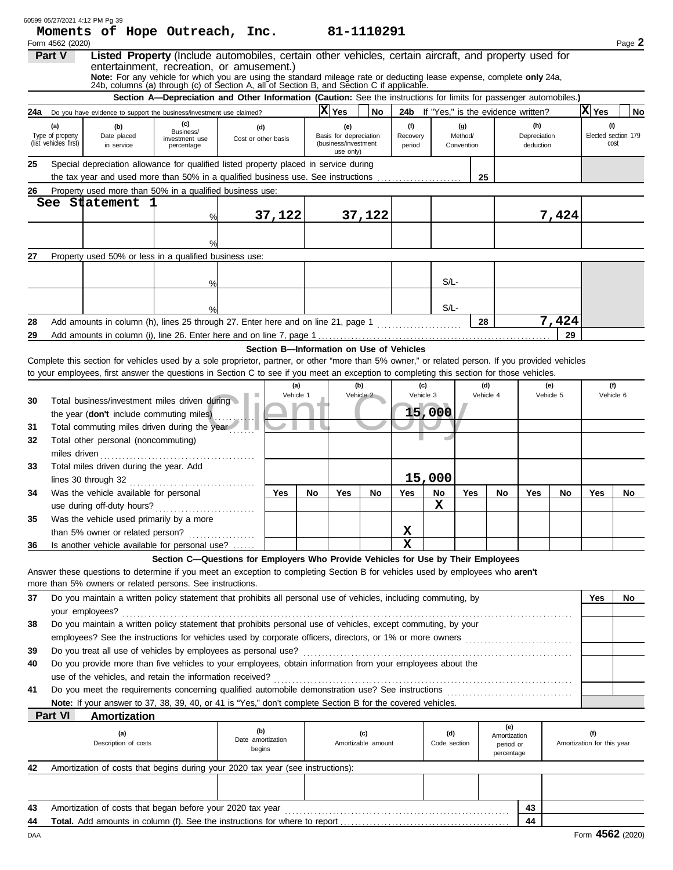|     |                            | 60599 05/27/2021 4:12 PM Pg 39<br>Moments of Hope Outreach, Inc.                                                                                                                                                                                                                               |                                                                                                                    |                            |                                          |    |                                   | 81-1110291         |             |              |                |                           |                                               |           |                            |                     |
|-----|----------------------------|------------------------------------------------------------------------------------------------------------------------------------------------------------------------------------------------------------------------------------------------------------------------------------------------|--------------------------------------------------------------------------------------------------------------------|----------------------------|------------------------------------------|----|-----------------------------------|--------------------|-------------|--------------|----------------|---------------------------|-----------------------------------------------|-----------|----------------------------|---------------------|
|     | Form 4562 (2020)<br>Part V | Listed Property (Include automobiles, certain other vehicles, certain aircraft, and property used for                                                                                                                                                                                          |                                                                                                                    |                            |                                          |    |                                   |                    |             |              |                |                           |                                               |           |                            | Page 2              |
|     |                            | entertainment, recreation, or amusement.)                                                                                                                                                                                                                                                      |                                                                                                                    |                            |                                          |    |                                   |                    |             |              |                |                           |                                               |           |                            |                     |
|     |                            | Note: For any vehicle for which you are using the standard mileage rate or deducting lease expense, complete only 24a, 24b, columns (a) through (c) of Section A, all of Section B, and Section C if applicable.                                                                               |                                                                                                                    |                            |                                          |    |                                   |                    |             |              |                |                           |                                               |           |                            |                     |
|     |                            |                                                                                                                                                                                                                                                                                                | Section A-Depreciation and Other Information (Caution: See the instructions for limits for passenger automobiles.) |                            |                                          |    |                                   |                    |             |              |                |                           |                                               |           |                            |                     |
| 24a |                            | Do you have evidence to support the business/investment use claimed?                                                                                                                                                                                                                           |                                                                                                                    |                            |                                          |    | X Yes                             | No                 |             |              |                |                           | <b>24b</b> If "Yes," is the evidence written? |           | X Yes                      | No                  |
|     | (a)                        |                                                                                                                                                                                                                                                                                                | (c)                                                                                                                |                            |                                          |    |                                   |                    | (f)         |              |                |                           | (h)                                           |           | (i)                        |                     |
|     | Type of property           | (b)<br>Date placed                                                                                                                                                                                                                                                                             | Business/<br>investment use                                                                                        | (d)<br>Cost or other basis |                                          |    | (e)<br>Basis for depreciation     |                    | Recovery    |              | (g)<br>Method/ |                           | Depreciation                                  |           |                            | Elected section 179 |
|     | (list vehicles first)      | in service                                                                                                                                                                                                                                                                                     | percentage                                                                                                         |                            |                                          |    | (business/investment<br>use only) |                    | period      |              | Convention     |                           | deduction                                     |           |                            | cost                |
| 25  |                            | Special depreciation allowance for qualified listed property placed in service during                                                                                                                                                                                                          |                                                                                                                    |                            |                                          |    |                                   |                    |             |              |                |                           |                                               |           |                            |                     |
|     |                            | the tax year and used more than 50% in a qualified business use. See instructions                                                                                                                                                                                                              |                                                                                                                    |                            |                                          |    |                                   |                    |             |              | 25             |                           |                                               |           |                            |                     |
| 26  |                            | Property used more than 50% in a qualified business use:                                                                                                                                                                                                                                       |                                                                                                                    |                            |                                          |    |                                   |                    |             |              |                |                           |                                               |           |                            |                     |
|     |                            | See Statement                                                                                                                                                                                                                                                                                  |                                                                                                                    |                            |                                          |    |                                   |                    |             |              |                |                           |                                               |           |                            |                     |
|     |                            |                                                                                                                                                                                                                                                                                                | %                                                                                                                  |                            | 37,122                                   |    |                                   | 37,122             |             |              |                |                           |                                               | 7,424     |                            |                     |
|     |                            |                                                                                                                                                                                                                                                                                                |                                                                                                                    |                            |                                          |    |                                   |                    |             |              |                |                           |                                               |           |                            |                     |
|     |                            |                                                                                                                                                                                                                                                                                                |                                                                                                                    |                            |                                          |    |                                   |                    |             |              |                |                           |                                               |           |                            |                     |
| 27  |                            | Property used 50% or less in a qualified business use:                                                                                                                                                                                                                                         |                                                                                                                    |                            |                                          |    |                                   |                    |             |              |                |                           |                                               |           |                            |                     |
|     |                            |                                                                                                                                                                                                                                                                                                |                                                                                                                    |                            |                                          |    |                                   |                    |             |              |                |                           |                                               |           |                            |                     |
|     |                            |                                                                                                                                                                                                                                                                                                | $\%$                                                                                                               |                            |                                          |    |                                   |                    |             | $S/L$ -      |                |                           |                                               |           |                            |                     |
|     |                            |                                                                                                                                                                                                                                                                                                |                                                                                                                    |                            |                                          |    |                                   |                    |             |              |                |                           |                                               |           |                            |                     |
|     |                            |                                                                                                                                                                                                                                                                                                |                                                                                                                    |                            |                                          |    |                                   |                    |             | S/L-         |                |                           |                                               |           |                            |                     |
| 28  |                            | Add amounts in column (h), lines 25 through 27. Enter here and on line 21, page 1                                                                                                                                                                                                              |                                                                                                                    |                            |                                          |    |                                   |                    |             |              |                | 28                        |                                               | 7,424     |                            |                     |
| 29  |                            |                                                                                                                                                                                                                                                                                                |                                                                                                                    |                            |                                          |    |                                   |                    |             |              |                |                           |                                               | 29        |                            |                     |
|     |                            |                                                                                                                                                                                                                                                                                                |                                                                                                                    |                            | Section B-Information on Use of Vehicles |    |                                   |                    |             |              |                |                           |                                               |           |                            |                     |
|     |                            | Complete this section for vehicles used by a sole proprietor, partner, or other "more than 5% owner," or related person. If you provided vehicles<br>to your employees, first answer the questions in Section C to see if you meet an exception to completing this section for those vehicles. |                                                                                                                    |                            |                                          |    |                                   |                    |             |              |                |                           |                                               |           |                            |                     |
|     |                            |                                                                                                                                                                                                                                                                                                |                                                                                                                    |                            | (a)                                      |    |                                   | (b)                |             | (c)          |                | (d)                       |                                               | (e)       |                            | (f)                 |
| 30  |                            | Total business/investment miles driven during                                                                                                                                                                                                                                                  |                                                                                                                    |                            | Vehicle 1                                |    |                                   | Vehicle 2          |             | Vehicle 3    |                | Vehicle 4                 |                                               | Vehicle 5 |                            | Vehicle 6           |
|     |                            | the year (don't include commuting miles)                                                                                                                                                                                                                                                       |                                                                                                                    |                            |                                          |    |                                   |                    |             | 15,000       |                |                           |                                               |           |                            |                     |
| 31  |                            | Total commuting miles driven during the year                                                                                                                                                                                                                                                   |                                                                                                                    |                            |                                          |    |                                   |                    |             |              |                |                           |                                               |           |                            |                     |
| 32  |                            | Total other personal (noncommuting)                                                                                                                                                                                                                                                            |                                                                                                                    |                            |                                          |    |                                   |                    |             |              |                |                           |                                               |           |                            |                     |
|     | miles driven               |                                                                                                                                                                                                                                                                                                |                                                                                                                    |                            |                                          |    |                                   |                    |             |              |                |                           |                                               |           |                            |                     |
| 33  |                            | Total miles driven during the year. Add                                                                                                                                                                                                                                                        |                                                                                                                    |                            |                                          |    |                                   |                    |             |              |                |                           |                                               |           |                            |                     |
|     |                            | lines 30 through 32                                                                                                                                                                                                                                                                            |                                                                                                                    |                            |                                          |    |                                   |                    |             | 15,000       |                |                           |                                               |           |                            |                     |
| 34  |                            | Was the vehicle available for personal                                                                                                                                                                                                                                                         |                                                                                                                    |                            | Yes                                      | No | Yes                               | No                 | Yes         | No           | Yes            | No                        | Yes                                           | No        | Yes                        | No                  |
|     |                            | use during off-duty hours?                                                                                                                                                                                                                                                                     |                                                                                                                    |                            |                                          |    |                                   |                    |             | X            |                |                           |                                               |           |                            |                     |
| 35  |                            | Was the vehicle used primarily by a more                                                                                                                                                                                                                                                       |                                                                                                                    |                            |                                          |    |                                   |                    |             |              |                |                           |                                               |           |                            |                     |
|     |                            | than 5% owner or related person?                                                                                                                                                                                                                                                               |                                                                                                                    |                            |                                          |    |                                   |                    | X           |              |                |                           |                                               |           |                            |                     |
| 36  |                            | Is another vehicle available for personal use?                                                                                                                                                                                                                                                 |                                                                                                                    |                            |                                          |    |                                   |                    | $\mathbf x$ |              |                |                           |                                               |           |                            |                     |
|     |                            |                                                                                                                                                                                                                                                                                                | Section C-Questions for Employers Who Provide Vehicles for Use by Their Employees                                  |                            |                                          |    |                                   |                    |             |              |                |                           |                                               |           |                            |                     |
|     |                            | Answer these questions to determine if you meet an exception to completing Section B for vehicles used by employees who aren't                                                                                                                                                                 |                                                                                                                    |                            |                                          |    |                                   |                    |             |              |                |                           |                                               |           |                            |                     |
|     |                            | more than 5% owners or related persons. See instructions.                                                                                                                                                                                                                                      |                                                                                                                    |                            |                                          |    |                                   |                    |             |              |                |                           |                                               |           |                            |                     |
| 37  |                            | Do you maintain a written policy statement that prohibits all personal use of vehicles, including commuting, by                                                                                                                                                                                |                                                                                                                    |                            |                                          |    |                                   |                    |             |              |                |                           |                                               |           | Yes                        | No                  |
|     |                            | your employees?<br>Do you maintain a written policy statement that prohibits personal use of vehicles, except commuting, by your                                                                                                                                                               |                                                                                                                    |                            |                                          |    |                                   |                    |             |              |                |                           |                                               |           |                            |                     |
| 38  |                            | employees? See the instructions for vehicles used by corporate officers, directors, or 1% or more owners                                                                                                                                                                                       |                                                                                                                    |                            |                                          |    |                                   |                    |             |              |                |                           |                                               |           |                            |                     |
| 39  |                            | Do you treat all use of vehicles by employees as personal use?                                                                                                                                                                                                                                 |                                                                                                                    |                            |                                          |    |                                   |                    |             |              |                |                           |                                               |           |                            |                     |
| 40  |                            | Do you provide more than five vehicles to your employees, obtain information from your employees about the                                                                                                                                                                                     |                                                                                                                    |                            |                                          |    |                                   |                    |             |              |                |                           |                                               |           |                            |                     |
|     |                            | use of the vehicles, and retain the information received?                                                                                                                                                                                                                                      |                                                                                                                    |                            |                                          |    |                                   |                    |             |              |                |                           |                                               |           |                            |                     |
| 41  |                            |                                                                                                                                                                                                                                                                                                |                                                                                                                    |                            |                                          |    |                                   |                    |             |              |                |                           |                                               |           |                            |                     |
|     |                            | Note: If your answer to 37, 38, 39, 40, or 41 is "Yes," don't complete Section B for the covered vehicles.                                                                                                                                                                                     |                                                                                                                    |                            |                                          |    |                                   |                    |             |              |                |                           |                                               |           |                            |                     |
|     | Part VI                    | Amortization                                                                                                                                                                                                                                                                                   |                                                                                                                    |                            |                                          |    |                                   |                    |             |              |                |                           |                                               |           |                            |                     |
|     |                            | (a)                                                                                                                                                                                                                                                                                            |                                                                                                                    | (b)                        |                                          |    |                                   | (c)                |             | (d)          |                | (e)                       |                                               |           | (f)                        |                     |
|     |                            | Description of costs                                                                                                                                                                                                                                                                           |                                                                                                                    | Date amortization          |                                          |    |                                   | Amortizable amount |             | Code section |                | Amortization<br>period or |                                               |           | Amortization for this year |                     |
|     |                            |                                                                                                                                                                                                                                                                                                |                                                                                                                    | begins                     |                                          |    |                                   |                    |             |              |                | percentage                |                                               |           |                            |                     |
| 42  |                            | Amortization of costs that begins during your 2020 tax year (see instructions):                                                                                                                                                                                                                |                                                                                                                    |                            |                                          |    |                                   |                    |             |              |                |                           |                                               |           |                            |                     |
|     |                            |                                                                                                                                                                                                                                                                                                |                                                                                                                    |                            |                                          |    |                                   |                    |             |              |                |                           |                                               |           |                            |                     |
|     |                            |                                                                                                                                                                                                                                                                                                |                                                                                                                    |                            |                                          |    |                                   |                    |             |              |                |                           |                                               |           |                            |                     |
| 43  |                            | Amortization of costs that began before your 2020 tax year                                                                                                                                                                                                                                     |                                                                                                                    |                            |                                          |    |                                   |                    |             |              |                |                           | 43                                            |           |                            |                     |
| 44  |                            | <b>Total.</b> Add amounts in column (f). See the instructions for where to report                                                                                                                                                                                                              |                                                                                                                    |                            |                                          |    |                                   |                    |             |              |                |                           | 44                                            |           |                            |                     |
| DAA |                            |                                                                                                                                                                                                                                                                                                |                                                                                                                    |                            |                                          |    |                                   |                    |             |              |                |                           |                                               |           | Form 4562 (2020)           |                     |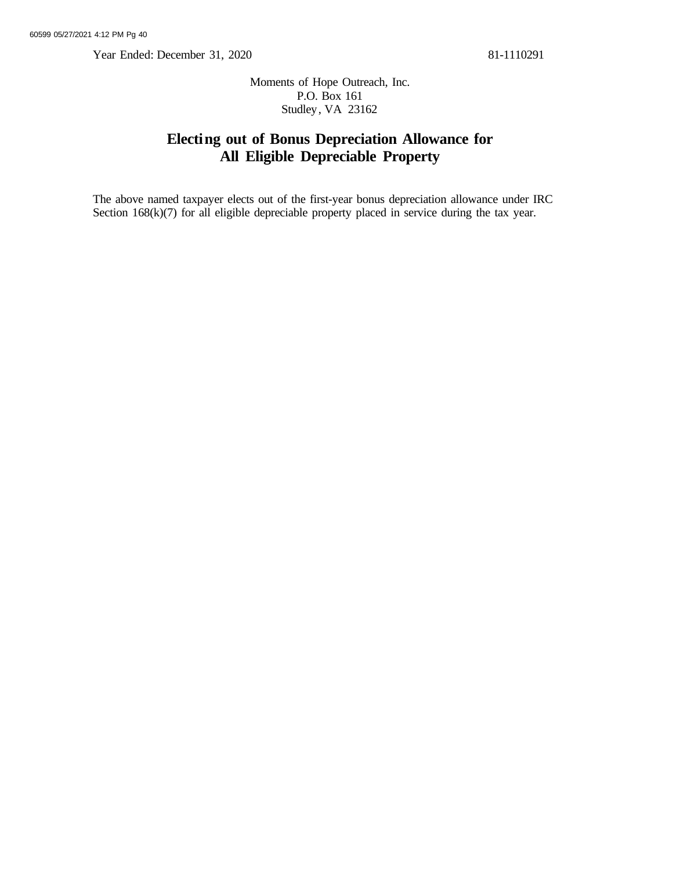Year Ended: December 31, 2020 81-1110291

Moments of Hope Outreach, Inc. P.O. Box 161 Studley, VA 23162

## **Electing out of Bonus Depreciation Allowance for All Eligible Depreciable Property**

The above named taxpayer elects out of the first-year bonus depreciation allowance under IRC Section  $168(k)(7)$  for all eligible depreciable property placed in service during the tax year.